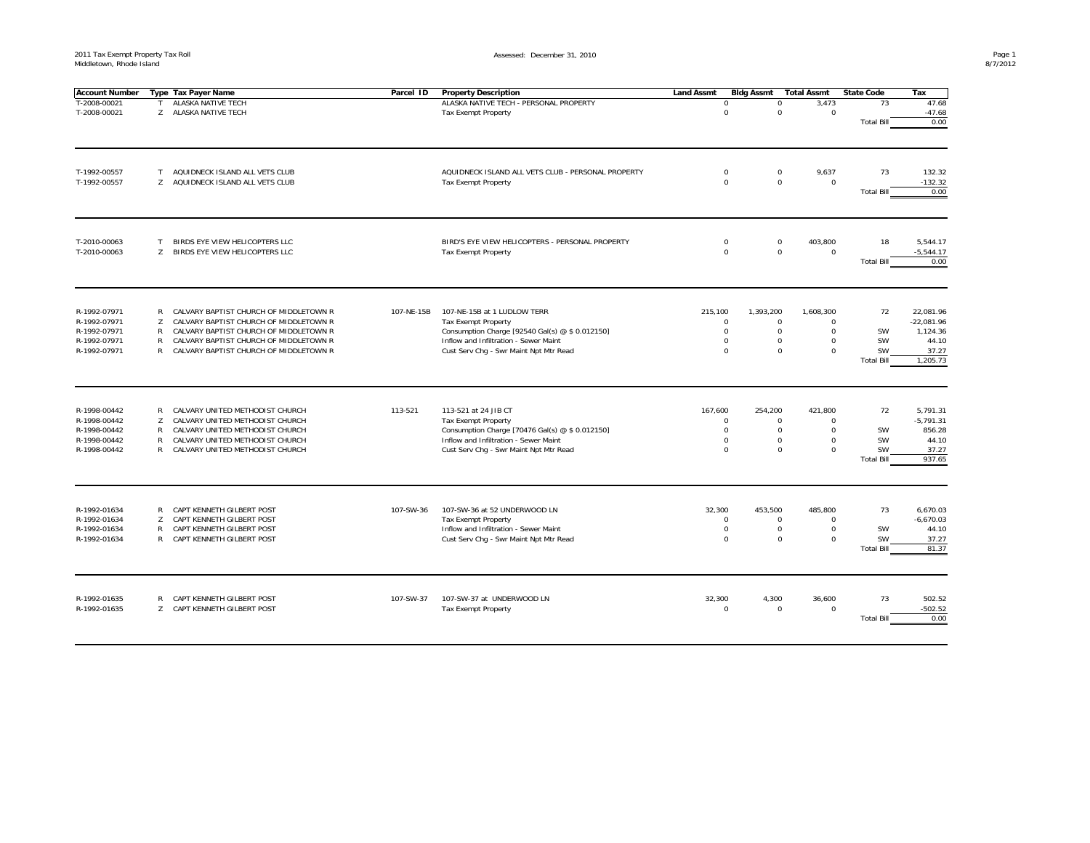| <b>Account Number</b>        |              | Type Tax Payer Name                                                              | Parcel ID  | <b>Property Description</b>                               | <b>Land Assmt</b>      | <b>Bldg Assmt</b>        | <b>Total Assmt</b>    | <b>State Code</b>              | Tax                       |
|------------------------------|--------------|----------------------------------------------------------------------------------|------------|-----------------------------------------------------------|------------------------|--------------------------|-----------------------|--------------------------------|---------------------------|
| T-2008-00021                 | Т            | ALASKA NATIVE TECH                                                               |            | ALASKA NATIVE TECH - PERSONAL PROPERTY                    | $\mathbf 0$            | $\mathbf 0$              | 3,473                 | 73                             | 47.68                     |
| T-2008-00021                 |              | Z ALASKA NATIVE TECH                                                             |            | <b>Tax Exempt Property</b>                                | $\Omega$               | $\mathbf 0$              | $\Omega$              |                                | $-47.68$                  |
|                              |              |                                                                                  |            |                                                           |                        |                          |                       | <b>Total Bill</b>              | 0.00                      |
|                              |              |                                                                                  |            |                                                           |                        |                          |                       |                                |                           |
| T-1992-00557                 | T.           | AQUIDNECK ISLAND ALL VETS CLUB                                                   |            | AQUIDNECK ISLAND ALL VETS CLUB - PERSONAL PROPERTY        | $\mathbf 0$            | $\mathbf 0$              | 9,637                 | 73                             | 132.32                    |
| T-1992-00557                 | Z.           | AQUIDNECK ISLAND ALL VETS CLUB                                                   |            | <b>Tax Exempt Property</b>                                | $\Omega$               | $\mathbf 0$              | $\mathbf 0$           |                                | $-132.32$                 |
|                              |              |                                                                                  |            |                                                           |                        |                          |                       | <b>Total Bill</b>              | 0.00                      |
|                              |              |                                                                                  |            |                                                           |                        |                          |                       |                                |                           |
| T-2010-00063                 | T            | BIRDS EYE VIEW HELICOPTERS LLC                                                   |            | BIRD'S EYE VIEW HELICOPTERS - PERSONAL PROPERTY           | $\mathbf 0$            | $^{\circ}$               | 403,800               | 18                             | 5,544.17                  |
| T-2010-00063                 | Z            | BIRDS EYE VIEW HELICOPTERS LLC                                                   |            | <b>Tax Exempt Property</b>                                | $\mathbf 0$            | $\mathbf 0$              | $\mathsf 0$           |                                | $-5,544.17$               |
|                              |              |                                                                                  |            |                                                           |                        |                          |                       | <b>Total Bill</b>              | 0.00                      |
|                              |              |                                                                                  |            |                                                           |                        |                          |                       |                                |                           |
| R-1992-07971<br>R-1992-07971 | R<br>Z       | CALVARY BAPTIST CHURCH OF MIDDLETOWN R<br>CALVARY BAPTIST CHURCH OF MIDDLETOWN R | 107-NE-15B | 107-NE-15B at 1 LUDLOW TERR<br><b>Tax Exempt Property</b> | 215,100<br>$\mathbf 0$ | 1,393,200<br>$\mathbf 0$ | 1,608,300<br>$\Omega$ | 72                             | 22,081.96<br>$-22,081.96$ |
| R-1992-07971                 | R            | CALVARY BAPTIST CHURCH OF MIDDLETOWN R                                           |            | Consumption Charge [92540 Gal(s) @ \$ 0.012150]           | $\mathbf 0$            | $\mathbf 0$              | $\mathbf 0$           | SW                             | 1,124.36                  |
| R-1992-07971                 | R            | CALVARY BAPTIST CHURCH OF MIDDLETOWN R                                           |            | Inflow and Infiltration - Sewer Maint                     | $\Omega$               | $\mathbf 0$              | $\Omega$              | <b>SW</b>                      | 44.10                     |
| R-1992-07971                 | $\mathsf{R}$ | CALVARY BAPTIST CHURCH OF MIDDLETOWN R                                           |            | Cust Serv Chg - Swr Maint Npt Mtr Read                    | $\Omega$               | $\Omega$                 | $\Omega$              | SW                             | 37.27                     |
|                              |              |                                                                                  |            |                                                           |                        |                          |                       | <b>Total Bill</b>              | 1,205.73                  |
| R-1998-00442                 | R            | CALVARY UNITED METHODIST CHURCH                                                  | 113-521    | 113-521 at 24 JIB CT                                      | 167,600                | 254,200                  | 421,800               | 72                             | 5.791.31                  |
| R-1998-00442                 | Z            | CALVARY UNITED METHODIST CHURCH                                                  |            | <b>Tax Exempt Property</b>                                | $\mathbf 0$            | $\mathsf{O}\xspace$      | $\Omega$              |                                | $-5,791.31$               |
| R-1998-00442                 | $\mathsf{R}$ | CALVARY UNITED METHODIST CHURCH                                                  |            | Consumption Charge [70476 Gal(s) @ \$ 0.012150]           | $\mathbf 0$            | $\mathsf{O}\xspace$      | $\mathbf 0$           | SW                             | 856.28                    |
| R-1998-00442                 | $\mathsf{R}$ | CALVARY UNITED METHODIST CHURCH                                                  |            | Inflow and Infiltration - Sewer Maint                     | $\mathbf 0$            | $\Omega$                 | $\Omega$              | SW                             | 44.10                     |
| R-1998-00442                 | R            | CALVARY UNITED METHODIST CHURCH                                                  |            | Cust Serv Chg - Swr Maint Npt Mtr Read                    | $^{\circ}$             | $\mathbf 0$              | $\mathbf 0$           | <b>SW</b><br><b>Total Bill</b> | 37.27<br>937.65           |
|                              |              |                                                                                  |            |                                                           |                        |                          |                       |                                |                           |
| R-1992-01634                 | R            | CAPT KENNETH GILBERT POST                                                        | 107-SW-36  | 107-SW-36 at 52 UNDERWOOD LN                              | 32,300                 | 453,500                  | 485,800               | 73                             | 6,670.03                  |
| R-1992-01634                 | Z            | CAPT KENNETH GILBERT POST                                                        |            | Tax Exempt Property                                       | $\mathbf 0$            | $\Omega$                 | $\Omega$              |                                | $-6,670.03$               |
| R-1992-01634                 | R            | CAPT KENNETH GILBERT POST                                                        |            | Inflow and Infiltration - Sewer Maint                     | $^{\circ}$             | $\mathbf 0$              | $\Omega$              | SW                             | 44.10                     |
| R-1992-01634                 | R            | CAPT KENNETH GILBERT POST                                                        |            | Cust Serv Chg - Swr Maint Npt Mtr Read                    | $\mathbf 0$            | $\mathbf 0$              | $\mathbf 0$           | SW<br><b>Total Bill</b>        | 37.27<br>81.37            |
|                              |              |                                                                                  |            |                                                           |                        |                          |                       |                                |                           |
| R-1992-01635                 | R            | CAPT KENNETH GILBERT POST                                                        | 107-SW-37  | 107-SW-37 at UNDERWOOD LN                                 | 32,300                 | 4,300                    | 36,600                | 73                             | 502.52                    |
| R-1992-01635                 |              | Z CAPT KENNETH GILBERT POST                                                      |            | Tax Exempt Property                                       | $\mathbf 0$            | $\mathbf 0$              | $\mathbf 0$           |                                | $-502.52$                 |
|                              |              |                                                                                  |            |                                                           |                        |                          |                       | <b>Total Bill</b>              | 0.00                      |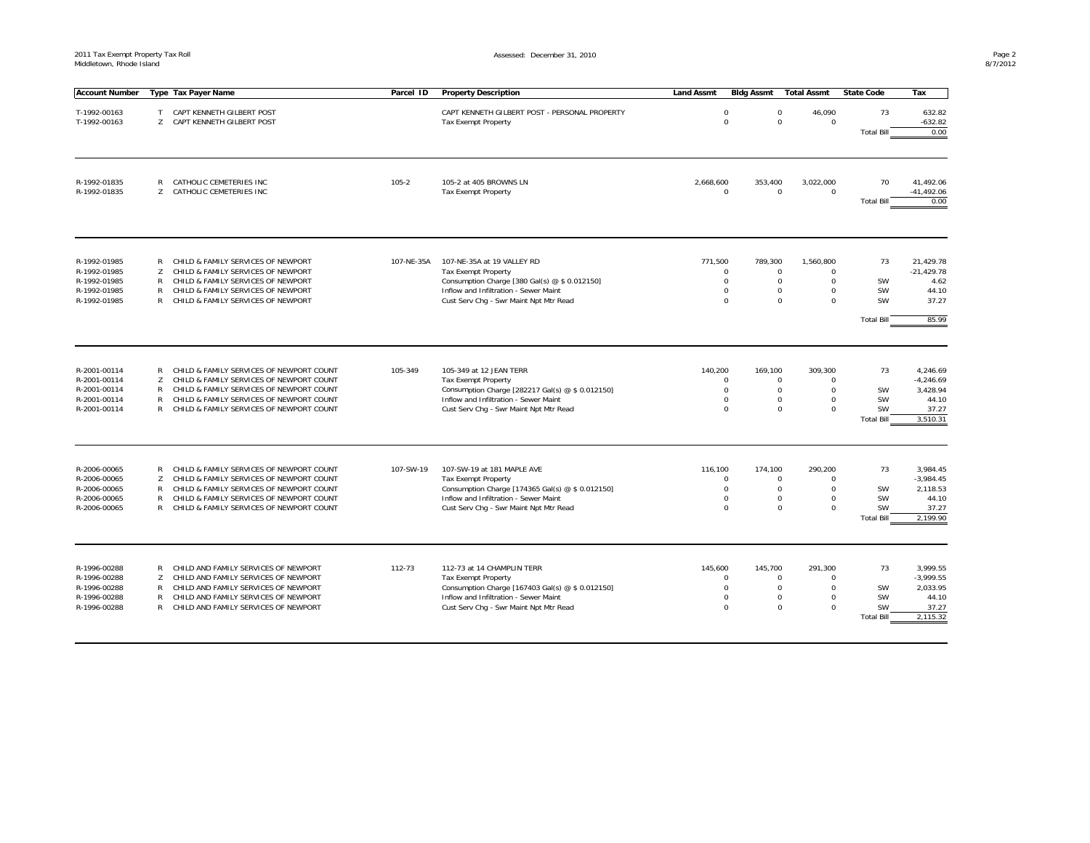| <b>Account Number</b>                                                        |                             | Type Tax Payer Name                                                                                                                                                                                                        | Parcel ID  | <b>Property Description</b>                                                                                                                                                                     | <b>Land Assmt</b> | <b>Bidg Assmt</b>                                                                                          | <b>Total Assmt</b>                                                                               | <b>State Code</b>                                       | Тах                                                               |
|------------------------------------------------------------------------------|-----------------------------|----------------------------------------------------------------------------------------------------------------------------------------------------------------------------------------------------------------------------|------------|-------------------------------------------------------------------------------------------------------------------------------------------------------------------------------------------------|-------------------|------------------------------------------------------------------------------------------------------------|--------------------------------------------------------------------------------------------------|---------------------------------------------------------|-------------------------------------------------------------------|
| T-1992-00163<br>T-1992-00163                                                 | T                           | CAPT KENNETH GILBERT POST<br>Z CAPT KENNETH GILBERT POST                                                                                                                                                                   |            | CAPT KENNETH GILBERT POST - PERSONAL PROPERTY<br><b>Tax Exempt Property</b>                                                                                                                     |                   | $\mathbf 0$<br>$\mathbf 0$<br>$\mathbf 0$                                                                  | 46,090<br>$\mathbf 0$<br>$\mathbf 0$                                                             | 73<br><b>Total Bill</b>                                 | 632.82<br>$-632.82$<br>0.00                                       |
| R-1992-01835<br>R-1992-01835                                                 | R<br>Z                      | CATHOLIC CEMETERIES INC<br>CATHOLIC CEMETERIES INC                                                                                                                                                                         | $105 - 2$  | 105-2 at 405 BROWNS LN<br><b>Tax Exempt Property</b>                                                                                                                                            | 2,668,600         | 353,400<br>$\mathbf 0$<br>$\mathsf 0$                                                                      | 3,022,000<br>$\mathbf 0$                                                                         | 70<br><b>Total Bill</b>                                 | 41,492.06<br>$-41,492.06$<br>0.00                                 |
| R-1992-01985<br>R-1992-01985<br>R-1992-01985<br>R-1992-01985<br>R-1992-01985 | R<br>Z<br>R<br>R<br>R       | CHILD & FAMILY SERVICES OF NEWPORT<br>CHILD & FAMILY SERVICES OF NEWPORT<br>CHILD & FAMILY SERVICES OF NEWPORT<br>CHILD & FAMILY SERVICES OF NEWPORT<br>CHILD & FAMILY SERVICES OF NEWPORT                                 | 107-NE-35A | 107-NE-35A at 19 VALLEY RD<br><b>Tax Exempt Property</b><br>Consumption Charge [380 Gal(s) @ \$ 0.012150]<br>Inflow and Infiltration - Sewer Maint<br>Cust Serv Chq - Swr Maint Npt Mtr Read    | 771.500           | 789.300<br>$\mathbf 0$<br>$\mathbf 0$<br>$\mathbf 0$<br>$\Omega$<br>$\mathbf 0$<br>$\Omega$                | 1.560.800<br>$\Omega$<br>$\mathbf 0$<br>$\mathbf 0$<br>$\mathbf 0$<br>$\mathbf 0$<br>$\mathbf 0$ | 73<br>SW<br><b>SW</b><br><b>SW</b><br><b>Total Bill</b> | 21.429.78<br>$-21,429.78$<br>4.62<br>44.10<br>37.27<br>85.99      |
| R-2001-00114<br>R-2001-00114<br>R-2001-00114<br>R-2001-00114<br>R-2001-00114 | R<br>Z<br>R<br>R<br>R       | CHILD & FAMILY SERVICES OF NEWPORT COUNT<br>CHILD & FAMILY SERVICES OF NEWPORT COUNT<br>CHILD & FAMILY SERVICES OF NEWPORT COUNT<br>CHILD & FAMILY SERVICES OF NEWPORT COUNT<br>CHILD & FAMILY SERVICES OF NEWPORT COUNT   | 105-349    | 105-349 at 12 JEAN TERR<br><b>Tax Exempt Property</b><br>Consumption Charge [282217 Gal(s) @ \$ 0.012150]<br>Inflow and Infiltration - Sewer Maint<br>Cust Serv Chq - Swr Maint Npt Mtr Read    | 140,200           | 169,100<br>$\Omega$<br>$\mathbf 0$<br>$\mathsf 0$<br>$\Omega$<br>$\Omega$<br>$\Omega$                      | 309,300<br>$\mathbf 0$<br>$\mathbf 0$<br>$\mathbf 0$<br>$\mathbf 0$<br>$\mathbf 0$<br>$\Omega$   | 73<br>SW<br><b>SW</b><br><b>SW</b><br><b>Total Bill</b> | 4,246.69<br>$-4,246.69$<br>3,428.94<br>44.10<br>37.27<br>3.510.31 |
| R-2006-00065<br>R-2006-00065<br>R-2006-00065<br>R-2006-00065<br>R-2006-00065 | Z<br>R<br>R<br>$\mathsf{R}$ | R CHILD & FAMILY SERVICES OF NEWPORT COUNT<br>CHILD & FAMILY SERVICES OF NEWPORT COUNT<br>CHILD & FAMILY SERVICES OF NEWPORT COUNT<br>CHILD & FAMILY SERVICES OF NEWPORT COUNT<br>CHILD & FAMILY SERVICES OF NEWPORT COUNT | 107-SW-19  | 107-SW-19 at 181 MAPLE AVE<br><b>Tax Exempt Property</b><br>Consumption Charge [174365 Gal(s) @ \$ 0.012150]<br>Inflow and Infiltration - Sewer Maint<br>Cust Serv Chg - Swr Maint Npt Mtr Read | 116,100           | 174,100<br>$\mathbf 0$<br>$\mathbf 0$<br>$\mathbf 0$<br>$\Omega$<br>$\mathbf 0$<br>$\mathbf 0$<br>$\Omega$ | 290,200<br>$\mathbf 0$<br>$\mathbf 0$<br>$\mathbf 0$<br>$\mathbf 0$<br>$\Omega$                  | 73<br><b>SW</b><br><b>SW</b><br>SW<br><b>Total Bill</b> | 3,984.45<br>$-3,984.45$<br>2,118.53<br>44.10<br>37.27<br>2,199.90 |
| R-1996-00288<br>R-1996-00288<br>R-1996-00288<br>R-1996-00288<br>R-1996-00288 | R<br>Z<br>R<br>R<br>R       | CHILD AND FAMILY SERVICES OF NEWPORT<br>CHILD AND FAMILY SERVICES OF NEWPORT<br>CHILD AND FAMILY SERVICES OF NEWPORT<br>CHILD AND FAMILY SERVICES OF NEWPORT<br>CHILD AND FAMILY SERVICES OF NEWPORT                       | 112-73     | 112-73 at 14 CHAMPLIN TERR<br><b>Tax Exempt Property</b><br>Consumption Charge [167403 Gal(s) @ \$ 0.012150]<br>Inflow and Infiltration - Sewer Maint<br>Cust Serv Chq - Swr Maint Npt Mtr Read | 145,600           | 145,700<br>$\mathbf 0$<br>$\mathbf 0$<br>$\mathbf 0$<br>$\Omega$<br>0<br>$\Omega$                          | 291,300<br>$\mathbf 0$<br>$\mathbf 0$<br>$\mathbf 0$<br>$\mathbf 0$<br>$\mathbf 0$<br>$\Omega$   | 73<br><b>SW</b><br>SW<br>SW<br><b>Total Bill</b>        | 3.999.55<br>$-3,999.55$<br>2,033.95<br>44.10<br>37.27<br>2,115.32 |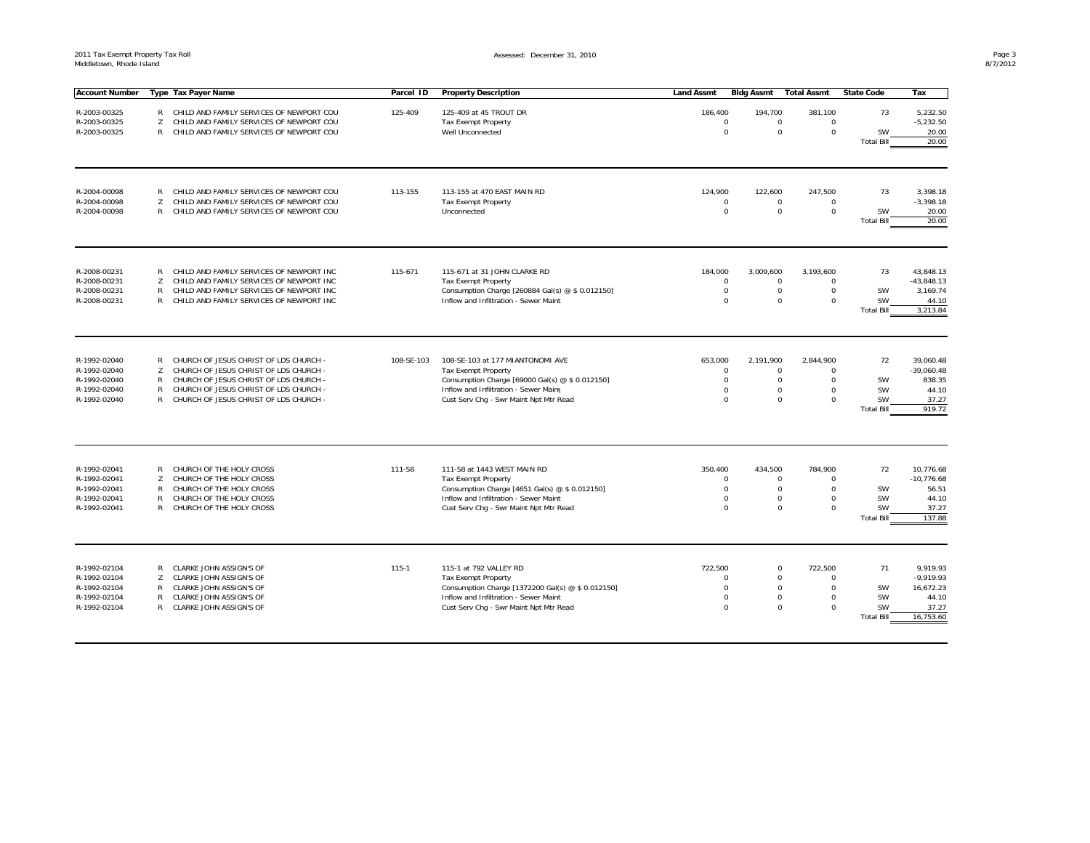| <b>Account Number</b> |                   | Type Tax Payer Name                        | Parcel ID  | <b>Property Description</b>                       | <b>Land Assmt</b> | <b>Bidg Assmt</b> | <b>Total Assmt</b>                     | <b>State Code</b>       | Tax                |
|-----------------------|-------------------|--------------------------------------------|------------|---------------------------------------------------|-------------------|-------------------|----------------------------------------|-------------------------|--------------------|
| R-2003-00325          |                   | R CHILD AND FAMILY SERVICES OF NEWPORT COU | 125-409    | 125-409 at 45 TROUT DR                            | 186,400           | 194,700           | 381,100                                | 73                      | 5,232.50           |
| R-2003-00325          | Z                 | CHILD AND FAMILY SERVICES OF NEWPORT COU   |            | <b>Tax Exempt Property</b>                        |                   | $\Omega$          | $\Omega$<br>$\mathbf 0$                |                         | $-5,232.50$        |
| R-2003-00325          | $\mathsf{R}$      | CHILD AND FAMILY SERVICES OF NEWPORT COU   |            | Well Unconnected                                  |                   | $\Omega$          | $\Omega$<br>0                          | <b>SW</b>               | 20.00              |
|                       |                   |                                            |            |                                                   |                   |                   |                                        | <b>Total Bill</b>       | 20.00              |
|                       |                   |                                            |            |                                                   |                   |                   |                                        |                         |                    |
| R-2004-00098          | R                 | CHILD AND FAMILY SERVICES OF NEWPORT COU   | 113-155    | 113-155 at 470 EAST MAIN RD                       | 124,900           | 122,600           | 247,500                                | 73                      | 3,398.18           |
| R-2004-00098          | Z<br>$\mathsf{R}$ | CHILD AND FAMILY SERVICES OF NEWPORT COU   |            | <b>Tax Exempt Property</b>                        |                   | $\mathbf 0$       | $\mathbf 0$<br>$\Omega$<br>$\mathbf 0$ |                         | $-3,398.18$        |
| R-2004-00098          |                   | CHILD AND FAMILY SERVICES OF NEWPORT COU   |            | Unconnected                                       |                   | $\mathbf 0$       | $\mathbf 0$                            | SW<br><b>Total Bill</b> | 20.00<br>20.00     |
| R-2008-00231          | R                 | CHILD AND FAMILY SERVICES OF NEWPORT INC   | 115-671    | 115-671 at 31 JOHN CLARKE RD                      | 184,000           | 3,009,600         | 3,193,600                              | 73                      | 43.848.13          |
| R-2008-00231          | Z                 | CHILD AND FAMILY SERVICES OF NEWPORT INC   |            | <b>Tax Exempt Property</b>                        |                   | $\mathbf 0$       | $\mathbf 0$<br>$\Omega$                |                         | $-43,848.13$       |
| R-2008-00231          | R                 | CHILD AND FAMILY SERVICES OF NEWPORT INC   |            | Consumption Charge [260884 Gal(s) @ \$ 0.012150]  |                   | $\mathbf 0$       | $\mathbf 0$<br>$\mathsf 0$             | SW                      | 3,169.74           |
| R-2008-00231          |                   | R CHILD AND FAMILY SERVICES OF NEWPORT INC |            | Inflow and Infiltration - Sewer Maint             |                   | $\Omega$          | $\Omega$<br>$\Omega$                   | SW                      | 44.10              |
|                       |                   |                                            |            |                                                   |                   |                   |                                        | <b>Total Bill</b>       | 3,213.84           |
| R-1992-02040          |                   | R CHURCH OF JESUS CHRIST OF LDS CHURCH -   | 108-SE-103 | 108-SE-103 at 177 MIANTONOMI AVE                  |                   | 2,191,900         | 2,844,900                              | 72                      | 39,060.48          |
| R-1992-02040          | Z                 | CHURCH OF JESUS CHRIST OF LDS CHURCH -     |            | <b>Tax Exempt Property</b>                        | 653,000           | $\mathbf 0$       | $\mathbf 0$<br>$\Omega$                |                         | $-39,060.48$       |
| R-1992-02040          | R                 | CHURCH OF JESUS CHRIST OF LDS CHURCH -     |            | Consumption Charge [69000 Gal(s) @ \$ 0.012150]   |                   | $\mathbf 0$       | $\mathbf 0$<br>$\Omega$                | SW                      | 838.35             |
| R-1992-02040          | $\mathsf{R}$      | CHURCH OF JESUS CHRIST OF LDS CHURCH -     |            | Inflow and Infiltration - Sewer Maint             |                   | $\mathbf 0$       | $\Omega$<br>$\mathbf 0$                | <b>SW</b>               | 44.10              |
| R-1992-02040          | $\mathsf{R}$      | CHURCH OF JESUS CHRIST OF LDS CHURCH -     |            | Cust Serv Chg - Swr Maint Npt Mtr Read            |                   | $\Omega$          | $\Omega$<br>$\Omega$                   | <b>SW</b>               | 37.27              |
|                       |                   |                                            |            |                                                   |                   |                   |                                        | <b>Total Bill</b>       | 919.72             |
| R-1992-02041          |                   | R CHURCH OF THE HOLY CROSS                 | 111-58     | 111-58 at 1443 WEST MAIN RD                       | 350,400           | 434,500           | 784,900                                | 72                      | 10,776.68          |
| R-1992-02041          | Z                 | CHURCH OF THE HOLY CROSS                   |            | <b>Tax Exempt Property</b>                        |                   | $\mathbf 0$       | $\mathbf 0$<br>$\Omega$                |                         | $-10,776.68$       |
| R-1992-02041          | R                 | CHURCH OF THE HOLY CROSS                   |            | Consumption Charge [4651 Gal(s) @ \$ 0.012150]    |                   | $\Omega$          | $\mathbf 0$<br>$\mathbf 0$             | SW                      | 56.51              |
| R-1992-02041          | $\mathsf{R}$      | CHURCH OF THE HOLY CROSS                   |            | Inflow and Infiltration - Sewer Maint             |                   | $\Omega$          | $\mathbf 0$<br>$\Omega$                | SW                      | 44.10              |
| R-1992-02041          | R                 | CHURCH OF THE HOLY CROSS                   |            | Cust Serv Chg - Swr Maint Npt Mtr Read            |                   | $\mathbf 0$       | $\mathbf 0$<br>$\mathbf 0$             | SW<br><b>Total Bill</b> | 37.27<br>137.88    |
|                       |                   |                                            |            |                                                   |                   |                   |                                        |                         |                    |
| R-1992-02104          | R                 | CLARKE JOHN ASSIGN'S OF                    | $115 - 1$  | 115-1 at 792 VALLEY RD                            | 722.500           |                   | 722.500<br>$\mathbf 0$                 | 71                      | 9.919.93           |
| R-1992-02104          | Z                 | CLARKE JOHN ASSIGN'S OF                    |            | <b>Tax Exempt Property</b>                        |                   | $\Omega$          | $\mathbf 0$<br>$\Omega$                |                         | $-9,919.93$        |
| R-1992-02104          | R                 | CLARKE JOHN ASSIGN'S OF                    |            | Consumption Charge [1372200 Gal(s) @ \$ 0.012150] |                   | $\mathbf 0$       | $\mathbf 0$<br>$\mathsf 0$             | SW                      | 16,672.23          |
| R-1992-02104          | R                 | CLARKE JOHN ASSIGN'S OF                    |            | Inflow and Infiltration - Sewer Maint             |                   | $\Omega$          | $\mathbf 0$<br>$\Omega$                | SW                      | 44.10              |
| R-1992-02104          |                   | R CLARKE JOHN ASSIGN'S OF                  |            | Cust Serv Chq - Swr Maint Npt Mtr Read            |                   | $\Omega$          | $\Omega$<br>$\Omega$                   | SW<br><b>Total Bill</b> | 37.27<br>16,753.60 |
|                       |                   |                                            |            |                                                   |                   |                   |                                        |                         |                    |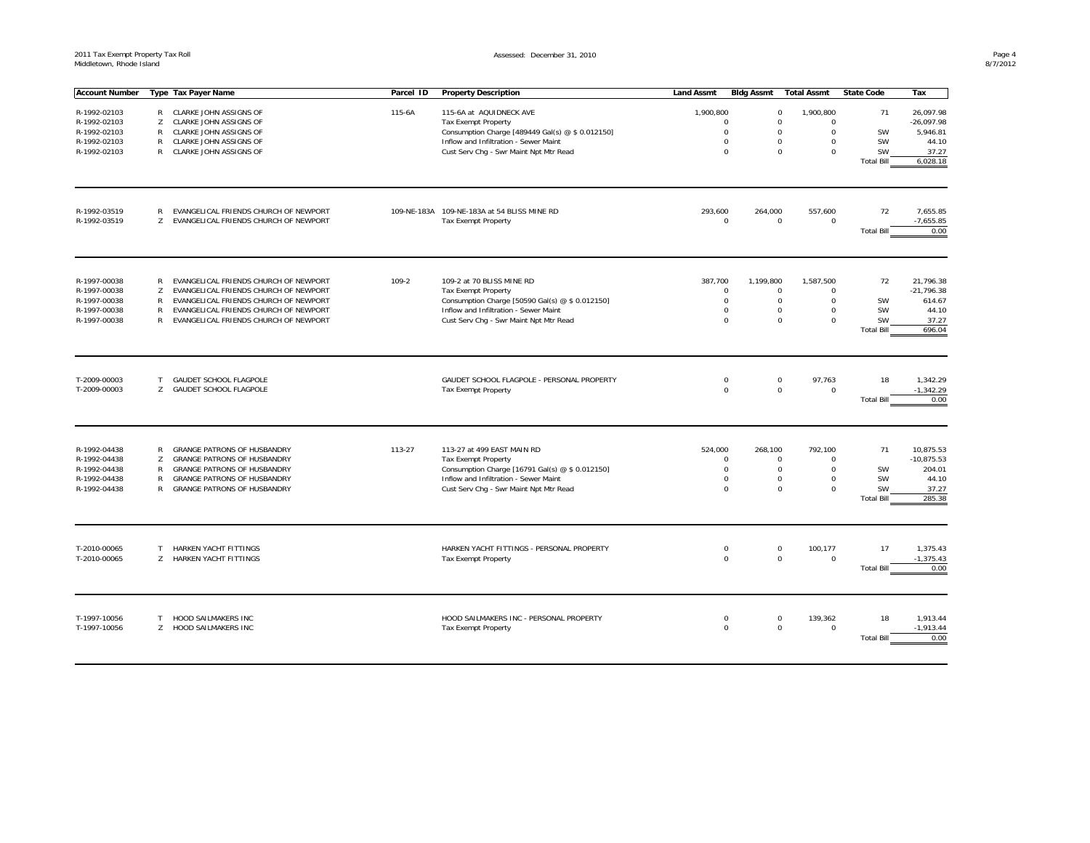| <b>Account Number</b> |        | Type Tax Payer Name                   | Parcel ID | <b>Property Description</b>                                                   | <b>Land Assmt</b> | <b>Bldg Assmt</b> | <b>Total Assmt</b>                 | <b>State Code</b>       | Tax               |
|-----------------------|--------|---------------------------------------|-----------|-------------------------------------------------------------------------------|-------------------|-------------------|------------------------------------|-------------------------|-------------------|
|                       |        |                                       |           |                                                                               |                   |                   |                                    |                         |                   |
| R-1992-02103          |        | R CLARKE JOHN ASSIGNS OF              | 115-6A    | 115-6A at AQUIDNECK AVE                                                       | 1,900,800         |                   | $\mathbf 0$<br>1,900,800           | 71                      | 26,097.98         |
| R-1992-02103          | Z      | CLARKE JOHN ASSIGNS OF                |           | Tax Exempt Property                                                           |                   | $\Omega$          | $\mathsf 0$<br>$\Omega$            |                         | $-26,097.98$      |
| R-1992-02103          | R      | CLARKE JOHN ASSIGNS OF                |           | Consumption Charge [489449 Gal(s) @ \$ 0.012150]                              |                   | $\Omega$          | $\mathbf 0$<br>0                   | SW                      | 5,946.81          |
| R-1992-02103          | R      | CLARKE JOHN ASSIGNS OF                |           | Inflow and Infiltration - Sewer Maint                                         |                   | $\Omega$          | $\mathbf 0$<br>0                   | SW                      | 44.10             |
| R-1992-02103          |        | R CLARKE JOHN ASSIGNS OF              |           | Cust Serv Chg - Swr Maint Npt Mtr Read                                        |                   | $\Omega$          | $\mathsf 0$<br>$\mathbf 0$         | SW<br><b>Total Bill</b> | 37.27<br>6,028.18 |
|                       |        |                                       |           |                                                                               |                   |                   |                                    |                         |                   |
|                       |        |                                       |           |                                                                               |                   |                   |                                    |                         |                   |
| R-1992-03519          | R      | EVANGELICAL FRIENDS CHURCH OF NEWPORT |           | 109-NE-183A 109-NE-183A at 54 BLISS MINE RD                                   | 293,600           | 264,000           | 557,600                            | 72                      | 7,655.85          |
| R-1992-03519          | Z      | EVANGELICAL FRIENDS CHURCH OF NEWPORT |           | <b>Tax Exempt Property</b>                                                    |                   | $\Omega$          | $\mathbf 0$<br>0                   |                         | $-7,655.85$       |
|                       |        |                                       |           |                                                                               |                   |                   |                                    | <b>Total Bill</b>       | 0.00              |
|                       |        |                                       |           |                                                                               |                   |                   |                                    |                         |                   |
| R-1997-00038          | R.     | EVANGELICAL FRIENDS CHURCH OF NEWPORT | 109-2     | 109-2 at 70 BLISS MINE RD                                                     | 387,700           | 1,199,800         | 1,587,500                          | 72                      | 21,796.38         |
| R-1997-00038          | Z      | EVANGELICAL FRIENDS CHURCH OF NEWPORT |           | <b>Tax Exempt Property</b>                                                    |                   | $\mathsf 0$       | $\mathbf 0$<br>$\Omega$            |                         | $-21,796.38$      |
| R-1997-00038          | R      | EVANGELICAL FRIENDS CHURCH OF NEWPORT |           | Consumption Charge [50590 Gal(s) @ \$ 0.012150]                               |                   | $\mathbf 0$       | $\mathbf 0$<br>0                   | SW                      | 614.67            |
| R-1997-00038          | R      | EVANGELICAL FRIENDS CHURCH OF NEWPORT |           | Inflow and Infiltration - Sewer Maint                                         |                   | $\mathbf 0$       | $\mathbf 0$<br>0                   | SW                      | 44.10             |
| R-1997-00038          | R      | EVANGELICAL FRIENDS CHURCH OF NEWPORT |           | Cust Serv Chg - Swr Maint Npt Mtr Read                                        |                   | $\Omega$          | $\mathbf 0$<br>$\mathbf 0$         | <b>SW</b>               | 37.27             |
|                       |        |                                       |           |                                                                               |                   |                   |                                    | <b>Total Bill</b>       | 696.04            |
|                       |        |                                       |           |                                                                               |                   |                   |                                    |                         |                   |
| T-2009-00003          | $\top$ | GAUDET SCHOOL FLAGPOLE                |           | GAUDET SCHOOL FLAGPOLE - PERSONAL PROPERTY                                    |                   | $\mathbf 0$       | $\mathsf 0$<br>97,763              | 18                      | 1,342.29          |
| T-2009-00003          | Z      | GAUDET SCHOOL FLAGPOLE                |           | Tax Exempt Property                                                           |                   | $\mathbf 0$       | $\mathsf{O}\xspace$<br>$\mathbf 0$ |                         | $-1,342.29$       |
|                       |        |                                       |           |                                                                               |                   |                   |                                    | <b>Total Bill</b>       | 0.00              |
| R-1992-04438          |        | <b>GRANGE PATRONS OF HUSBANDRY</b>    | 113-27    | 113-27 at 499 EAST MAIN RD                                                    | 524,000           | 268.100           | 792.100                            | 71                      | 10,875.53         |
| R-1992-04438          | R<br>Z | <b>GRANGE PATRONS OF HUSBANDRY</b>    |           |                                                                               |                   | $\mathbf 0$       | $\mathbf 0$<br>$\Omega$            |                         | $-10,875.53$      |
| R-1992-04438          | R      | GRANGE PATRONS OF HUSBANDRY           |           | <b>Tax Exempt Property</b><br>Consumption Charge [16791 Gal(s) @ \$ 0.012150] |                   | $\mathbf 0$       | $\mathbf 0$<br>$\Omega$            | SW                      | 204.01            |
| R-1992-04438          | R      | <b>GRANGE PATRONS OF HUSBANDRY</b>    |           | Inflow and Infiltration - Sewer Maint                                         |                   | $\mathbf 0$       | $\mathbf 0$<br>0                   | SW                      | 44.10             |
| R-1992-04438          | R      | <b>GRANGE PATRONS OF HUSBANDRY</b>    |           | Cust Serv Chg - Swr Maint Npt Mtr Read                                        |                   | $\Omega$          | $\mathbf 0$<br>$\Omega$            | SW                      | 37.27             |
|                       |        |                                       |           |                                                                               |                   |                   |                                    | <b>Total Bill</b>       | 285.38            |
|                       |        |                                       |           |                                                                               |                   |                   |                                    |                         |                   |
| T-2010-00065          | $\top$ | HARKEN YACHT FITTINGS                 |           | HARKEN YACHT FITTINGS - PERSONAL PROPERTY                                     |                   | $\mathbf 0$       | $\mathbf 0$<br>100,177             | 17                      | 1,375.43          |
| T-2010-00065          | Z      | HARKEN YACHT FITTINGS                 |           | <b>Tax Exempt Property</b>                                                    |                   | $\Omega$          | $\mathsf 0$<br>0                   |                         | $-1,375.43$       |
|                       |        |                                       |           |                                                                               |                   |                   |                                    | <b>Total Bill</b>       | 0.00              |
|                       |        |                                       |           |                                                                               |                   |                   |                                    |                         |                   |
| T-1997-10056          | T.     | HOOD SAILMAKERS INC                   |           | HOOD SAILMAKERS INC - PERSONAL PROPERTY                                       |                   | $\mathbf 0$       | $\mathbf 0$<br>139,362             | 18                      | 1,913.44          |
| T-1997-10056          | Z      | HOOD SAILMAKERS INC                   |           | Tax Exempt Property                                                           |                   | $\mathbf 0$       | $\mathbf 0$<br>0                   |                         | $-1,913.44$       |
|                       |        |                                       |           |                                                                               |                   |                   |                                    | <b>Total Bill</b>       | 0.00              |
|                       |        |                                       |           |                                                                               |                   |                   |                                    |                         |                   |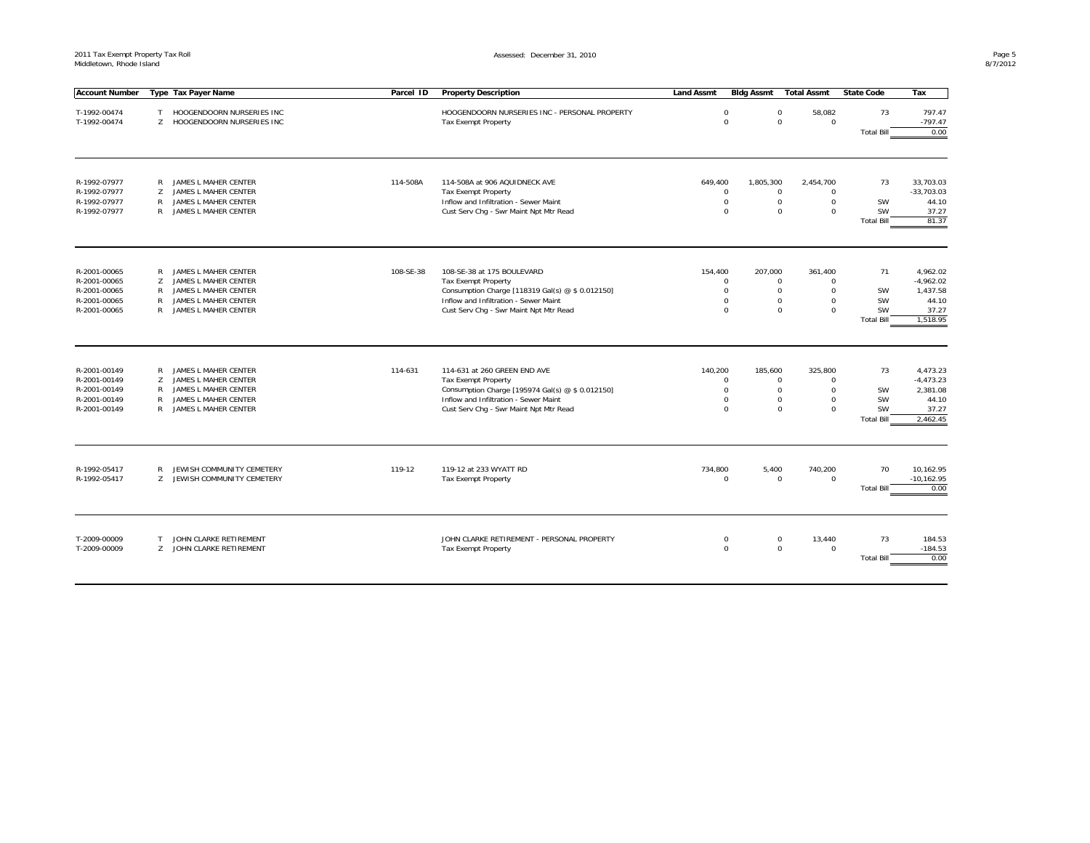| <b>Account Number</b>                                                        |                       | Type Tax Payer Name                                                                                                  | Parcel ID | <b>Property Description</b>                                                                                                                                                                       | <b>Land Assmt</b> | Bidg Assmt                                              | <b>Total Assmt</b>                                                                                            | <b>State Code</b>                            | Tax                                                   |
|------------------------------------------------------------------------------|-----------------------|----------------------------------------------------------------------------------------------------------------------|-----------|---------------------------------------------------------------------------------------------------------------------------------------------------------------------------------------------------|-------------------|---------------------------------------------------------|---------------------------------------------------------------------------------------------------------------|----------------------------------------------|-------------------------------------------------------|
| T-1992-00474                                                                 | T                     | HOOGENDOORN NURSERIES INC                                                                                            |           | HOOGENDOORN NURSERIES INC - PERSONAL PROPERTY                                                                                                                                                     |                   | $\mathbf 0$                                             | 58,082<br>$\Omega$                                                                                            | 73                                           | 797.47                                                |
| T-1992-00474                                                                 | $\overline{7}$        | HOOGENDOORN NURSERIES INC                                                                                            |           | Tax Exempt Property                                                                                                                                                                               |                   | $\Omega$                                                | $\Omega$<br>$\mathbf 0$                                                                                       |                                              | $-797.47$                                             |
|                                                                              |                       |                                                                                                                      |           |                                                                                                                                                                                                   |                   |                                                         |                                                                                                               | <b>Total Bill</b>                            | 0.00                                                  |
|                                                                              |                       |                                                                                                                      |           |                                                                                                                                                                                                   |                   |                                                         |                                                                                                               |                                              |                                                       |
| R-1992-07977                                                                 | R                     | JAMES L MAHER CENTER                                                                                                 | 114-508A  | 114-508A at 906 AQUIDNECK AVE                                                                                                                                                                     | 649,400           | 1,805,300                                               | 2,454,700                                                                                                     | 73                                           | 33.703.03                                             |
| R-1992-07977                                                                 | Z                     | JAMES L MAHER CENTER                                                                                                 |           | <b>Tax Exempt Property</b>                                                                                                                                                                        |                   | 0                                                       | $\mathbf 0$<br>$\Omega$                                                                                       |                                              | $-33,703.03$                                          |
| R-1992-07977                                                                 | R                     | JAMES L MAHER CENTER                                                                                                 |           | Inflow and Infiltration - Sewer Maint                                                                                                                                                             |                   | 0                                                       | $\mathbf 0$<br>$\mathbf 0$                                                                                    | SW                                           | 44.10                                                 |
| R-1992-07977                                                                 | $\mathsf{R}$          | JAMES L MAHER CENTER                                                                                                 |           | Cust Serv Chq - Swr Maint Npt Mtr Read                                                                                                                                                            |                   | $\Omega$                                                | $\mathbf 0$<br>$\mathbf 0$                                                                                    | SW<br><b>Total Bill</b>                      | 37.27<br>81.37                                        |
|                                                                              |                       |                                                                                                                      |           |                                                                                                                                                                                                   |                   |                                                         |                                                                                                               |                                              |                                                       |
| R-2001-00065                                                                 | R                     | JAMES L MAHER CENTER                                                                                                 | 108-SE-38 | 108-SE-38 at 175 BOULEVARD                                                                                                                                                                        | 154,400           | 207,000                                                 | 361,400                                                                                                       | 71                                           | 4,962.02                                              |
| R-2001-00065                                                                 | Z                     | JAMES L MAHER CENTER                                                                                                 |           | <b>Tax Exempt Property</b>                                                                                                                                                                        |                   | $\Omega$                                                | $\mathbf 0$<br>$\Omega$                                                                                       |                                              | $-4,962.02$                                           |
| R-2001-00065                                                                 | R                     | JAMES L MAHER CENTER                                                                                                 |           | Consumption Charge [118319 Gal(s) @ \$ 0.012150]                                                                                                                                                  |                   | $\Omega$                                                | $\mathbf 0$<br>$\Omega$                                                                                       | SW                                           | 1,437.58                                              |
| R-2001-00065<br>R-2001-00065                                                 | R<br>R                | JAMES L MAHER CENTER<br>JAMES L MAHER CENTER                                                                         |           | Inflow and Infiltration - Sewer Maint<br>Cust Serv Chg - Swr Maint Npt Mtr Read                                                                                                                   |                   | $\Omega$<br>$\Omega$                                    | $\mathsf 0$<br>$\Omega$<br>$\Omega$<br>$\mathbf 0$                                                            | SW<br>SW                                     | 44.10<br>37.27                                        |
|                                                                              |                       |                                                                                                                      |           |                                                                                                                                                                                                   |                   |                                                         |                                                                                                               | <b>Total Bill</b>                            | 1,518.95                                              |
| R-2001-00149<br>R-2001-00149<br>R-2001-00149<br>R-2001-00149<br>R-2001-00149 | R<br>Z<br>R<br>R<br>R | JAMES L MAHER CENTER<br>JAMES L MAHER CENTER<br>JAMES L MAHER CENTER<br>JAMES L MAHER CENTER<br>JAMES L MAHER CENTER | 114-631   | 114-631 at 260 GREEN END AVE<br><b>Tax Exempt Property</b><br>Consumption Charge [195974 Gal(s) @ \$ 0.012150]<br>Inflow and Infiltration - Sewer Maint<br>Cust Serv Chg - Swr Maint Npt Mtr Read | 140,200           | 185,600<br>$\Omega$<br>$\Omega$<br>$\Omega$<br>$\Omega$ | 325,800<br>$\Omega$<br>$\Omega$<br>$\Omega$<br>$\Omega$<br>$\mathbf 0$<br>$\Omega$<br>$\mathbf 0$<br>$\Omega$ | 73<br>SW<br>SW<br>SW                         | 4,473.23<br>$-4,473.23$<br>2,381.08<br>44.10<br>37.27 |
| R-1992-05417<br>R-1992-05417                                                 | R<br>Z                | JEWISH COMMUNITY CEMETERY<br>JEWISH COMMUNITY CEMETERY                                                               | 119-12    | 119-12 at 233 WYATT RD<br><b>Tax Exempt Property</b>                                                                                                                                              | 734,800           | 5,400<br>0                                              | 740,200<br>$\mathbf 0$<br>$\Omega$                                                                            | <b>Total Bill</b><br>70<br><b>Total Bill</b> | 2,462.45<br>10,162.95<br>$-10, 162.95$<br>0.00        |
| T-2009-00009<br>T-2009-00009                                                 | T                     | JOHN CLARKE RETIREMENT<br>Z JOHN CLARKE RETIREMENT                                                                   |           | JOHN CLARKE RETIREMENT - PERSONAL PROPERTY<br>Tax Exempt Property                                                                                                                                 |                   | 0<br>$\mathbf 0$                                        | $\mathbf 0$<br>13,440<br>$\mathbf 0$<br>$\mathbf 0$                                                           | 73<br><b>Total Bill</b>                      | 184.53<br>$-184.53$<br>0.00                           |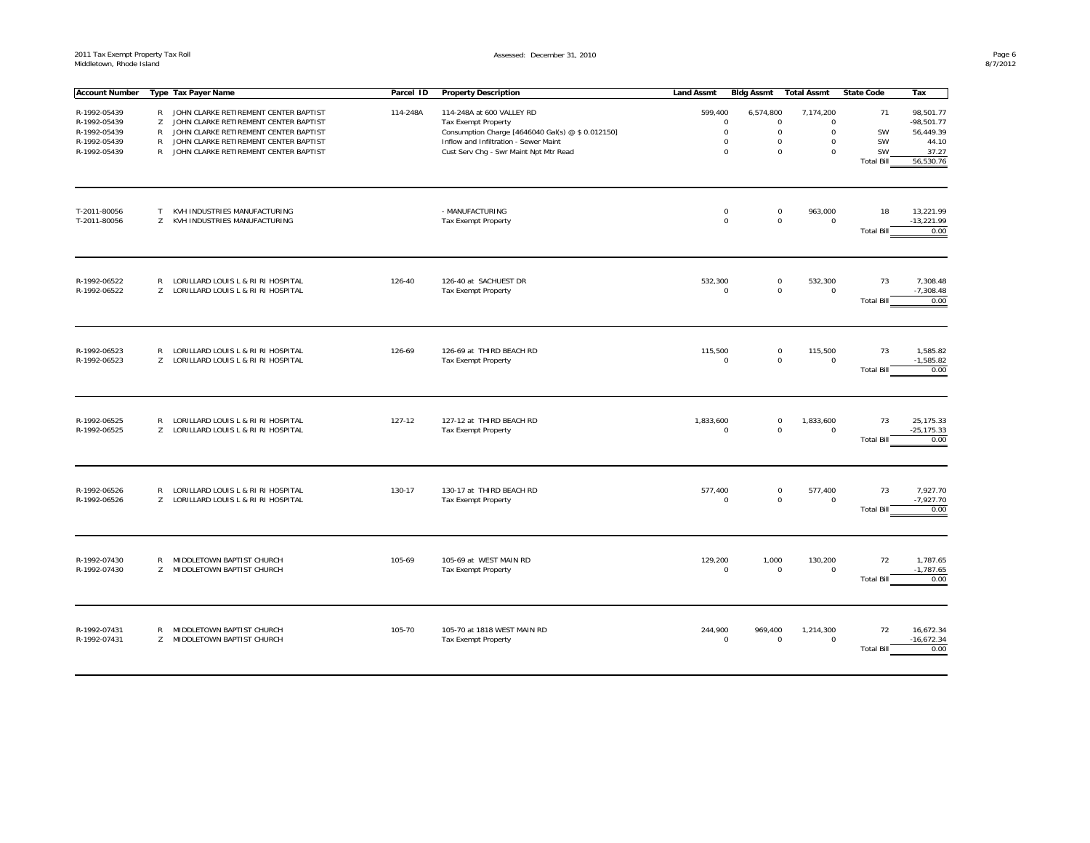| <b>Account Number</b>        |                   | Type Tax Payer Name                                                            | Parcel ID | <b>Property Description</b>                                                     | <b>Land Assmt</b>      | <b>Bidg Assmt</b> | <b>Total Assmt</b>                    | <b>State Code</b> | Tax                       |
|------------------------------|-------------------|--------------------------------------------------------------------------------|-----------|---------------------------------------------------------------------------------|------------------------|-------------------|---------------------------------------|-------------------|---------------------------|
| R-1992-05439                 | $\mathsf{R}$      | JOHN CLARKE RETIREMENT CENTER BAPTIST                                          | 114-248A  | 114-248A at 600 VALLEY RD                                                       |                        |                   |                                       | 71                |                           |
| R-1992-05439                 |                   |                                                                                |           |                                                                                 | 599,400<br>$\mathbf 0$ | 6,574,800         | 7,174,200<br>$\Omega$                 |                   | 98,501.77                 |
| R-1992-05439                 | Z<br>$\mathsf{R}$ | JOHN CLARKE RETIREMENT CENTER BAPTIST<br>JOHN CLARKE RETIREMENT CENTER BAPTIST |           | <b>Tax Exempt Property</b><br>Consumption Charge [4646040 Gal(s) @ \$ 0.012150] | $\mathbf 0$            |                   | 0<br>$\mathsf{O}\xspace$<br>$\Omega$  | SW                | $-98,501.77$<br>56,449.39 |
| R-1992-05439                 | $\mathsf{R}$      | JOHN CLARKE RETIREMENT CENTER BAPTIST                                          |           | Inflow and Infiltration - Sewer Maint                                           | $\mathbf 0$            |                   | $\mathsf 0$<br>$\mathbf 0$            | SW                | 44.10                     |
| R-1992-05439                 | $\mathsf{R}$      | JOHN CLARKE RETIREMENT CENTER BAPTIST                                          |           | Cust Serv Chg - Swr Maint Npt Mtr Read                                          | $\mathbf 0$            |                   | $\mathbf 0$<br>$\mathbf 0$            | SW                | 37.27                     |
|                              |                   |                                                                                |           |                                                                                 |                        |                   |                                       | <b>Total Bill</b> | 56,530.76                 |
|                              |                   |                                                                                |           |                                                                                 |                        |                   |                                       |                   |                           |
|                              |                   |                                                                                |           |                                                                                 |                        |                   |                                       |                   |                           |
| T-2011-80056                 | T                 | KVH INDUSTRIES MANUFACTURING                                                   |           | - MANUFACTURING                                                                 | $\mathbf 0$            |                   | 963,000<br>$\mathbf 0$                | 18                | 13,221.99                 |
| T-2011-80056                 | Z                 | KVH INDUSTRIES MANUFACTURING                                                   |           | <b>Tax Exempt Property</b>                                                      | $\Omega$               |                   | $\mathbf 0$<br>$\mathbf 0$            |                   | $-13,221.99$              |
|                              |                   |                                                                                |           |                                                                                 |                        |                   |                                       | <b>Total Bill</b> | 0.00                      |
| R-1992-06522                 | $\mathsf{R}$      | LORILLARD LOUIS L & RI RI HOSPITAL                                             | 126-40    | 126-40 at SACHUEST DR                                                           | 532,300                |                   | 532,300<br>$\mathbf 0$                | 73                | 7,308.48                  |
| R-1992-06522                 | Z                 | LORILLARD LOUIS L & RI RI HOSPITAL                                             |           | <b>Tax Exempt Property</b>                                                      | $\mathbf 0$            |                   | $\mathbf 0$<br>$\mathbf 0$            | <b>Total Bill</b> | $-7,308.48$<br>0.00       |
|                              |                   |                                                                                |           |                                                                                 |                        |                   |                                       |                   |                           |
| R-1992-06523                 | $\mathsf{R}$      | LORILLARD LOUIS L & RI RI HOSPITAL                                             | 126-69    | 126-69 at THIRD BEACH RD                                                        | 115,500                |                   | $\mathsf{O}\xspace$<br>115,500        | 73                | 1,585.82                  |
| R-1992-06523                 |                   | Z LORILLARD LOUIS L & RI RI HOSPITAL                                           |           | <b>Tax Exempt Property</b>                                                      | $\Omega$               |                   | $\mathbf 0$<br>$\mathbf 0$            |                   | $-1,585.82$               |
|                              |                   |                                                                                |           |                                                                                 |                        |                   |                                       | <b>Total Bill</b> | 0.00                      |
|                              |                   |                                                                                |           |                                                                                 |                        |                   |                                       |                   |                           |
| R-1992-06525                 | $\mathsf{R}$      | LORILLARD LOUIS L & RI RI HOSPITAL                                             | 127-12    | 127-12 at THIRD BEACH RD                                                        | 1,833,600              |                   | 1,833,600<br>$\mathbf 0$              | 73                | 25,175.33                 |
| R-1992-06525                 | Z                 | LORILLARD LOUIS L & RI RI HOSPITAL                                             |           | <b>Tax Exempt Property</b>                                                      | $\mathbf 0$            |                   | $\mathbf 0$<br>$\mathbf 0$            |                   | $-25, 175.33$             |
|                              |                   |                                                                                |           |                                                                                 |                        |                   |                                       | <b>Total Bill</b> | 0.00                      |
|                              |                   |                                                                                |           |                                                                                 |                        |                   |                                       |                   |                           |
| R-1992-06526                 | $\mathsf{R}$      | LORILLARD LOUIS L & RI RI HOSPITAL                                             | 130-17    | 130-17 at THIRD BEACH RD                                                        | 577,400                |                   | 577,400<br>$\mathbf 0$                | 73                | 7,927.70                  |
| R-1992-06526                 | Z.                | LORILLARD LOUIS L & RI RI HOSPITAL                                             |           | <b>Tax Exempt Property</b>                                                      | $\Omega$               |                   | $\mathsf{O}\xspace$<br>$\mathbf 0$    | <b>Total Bill</b> | $-7,927.70$<br>0.00       |
|                              |                   |                                                                                |           |                                                                                 |                        |                   |                                       |                   |                           |
|                              |                   |                                                                                |           |                                                                                 |                        |                   |                                       |                   |                           |
| R-1992-07430<br>R-1992-07430 | $\mathsf{R}$<br>Z | MIDDLETOWN BAPTIST CHURCH<br>MIDDLETOWN BAPTIST CHURCH                         | 105-69    | 105-69 at WEST MAIN RD<br><b>Tax Exempt Property</b>                            | 129,200<br>$\mathbf 0$ | 1,000             | 130,200<br>$\mathbf 0$<br>$\mathbf 0$ | 72                | 1,787.65<br>$-1,787.65$   |
|                              |                   |                                                                                |           |                                                                                 |                        |                   |                                       | <b>Total Bill</b> | 0.00                      |
|                              |                   |                                                                                |           |                                                                                 |                        |                   |                                       |                   |                           |
| R-1992-07431                 | R                 | MIDDLETOWN BAPTIST CHURCH                                                      | 105-70    | 105-70 at 1818 WEST MAIN RD                                                     | 244,900                | 969,400           | 1,214,300                             | 72                | 16,672.34                 |
| R-1992-07431                 | Z.                | MIDDLETOWN BAPTIST CHURCH                                                      |           | <b>Tax Exempt Property</b>                                                      | $\mathbf 0$            |                   | $\mathbf 0$<br>$\mathbf 0$            |                   | $-16,672.34$              |
|                              |                   |                                                                                |           |                                                                                 |                        |                   |                                       | <b>Total Bill</b> | 0.00                      |
|                              |                   |                                                                                |           |                                                                                 |                        |                   |                                       |                   |                           |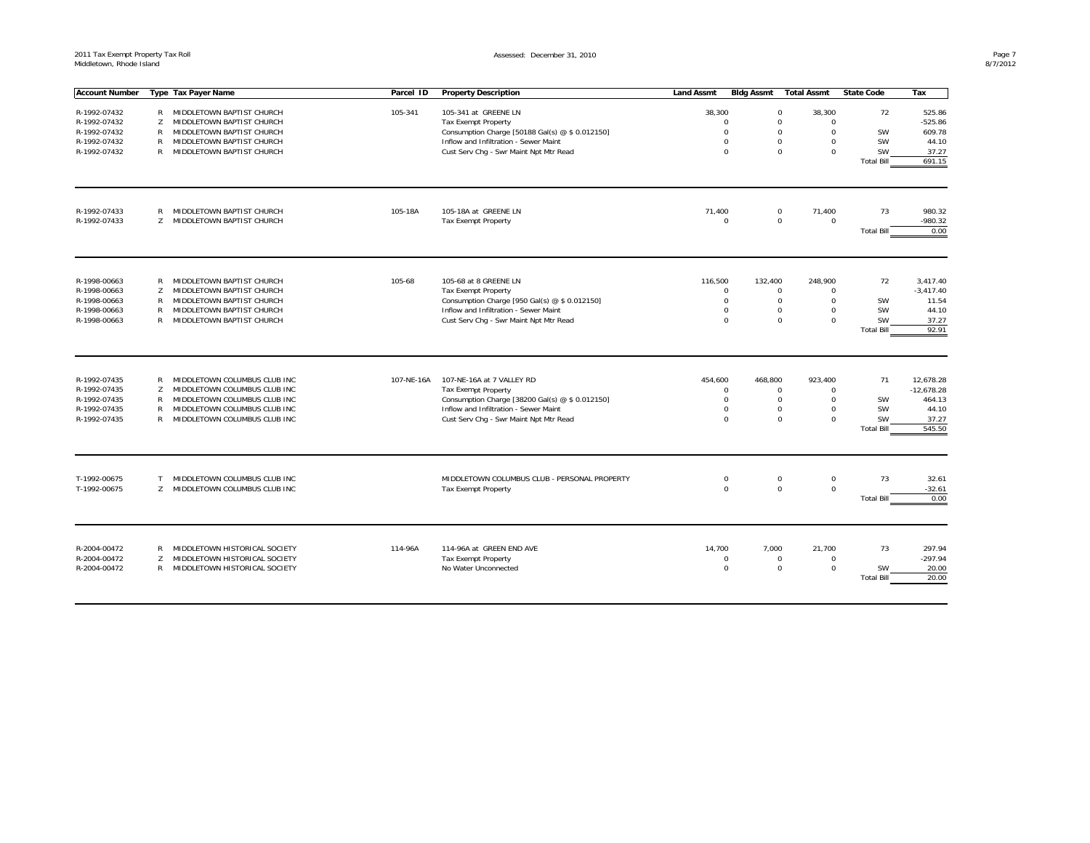| <b>Account Number</b>        |                   | Type Tax Payer Name                                          | Parcel ID  | <b>Property Description</b>                     | <b>Land Assmt</b> | Bidg Assmt              | <b>Total Assmt</b>                                     | <b>State Code</b>              | Tax               |
|------------------------------|-------------------|--------------------------------------------------------------|------------|-------------------------------------------------|-------------------|-------------------------|--------------------------------------------------------|--------------------------------|-------------------|
|                              |                   |                                                              |            |                                                 |                   |                         |                                                        |                                |                   |
| R-1992-07432                 |                   | R MIDDLETOWN BAPTIST CHURCH                                  | 105-341    | 105-341 at GREENE LN                            | 38,300            |                         | $\mathbf 0$<br>38,300                                  | 72                             | 525.86            |
| R-1992-07432                 | Z                 | MIDDLETOWN BAPTIST CHURCH                                    |            | <b>Tax Exempt Property</b>                      |                   | $\Omega$                | $\mathbf 0$<br>$\Omega$                                |                                | $-525.86$         |
| R-1992-07432                 | R                 | MIDDLETOWN BAPTIST CHURCH                                    |            | Consumption Charge [50188 Gal(s) @ \$ 0.012150] |                   | $\Omega$<br>$\Omega$    | $\mathbf 0$<br>$\Omega$<br>$\Omega$                    | <b>SW</b><br><b>SW</b>         | 609.78            |
| R-1992-07432                 | R<br>$\mathsf{R}$ | MIDDLETOWN BAPTIST CHURCH                                    |            | Inflow and Infiltration - Sewer Maint           |                   | $\Omega$                | $\Omega$<br>$\Omega$                                   |                                | 44.10             |
| R-1992-07432                 |                   | MIDDLETOWN BAPTIST CHURCH                                    |            | Cust Serv Chg - Swr Maint Npt Mtr Read          |                   |                         | $\mathbf 0$                                            | SW<br><b>Total Bill</b>        | 37.27<br>691.15   |
|                              |                   |                                                              |            |                                                 |                   |                         |                                                        |                                |                   |
| R-1992-07433                 | R                 | MIDDLETOWN BAPTIST CHURCH                                    | 105-18A    | 105-18A at GREENE LN                            | 71,400            |                         | $\mathbf 0$<br>71,400                                  | 73                             | 980.32            |
| R-1992-07433                 | Z                 | MIDDLETOWN BAPTIST CHURCH                                    |            | <b>Tax Exempt Property</b>                      |                   | $\Omega$                | $\mathbf 0$<br>$\Omega$                                |                                | -980.32           |
|                              |                   |                                                              |            |                                                 |                   |                         |                                                        | <b>Total Bill</b>              | 0.00              |
| R-1998-00663                 | R                 | MIDDLETOWN BAPTIST CHURCH                                    | 105-68     | 105-68 at 8 GREENE LN                           | 116,500           | 132,400                 | 248,900                                                | 72                             | 3,417.40          |
| R-1998-00663                 | Z                 | MIDDLETOWN BAPTIST CHURCH                                    |            | <b>Tax Exempt Property</b>                      |                   | $\mathbf 0$             | $\mathbf 0$<br>$\Omega$                                |                                | $-3,417.40$       |
| R-1998-00663                 | $\mathsf{R}$      | MIDDLETOWN BAPTIST CHURCH                                    |            | Consumption Charge [950 Gal(s) @ \$ 0.012150]   |                   | $\mathbf 0$             | $\mathbf 0$<br>$\Omega$                                | <b>SW</b>                      | 11.54             |
| R-1998-00663                 | R                 | MIDDLETOWN BAPTIST CHURCH                                    |            | Inflow and Infiltration - Sewer Maint           |                   | $\Omega$                | 0<br>$\Omega$                                          | <b>SW</b>                      | 44.10             |
| R-1998-00663                 | $\mathsf{R}$      | MIDDLETOWN BAPTIST CHURCH                                    |            | Cust Serv Chg - Swr Maint Npt Mtr Read          |                   | $\Omega$                | $\mathbf 0$<br>$\Omega$                                | SW                             | 37.27             |
|                              |                   |                                                              |            |                                                 |                   |                         |                                                        | <b>Total Bill</b>              | 92.91             |
| R-1992-07435                 | R                 | MIDDLETOWN COLUMBUS CLUB INC                                 | 107-NE-16A | 107-NE-16A at 7 VALLEY RD                       | 454,600           | 468.800                 | 923.400                                                | 71                             | 12,678.28         |
| R-1992-07435                 | Z                 | MIDDLETOWN COLUMBUS CLUB INC                                 |            | <b>Tax Exempt Property</b>                      |                   | $\Omega$                | $\mathbf 0$<br>$\Omega$                                |                                | $-12,678.28$      |
| R-1992-07435                 | R                 | MIDDLETOWN COLUMBUS CLUB INC                                 |            | Consumption Charge [38200 Gal(s) @ \$ 0.012150] |                   | $\Omega$                | $\Omega$<br>$\mathbf 0$                                | SW                             | 464.13            |
| R-1992-07435                 | R                 | MIDDLETOWN COLUMBUS CLUB INC                                 |            | Inflow and Infiltration - Sewer Maint           |                   | $\Omega$                | $\mathbf 0$<br>$\Omega$                                | SW                             | 44.10             |
| R-1992-07435                 | $\mathsf{R}$      | MIDDLETOWN COLUMBUS CLUB INC                                 |            | Cust Serv Chq - Swr Maint Npt Mtr Read          |                   | $\Omega$                | $\Omega$<br>$\mathbf 0$                                | <b>SW</b>                      | 37.27             |
|                              |                   |                                                              |            |                                                 |                   |                         |                                                        | <b>Total Bill</b>              | 545.50            |
|                              |                   |                                                              |            |                                                 |                   |                         |                                                        |                                |                   |
| T-1992-00675<br>T-1992-00675 | T<br>Z            | MIDDLETOWN COLUMBUS CLUB INC<br>MIDDLETOWN COLUMBUS CLUB INC |            | MIDDLETOWN COLUMBUS CLUB - PERSONAL PROPERTY    |                   | $\mathbf 0$<br>$\Omega$ | $\mathsf{O}\xspace$<br>0<br>$\mathbf 0$<br>$\mathbf 0$ | 73                             | 32.61<br>$-32.61$ |
|                              |                   |                                                              |            | <b>Tax Exempt Property</b>                      |                   |                         |                                                        | <b>Total Bill</b>              | 0.00              |
|                              |                   |                                                              |            |                                                 |                   |                         |                                                        |                                |                   |
| R-2004-00472                 | R                 | MIDDLETOWN HISTORICAL SOCIETY                                | 114-96A    | 114-96A at GREEN END AVE                        | 14,700            | 7,000                   | 21,700                                                 | 73                             | 297.94            |
| R-2004-00472                 | Z                 | MIDDLETOWN HISTORICAL SOCIETY                                |            | <b>Tax Exempt Property</b>                      |                   | $\mathbf 0$             | $\mathbf 0$<br>$\Omega$                                |                                | $-297.94$         |
| R-2004-00472                 | R                 | MIDDLETOWN HISTORICAL SOCIETY                                |            | No Water Unconnected                            |                   | $\mathbf 0$             | $\mathbf 0$<br>0                                       | <b>SW</b><br><b>Total Bill</b> | 20.00<br>20.00    |
|                              |                   |                                                              |            |                                                 |                   |                         |                                                        |                                |                   |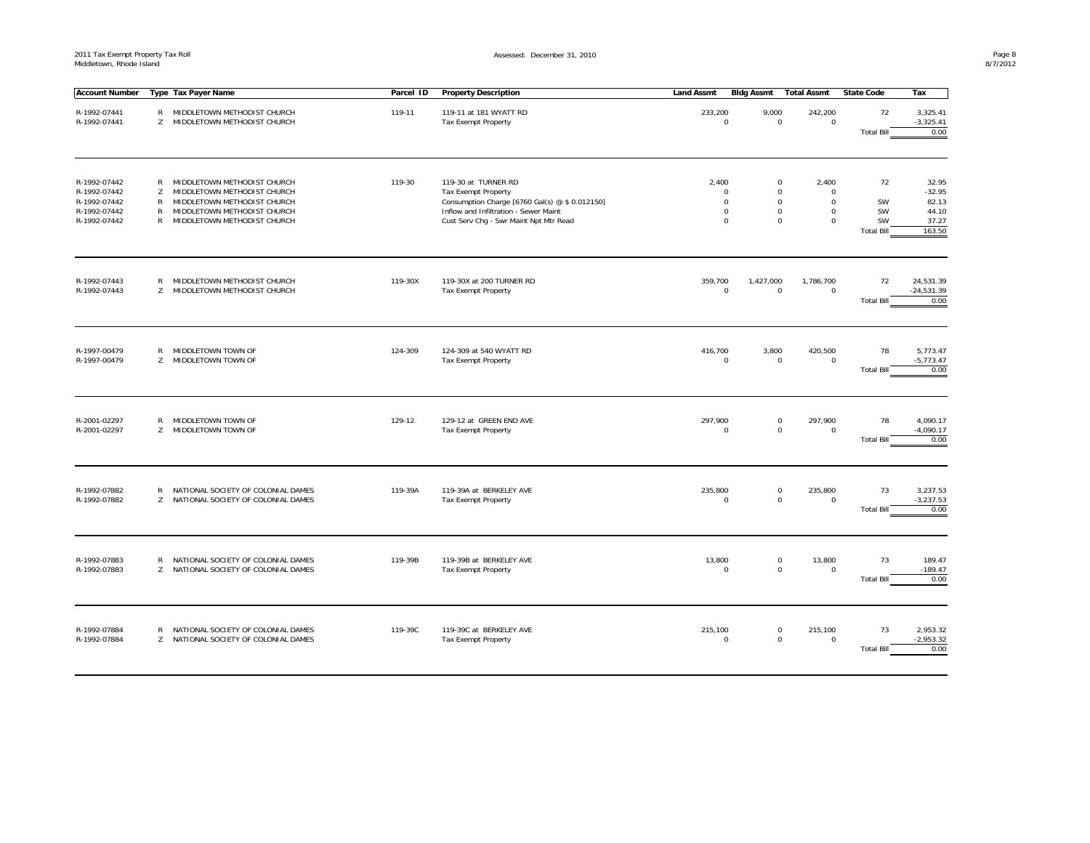| <b>Account Number</b>                                                        |                                  | Type Tax Payer Name                                                                                                                                     | Parcel ID | <b>Property Description</b>                                                                                                                                                            | <b>Land Assmt</b>                                                 | <b>Bldg Assmt</b>                                   | <b>Total Assmt</b>                                                | <b>State Code</b>                         | Tax                                                    |
|------------------------------------------------------------------------------|----------------------------------|---------------------------------------------------------------------------------------------------------------------------------------------------------|-----------|----------------------------------------------------------------------------------------------------------------------------------------------------------------------------------------|-------------------------------------------------------------------|-----------------------------------------------------|-------------------------------------------------------------------|-------------------------------------------|--------------------------------------------------------|
| R-1992-07441<br>R-1992-07441                                                 | $\mathsf{R}$<br>Z                | MIDDLETOWN METHODIST CHURCH<br>MIDDLETOWN METHODIST CHURCH                                                                                              | 119-11    | 119-11 at 181 WYATT RD<br><b>Tax Exempt Property</b>                                                                                                                                   | 233,200<br>$\mathbf 0$                                            | 9,000<br>$\mathbf 0$                                | 242,200<br>$\mathbf 0$                                            | 72<br><b>Total Bill</b>                   | 3,325.41<br>$-3,325.41$<br>0.00                        |
| R-1992-07442<br>R-1992-07442<br>R-1992-07442<br>R-1992-07442<br>R-1992-07442 | R<br>Z<br>$\mathsf{R}$<br>R<br>R | MIDDLETOWN METHODIST CHURCH<br>MIDDLETOWN METHODIST CHURCH<br>MIDDLETOWN METHODIST CHURCH<br>MIDDLETOWN METHODIST CHURCH<br>MIDDLETOWN METHODIST CHURCH | 119-30    | 119-30 at TURNER RD<br><b>Tax Exempt Property</b><br>Consumption Charge [6760 Gal(s) @ \$ 0.012150]<br>Inflow and Infiltration - Sewer Maint<br>Cust Serv Chq - Swr Maint Npt Mtr Read | 2,400<br>$\mathbf 0$<br>$\mathbf 0$<br>$\mathbf 0$<br>$\mathbf 0$ | 0<br>0<br>$\mathbf 0$<br>$\mathbf 0$<br>$\mathbf 0$ | 2,400<br>$\mathbf 0$<br>$\mathbf 0$<br>$\mathbf 0$<br>$\mathbf 0$ | 72<br>SW<br>SW<br>SW<br><b>Total Bill</b> | 32.95<br>$-32.95$<br>82.13<br>44.10<br>37.27<br>163.50 |
| R-1992-07443<br>R-1992-07443                                                 | $\mathsf{R}$<br>Z                | MIDDLETOWN METHODIST CHURCH<br>MIDDLETOWN METHODIST CHURCH                                                                                              | 119-30X   | 119-30X at 200 TURNER RD<br><b>Tax Exempt Property</b>                                                                                                                                 | 359,700<br>$\mathbf 0$                                            | 1,427,000<br>$\mathbf 0$                            | 1,786,700<br>$\mathbf 0$                                          | 72<br><b>Total Bill</b>                   | 24,531.39<br>$-24,531.39$<br>0.00                      |
| R-1997-00479<br>R-1997-00479                                                 | $\mathsf{R}$<br>Z                | MIDDLETOWN TOWN OF<br>MIDDLETOWN TOWN OF                                                                                                                | 124-309   | 124-309 at 540 WYATT RD<br><b>Tax Exempt Property</b>                                                                                                                                  | 416,700<br>$\mathbf 0$                                            | 3,800<br>$\mathbf 0$                                | 420,500<br>$\Omega$                                               | 78<br><b>Total Bill</b>                   | 5,773.47<br>$-5,773.47$<br>0.00                        |
| R-2001-02297<br>R-2001-02297                                                 | $\mathsf{R}$<br>Z                | MIDDLETOWN TOWN OF<br>MIDDLETOWN TOWN OF                                                                                                                | 129-12    | 129-12 at GREEN END AVE<br>Tax Exempt Property                                                                                                                                         | 297,900<br>$\mathbf 0$                                            | $\mathbf 0$<br>$\mathsf{O}\xspace$                  | 297,900<br>$\mathsf{O}\xspace$                                    | 78<br><b>Total Bill</b>                   | 4,090.17<br>$-4,090.17$<br>0.00                        |
| R-1992-07882<br>R-1992-07882                                                 | R<br>Z                           | NATIONAL SOCIETY OF COLONIAL DAMES<br>NATIONAL SOCIETY OF COLONIAL DAMES                                                                                | 119-39A   | 119-39A at BERKELEY AVE<br>Tax Exempt Property                                                                                                                                         | 235,800<br>$\mathbf 0$                                            | $\mathbf 0$<br>$\mathbf 0$                          | 235,800<br>$\mathbf 0$                                            | 73<br><b>Total Bill</b>                   | 3,237.53<br>$-3,237.53$<br>0.00                        |
| R-1992-07883<br>R-1992-07883                                                 | R<br>Z                           | NATIONAL SOCIETY OF COLONIAL DAMES<br>NATIONAL SOCIETY OF COLONIAL DAMES                                                                                | 119-39B   | 119-39B at BERKELEY AVE<br><b>Tax Exempt Property</b>                                                                                                                                  | 13,800<br>$\mathbf 0$                                             | 0<br>$\mathbf 0$                                    | 13,800<br>$\mathbf 0$                                             | 73<br><b>Total Bill</b>                   | 189.47<br>$-189.47$<br>0.00                            |
| R-1992-07884<br>R-1992-07884                                                 | R<br>Z.                          | NATIONAL SOCIETY OF COLONIAL DAMES<br>NATIONAL SOCIETY OF COLONIAL DAMES                                                                                | 119-39C   | 119-39C at BERKELEY AVE<br><b>Tax Exempt Property</b>                                                                                                                                  | 215,100<br>$\mathbf 0$                                            | $\mathsf 0$<br>$\mathbf 0$                          | 215,100<br>$\mathbf 0$                                            | 73<br><b>Total Bill</b>                   | 2,953.32<br>$-2,953.32$<br>0.00                        |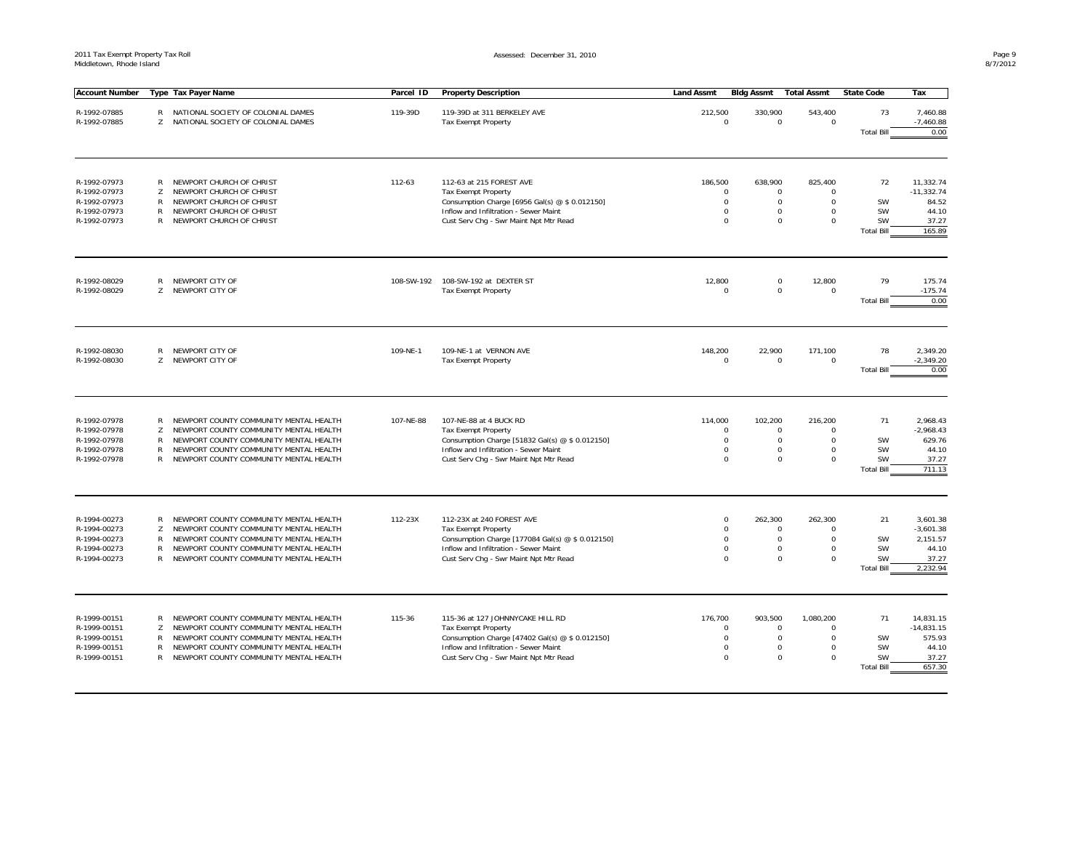| <b>Account Number</b>                                                        |                                             | Type Tax Payer Name                                                                                                                                                                                            | Parcel ID  | <b>Property Description</b>                                                                                                                                                                          | <b>Land Assmt</b> | <b>Bidg Assmt</b>                                                                    | <b>Total Assmt</b>                                                                                                                | <b>State Code</b>                         | Tax                                                               |
|------------------------------------------------------------------------------|---------------------------------------------|----------------------------------------------------------------------------------------------------------------------------------------------------------------------------------------------------------------|------------|------------------------------------------------------------------------------------------------------------------------------------------------------------------------------------------------------|-------------------|--------------------------------------------------------------------------------------|-----------------------------------------------------------------------------------------------------------------------------------|-------------------------------------------|-------------------------------------------------------------------|
| R-1992-07885<br>R-1992-07885                                                 | R<br>Z                                      | NATIONAL SOCIETY OF COLONIAL DAMES<br>NATIONAL SOCIETY OF COLONIAL DAMES                                                                                                                                       | 119-39D    | 119-39D at 311 BERKELEY AVE<br><b>Tax Exempt Property</b>                                                                                                                                            | 212,500           | 330,900<br>$\mathbf 0$                                                               | 543,400<br>$\mathbf 0$<br>$\mathbf 0$                                                                                             | 73<br><b>Total Bill</b>                   | 7,460.88<br>$-7,460.88$<br>0.00                                   |
| R-1992-07973<br>R-1992-07973<br>R-1992-07973<br>R-1992-07973<br>R-1992-07973 | R<br>Z<br>R<br>$\mathsf{R}$<br>R            | NEWPORT CHURCH OF CHRIST<br>NEWPORT CHURCH OF CHRIST<br>NEWPORT CHURCH OF CHRIST<br>NEWPORT CHURCH OF CHRIST<br>NEWPORT CHURCH OF CHRIST                                                                       | 112-63     | 112-63 at 215 FOREST AVE<br>Tax Exempt Property<br>Consumption Charge [6956 Gal(s) @ \$ 0.012150]<br>Inflow and Infiltration - Sewer Maint<br>Cust Serv Chg - Swr Maint Npt Mtr Read                 | 186,500           | 638,900<br>$\mathbf 0$<br>$\mathbf 0$<br>$\Omega$<br>$\Omega$                        | 825,400<br>$\mathbf 0$<br>$\mathbf 0$<br>$\mathbf 0$<br>$\Omega$<br>$\Omega$<br>$\Omega$<br>$\Omega$<br>$\mathbf 0$               | 72<br>SW<br>SW<br>SW<br><b>Total Bill</b> | 11,332.74<br>$-11,332.74$<br>84.52<br>44.10<br>37.27<br>165.89    |
| R-1992-08029<br>R-1992-08029                                                 | R<br>Z                                      | NEWPORT CITY OF<br>NEWPORT CITY OF                                                                                                                                                                             | 108-SW-192 | 108-SW-192 at DEXTER ST<br><b>Tax Exempt Property</b>                                                                                                                                                | 12,800            | $\mathbf 0$                                                                          | 12,800<br>$\mathbf 0$<br>$\mathbf 0$<br>$\mathbf 0$                                                                               | 79<br><b>Total Bill</b>                   | 175.74<br>$-175.74$<br>0.00                                       |
| R-1992-08030<br>R-1992-08030                                                 | R<br>Z                                      | NEWPORT CITY OF<br>NEWPORT CITY OF                                                                                                                                                                             | 109-NE-1   | 109-NE-1 at VERNON AVE<br><b>Tax Exempt Property</b>                                                                                                                                                 | 148,200           | 22,900<br>$\mathbf 0$                                                                | 171,100<br>$\mathbf 0$<br>$\mathbf 0$                                                                                             | 78<br><b>Total Bill</b>                   | 2,349.20<br>$-2,349.20$<br>0.00                                   |
| R-1992-07978<br>R-1992-07978<br>R-1992-07978<br>R-1992-07978<br>R-1992-07978 | R<br>Z<br>$\mathsf{R}$<br>R<br>$\mathsf{R}$ | NEWPORT COUNTY COMMUNITY MENTAL HEALTH<br>NEWPORT COUNTY COMMUNITY MENTAL HEALTH<br>NEWPORT COUNTY COMMUNITY MENTAL HEALTH<br>NEWPORT COUNTY COMMUNITY MENTAL HEALTH<br>NEWPORT COUNTY COMMUNITY MENTAL HEALTH | 107-NE-88  | 107-NE-88 at 4 BUCK RD<br><b>Tax Exempt Property</b><br>Consumption Charge [51832 Gal(s) @ \$ 0.012150]<br>Inflow and Infiltration - Sewer Maint<br>Cust Serv Chg - Swr Maint Npt Mtr Read           | 114,000           | 102,200<br>$\mathbf 0$<br>$\mathbf 0$<br>$\mathsf 0$<br>$\mathbf 0$                  | 216,200<br>$\mathbf 0$<br>$\mathbf 0$<br>$\mathbf 0$<br>$\mathbf 0$<br>$\Omega$<br>$\mathsf 0$<br>$\mathsf{O}\xspace$<br>$\Omega$ | 71<br>SW<br>SW<br>SW<br><b>Total Bill</b> | 2,968.43<br>$-2,968.43$<br>629.76<br>44.10<br>37.27<br>711.13     |
| R-1994-00273<br>R-1994-00273<br>R-1994-00273<br>R-1994-00273<br>R-1994-00273 | R<br>Z<br>R<br>R<br>R                       | NEWPORT COUNTY COMMUNITY MENTAL HEALTH<br>NEWPORT COUNTY COMMUNITY MENTAL HEALTH<br>NEWPORT COUNTY COMMUNITY MENTAL HEALTH<br>NEWPORT COUNTY COMMUNITY MENTAL HEALTH<br>NEWPORT COUNTY COMMUNITY MENTAL HEALTH | 112-23X    | 112-23X at 240 FOREST AVE<br><b>Tax Exempt Property</b><br>Consumption Charge [177084 Gal(s) @ \$ 0.012150]<br>Inflow and Infiltration - Sewer Maint<br>Cust Serv Chg - Swr Maint Npt Mtr Read       |                   | $\Omega$<br>262,300<br>$\mathsf{O}\xspace$<br>$\mathsf 0$<br>$\mathsf 0$<br>$\Omega$ | 262,300<br>0<br>$\mathbf 0$<br>$\mathsf 0$<br>$\mathsf 0$<br>$\Omega$<br>$\mathsf 0$<br>$\Omega$<br>$\mathbf 0$                   | 21<br>SW<br>SW<br>SW<br><b>Total Bill</b> | 3,601.38<br>$-3,601.38$<br>2,151.57<br>44.10<br>37.27<br>2,232.94 |
| R-1999-00151<br>R-1999-00151<br>R-1999-00151<br>R-1999-00151<br>R-1999-00151 | R<br>Z<br>R<br>R<br>$\mathsf{R}$            | NEWPORT COUNTY COMMUNITY MENTAL HEALTH<br>NEWPORT COUNTY COMMUNITY MENTAL HEALTH<br>NEWPORT COUNTY COMMUNITY MENTAL HEALTH<br>NEWPORT COUNTY COMMUNITY MENTAL HEALTH<br>NEWPORT COUNTY COMMUNITY MENTAL HEALTH | 115-36     | 115-36 at 127 JOHNNYCAKE HILL RD<br><b>Tax Exempt Property</b><br>Consumption Charge [47402 Gal(s) @ \$ 0.012150]<br>Inflow and Infiltration - Sewer Maint<br>Cust Serv Chq - Swr Maint Npt Mtr Read | 176,700           | 903,500<br>$\mathbf 0$<br>$\Omega$<br>$\mathbf 0$<br>$\mathbf 0$                     | 1,080,200<br>$\mathbf 0$<br>$\mathbf 0$<br>$\Omega$<br>$\mathbf 0$<br>$\Omega$<br>$\mathbf 0$<br>$\mathbf 0$<br>$\Omega$          | 71<br>SW<br>SW<br>SW<br><b>Total Bill</b> | 14,831.15<br>$-14,831.15$<br>575.93<br>44.10<br>37.27<br>657.30   |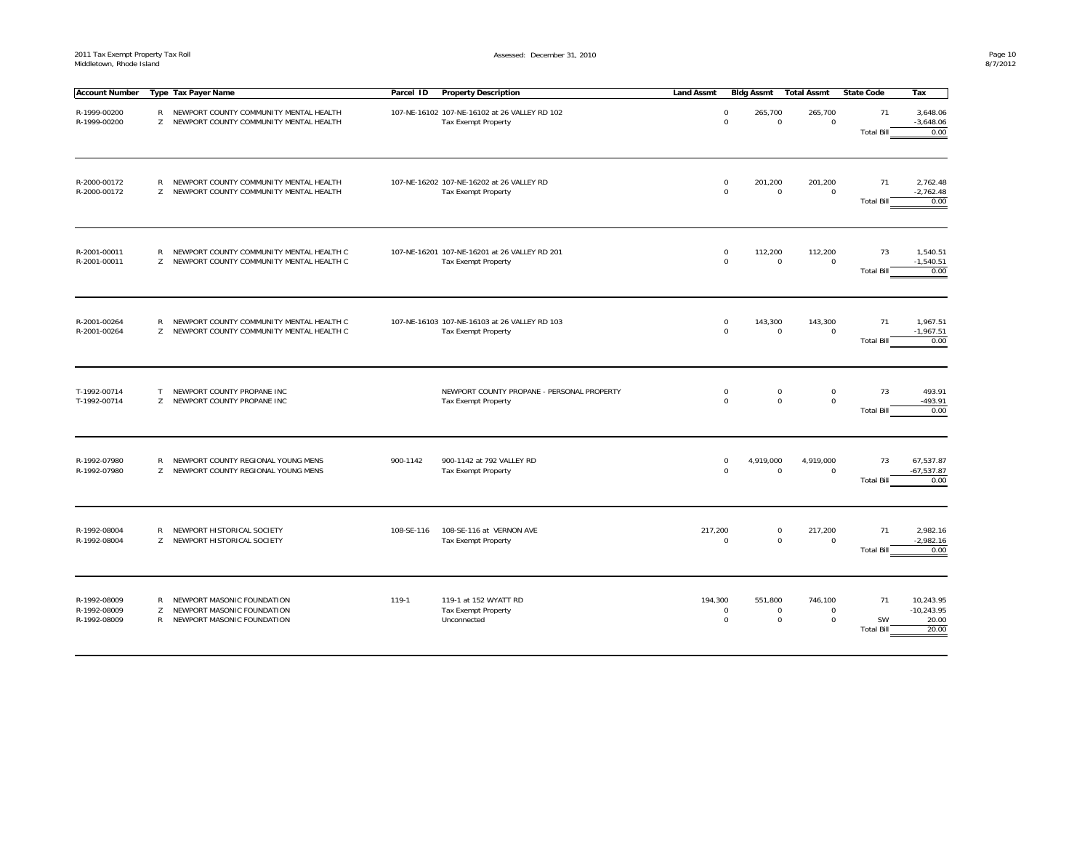$\mathbf{r}$ 

| <b>Account Number</b>                        |                    | Type Tax Payer Name                                                                    | Parcel ID  | <b>Property Description</b>                                                 | <b>Land Assmt</b> |                            | Bidg Assmt                            | <b>Total Assmt</b>                    | <b>State Code</b>             | Тах                                         |
|----------------------------------------------|--------------------|----------------------------------------------------------------------------------------|------------|-----------------------------------------------------------------------------|-------------------|----------------------------|---------------------------------------|---------------------------------------|-------------------------------|---------------------------------------------|
| R-1999-00200<br>R-1999-00200                 | R                  | NEWPORT COUNTY COMMUNITY MENTAL HEALTH<br>Z NEWPORT COUNTY COMMUNITY MENTAL HEALTH     |            | 107-NE-16102 107-NE-16102 at 26 VALLEY RD 102<br><b>Tax Exempt Property</b> |                   | 0<br>$\mathbf 0$           | 265,700<br>$\mathbf 0$                | 265,700<br>$\mathbf 0$                | 71<br><b>Total Bill</b>       | 3,648.06<br>$-3,648.06$<br>0.00             |
| R-2000-00172<br>R-2000-00172                 | R                  | NEWPORT COUNTY COMMUNITY MENTAL HEALTH<br>Z NEWPORT COUNTY COMMUNITY MENTAL HEALTH     |            | 107-NE-16202 107-NE-16202 at 26 VALLEY RD<br><b>Tax Exempt Property</b>     |                   | $\mathsf 0$<br>$\mathbf 0$ | 201,200<br>$\mathbf 0$                | 201,200<br>$\mathbf 0$                | 71<br><b>Total Bill</b>       | 2,762.48<br>$-2,762.48$<br>0.00             |
| R-2001-00011<br>R-2001-00011                 | $\mathsf{R}$<br>Z  | NEWPORT COUNTY COMMUNITY MENTAL HEALTH C<br>NEWPORT COUNTY COMMUNITY MENTAL HEALTH C   |            | 107-NE-16201 107-NE-16201 at 26 VALLEY RD 201<br><b>Tax Exempt Property</b> |                   | $\mathbf 0$<br>$\mathbf 0$ | 112,200<br>0                          | 112,200<br>$\mathbf 0$                | 73<br><b>Total Bill</b>       | 1,540.51<br>$-1,540.51$<br>0.00             |
| R-2001-00264<br>R-2001-00264                 | R<br>Z             | NEWPORT COUNTY COMMUNITY MENTAL HEALTH C<br>NEWPORT COUNTY COMMUNITY MENTAL HEALTH C   |            | 107-NE-16103 107-NE-16103 at 26 VALLEY RD 103<br><b>Tax Exempt Property</b> |                   | $\mathsf 0$<br>$\mathbf 0$ | 143,300<br>$\mathbf 0$                | 143,300<br>$\mathbf 0$                | 71<br><b>Total Bill</b>       | 1,967.51<br>$-1,967.51$<br>0.00             |
| T-1992-00714<br>T-1992-00714                 | T.<br>Z            | NEWPORT COUNTY PROPANE INC<br>NEWPORT COUNTY PROPANE INC                               |            | NEWPORT COUNTY PROPANE - PERSONAL PROPERTY<br>Tax Exempt Property           |                   | $\mathsf 0$<br>$\mathbf 0$ | $\mathsf 0$<br>$\mathbf 0$            | $\mathsf 0$<br>$\mathsf 0$            | 73<br><b>Total Bill</b>       | 493.91<br>$-493.91$<br>0.00                 |
| R-1992-07980<br>R-1992-07980                 | $\mathsf{R}$<br>Z. | NEWPORT COUNTY REGIONAL YOUNG MENS<br>NEWPORT COUNTY REGIONAL YOUNG MENS               | 900-1142   | 900-1142 at 792 VALLEY RD<br><b>Tax Exempt Property</b>                     |                   | $\mathbf 0$<br>$\mathbf 0$ | 4,919,000<br>$\mathbf 0$              | 4,919,000<br>$\mathbf 0$              | 73<br><b>Total Bill</b>       | 67,537.87<br>$-67,537.87$<br>0.00           |
| R-1992-08004<br>R-1992-08004                 | R                  | NEWPORT HISTORICAL SOCIETY<br>Z NEWPORT HISTORICAL SOCIETY                             | 108-SE-116 | 108-SE-116 at VERNON AVE<br><b>Tax Exempt Property</b>                      | 217,200           | $\mathbf 0$                | $\mathbf 0$<br>$\mathbf 0$            | 217,200<br>$\mathbf 0$                | 71<br><b>Total Bill</b>       | 2,982.16<br>$-2,982.16$<br>0.00             |
| R-1992-08009<br>R-1992-08009<br>R-1992-08009 | R<br>Z<br>R        | NEWPORT MASONIC FOUNDATION<br>NEWPORT MASONIC FOUNDATION<br>NEWPORT MASONIC FOUNDATION | 119-1      | 119-1 at 152 WYATT RD<br><b>Tax Exempt Property</b><br>Unconnected          | 194,300           | $\mathbf 0$<br>$\mathbf 0$ | 551,800<br>$\mathbf 0$<br>$\mathbf 0$ | 746,100<br>$\mathbf 0$<br>$\mathbf 0$ | 71<br>SW<br><b>Total Bill</b> | 10,243.95<br>$-10,243.95$<br>20.00<br>20.00 |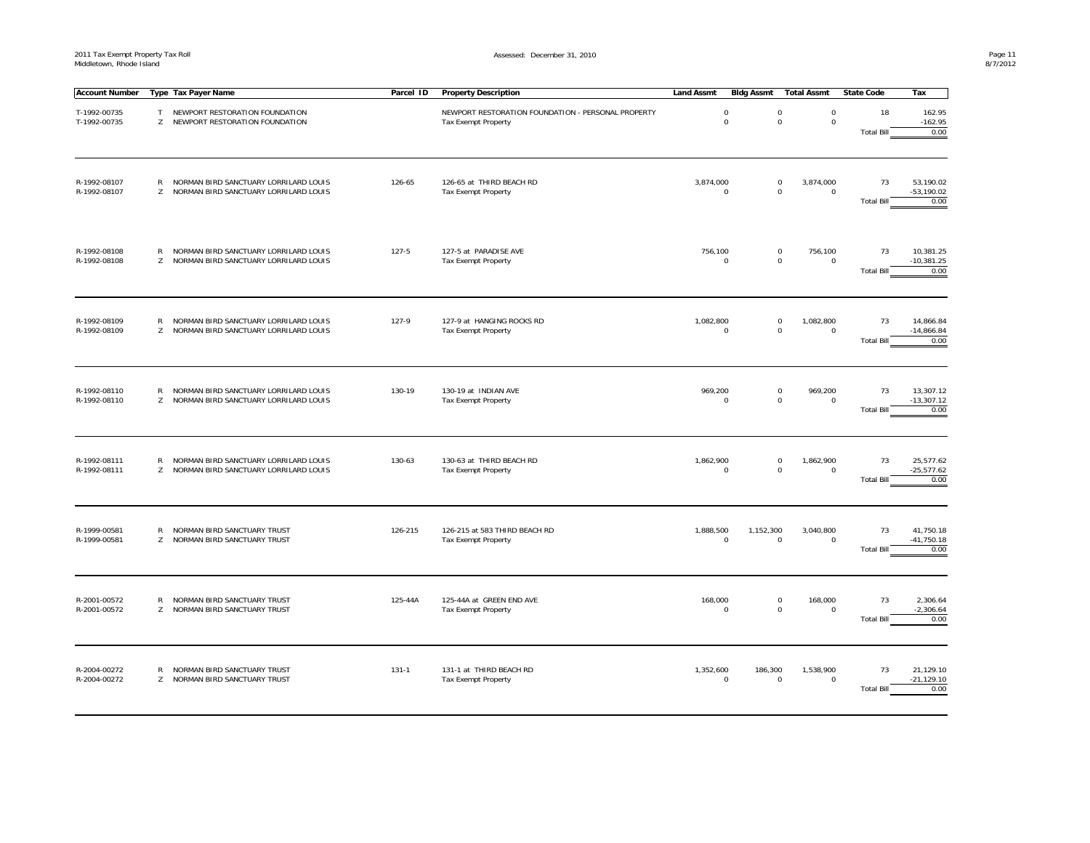| <b>Account Number</b>        |                   | Type Tax Payer Name                                                            | Parcel ID | <b>Property Description</b>                                                      | <b>Land Assmt</b> | <b>Bldg Assmt</b>          | <b>Total Assmt</b>                                                               | <b>State Code</b>       | Tax                                |
|------------------------------|-------------------|--------------------------------------------------------------------------------|-----------|----------------------------------------------------------------------------------|-------------------|----------------------------|----------------------------------------------------------------------------------|-------------------------|------------------------------------|
| T-1992-00735<br>T-1992-00735 | T<br>Z            | NEWPORT RESTORATION FOUNDATION<br>NEWPORT RESTORATION FOUNDATION               |           | NEWPORT RESTORATION FOUNDATION - PERSONAL PROPERTY<br><b>Tax Exempt Property</b> |                   | $\mathbf 0$<br>$\mathbf 0$ | $\mathsf 0$<br>$\mathsf{O}\xspace$<br>$\mathsf{O}\xspace$<br>$\mathsf{O}\xspace$ | 18<br><b>Total Bill</b> | 162.95<br>$-162.95$<br>0.00        |
| R-1992-08107<br>R-1992-08107 | $\mathsf{R}$<br>Z | NORMAN BIRD SANCTUARY LORRILARD LOUIS<br>NORMAN BIRD SANCTUARY LORRILARD LOUIS | 126-65    | 126-65 at THIRD BEACH RD<br><b>Tax Exempt Property</b>                           | 3,874,000         | $\mathbf 0$                | 3,874,000<br>$\mathsf 0$<br>$\mathbf 0$<br>$\mathbf 0$                           | 73<br><b>Total Bill</b> | 53,190.02<br>$-53,190.02$<br>0.00  |
| R-1992-08108<br>R-1992-08108 | R<br>Z            | NORMAN BIRD SANCTUARY LORRILARD LOUIS<br>NORMAN BIRD SANCTUARY LORRILARD LOUIS | $127 - 5$ | 127-5 at PARADISE AVE<br>Tax Exempt Property                                     | 756,100           | $^{\circ}$                 | 756,100<br>$\mathsf 0$<br>$\mathbf 0$<br>$\mathbf 0$                             | 73<br><b>Total Bill</b> | 10,381.25<br>$-10,381.25$<br>0.00  |
| R-1992-08109<br>R-1992-08109 | R<br>Z.           | NORMAN BIRD SANCTUARY LORRILARD LOUIS<br>NORMAN BIRD SANCTUARY LORRILARD LOUIS | 127-9     | 127-9 at HANGING ROCKS RD<br>Tax Exempt Property                                 | 1,082,800         | $\mathbf 0$                | $\mathsf 0$<br>1,082,800<br>$\mathbf 0$<br>$\mathbf 0$                           | 73<br><b>Total Bill</b> | 14,866.84<br>$-14,866.84$<br>0.00  |
| R-1992-08110<br>R-1992-08110 | R<br>Z            | NORMAN BIRD SANCTUARY LORRILARD LOUIS<br>NORMAN BIRD SANCTUARY LORRILARD LOUIS | 130-19    | 130-19 at INDIAN AVE<br><b>Tax Exempt Property</b>                               | 969,200           | $\mathbf 0$                | $\mathsf 0$<br>969,200<br>$\mathbf 0$<br>$\mathbf 0$                             | 73<br><b>Total Bill</b> | 13,307.12<br>$-13,307.12$<br>0.00  |
| R-1992-08111<br>R-1992-08111 | R<br>Z            | NORMAN BIRD SANCTUARY LORRILARD LOUIS<br>NORMAN BIRD SANCTUARY LORRILARD LOUIS | 130-63    | 130-63 at THIRD BEACH RD<br><b>Tax Exempt Property</b>                           | 1,862,900         | $\mathbf 0$                | $\mathsf 0$<br>1,862,900<br>$\mathbf 0$<br>$\mathbf 0$                           | 73<br><b>Total Bill</b> | 25,577.62<br>$-25,577.62$<br>0.00  |
| R-1999-00581<br>R-1999-00581 | $\mathsf{R}$<br>Z | NORMAN BIRD SANCTUARY TRUST<br>NORMAN BIRD SANCTUARY TRUST                     | 126-215   | 126-215 at 583 THIRD BEACH RD<br>Tax Exempt Property                             | 1,888,500         | 1,152,300<br>$\mathbf 0$   | 3,040,800<br>$\mathsf 0$<br>$\mathbf 0$                                          | 73<br><b>Total Bill</b> | 41,750.18<br>$-41,750.18$<br>0.00  |
| R-2001-00572<br>R-2001-00572 | $\mathsf{R}$      | NORMAN BIRD SANCTUARY TRUST<br>Z NORMAN BIRD SANCTUARY TRUST                   | 125-44A   | 125-44A at GREEN END AVE<br><b>Tax Exempt Property</b>                           | 168,000           | $\mathbf 0$                | $\mathsf 0$<br>168,000<br>$\mathbf 0$<br>$\mathbf 0$                             | 73<br><b>Total Bill</b> | 2,306.64<br>$-2,306.64$<br>0.00    |
| R-2004-00272<br>R-2004-00272 | R<br>Z            | NORMAN BIRD SANCTUARY TRUST<br>NORMAN BIRD SANCTUARY TRUST                     | $131 - 1$ | 131-1 at THIRD BEACH RD<br>Tax Exempt Property                                   | 1,352,600         | 186,300<br>$\mathbf 0$     | 1,538,900<br>$\mathsf 0$<br>$\mathbf 0$                                          | 73<br><b>Total Bill</b> | 21,129.10<br>$-21, 129.10$<br>0.00 |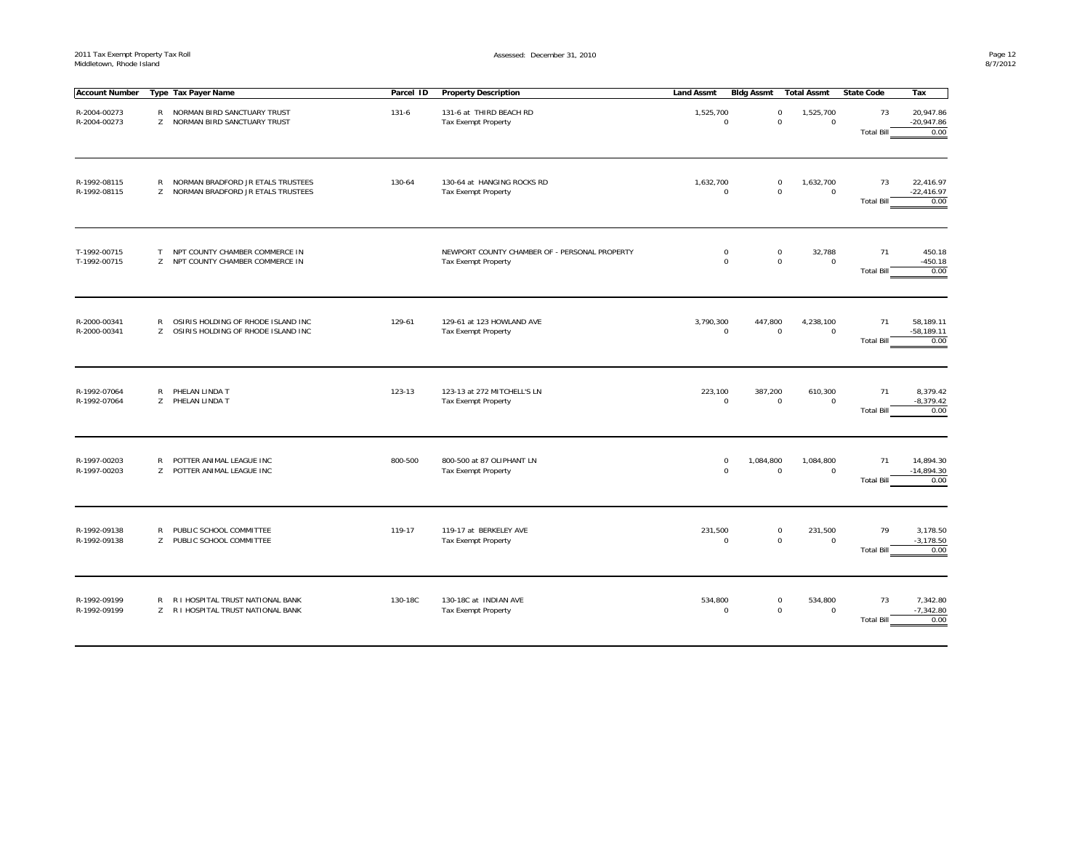| Account Number               |                    | Type Tax Payer Name                                                      | Parcel ID | <b>Property Description</b>                                                 | <b>Land Assmt</b>          | Bidg Assmt               | Total Assmt              | <b>State Code</b>       | Тах                               |
|------------------------------|--------------------|--------------------------------------------------------------------------|-----------|-----------------------------------------------------------------------------|----------------------------|--------------------------|--------------------------|-------------------------|-----------------------------------|
| R-2004-00273<br>R-2004-00273 | $\mathsf{R}$       | NORMAN BIRD SANCTUARY TRUST<br>Z NORMAN BIRD SANCTUARY TRUST             | $131 - 6$ | 131-6 at THIRD BEACH RD<br><b>Tax Exempt Property</b>                       | 1,525,700<br>$\mathbf 0$   | 0<br>0                   | 1,525,700<br>$\mathbf 0$ | 73<br><b>Total Bill</b> | 20,947.86<br>$-20,947.86$<br>0.00 |
| R-1992-08115<br>R-1992-08115 | $\mathsf{R}$<br>Z  | NORMAN BRADFORD JR ETALS TRUSTEES<br>NORMAN BRADFORD JR ETALS TRUSTEES   | 130-64    | 130-64 at HANGING ROCKS RD<br><b>Tax Exempt Property</b>                    | 1,632,700<br>$\mathbf 0$   | 0<br>0                   | 1,632,700<br>$\mathbf 0$ | 73<br><b>Total Bill</b> | 22,416.97<br>$-22,416.97$<br>0.00 |
| T-1992-00715<br>T-1992-00715 | T                  | NPT COUNTY CHAMBER COMMERCE IN<br>Z NPT COUNTY CHAMBER COMMERCE IN       |           | NEWPORT COUNTY CHAMBER OF - PERSONAL PROPERTY<br><b>Tax Exempt Property</b> | $\pmb{0}$<br>$\mathbf 0$   | 0<br>0                   | 32,788<br>$\mathbf 0$    | 71<br><b>Total Bill</b> | 450.18<br>$-450.18$<br>0.00       |
| R-2000-00341<br>R-2000-00341 | $\mathsf{R}$<br>Z. | OSIRIS HOLDING OF RHODE ISLAND INC<br>OSIRIS HOLDING OF RHODE ISLAND INC | 129-61    | 129-61 at 123 HOWLAND AVE<br><b>Tax Exempt Property</b>                     | 3,790,300<br>$\mathbf 0$   | 447,800<br>0             | 4,238,100<br>$\mathbf 0$ | 71<br><b>Total Bill</b> | 58,189.11<br>$-58,189.11$<br>0.00 |
| R-1992-07064<br>R-1992-07064 | R                  | PHELAN LINDA T<br>Z PHELAN LINDA T                                       | 123-13    | 123-13 at 272 MITCHELL'S LN<br><b>Tax Exempt Property</b>                   | 223,100<br>$\mathsf 0$     | 387,200<br>0             | 610,300<br>$\mathsf 0$   | 71<br><b>Total Bill</b> | 8,379.42<br>$-8,379.42$<br>0.00   |
| R-1997-00203<br>R-1997-00203 | $\mathsf{R}$       | POTTER ANIMAL LEAGUE INC<br>Z POTTER ANIMAL LEAGUE INC                   | 800-500   | 800-500 at 87 OLIPHANT LN<br>Tax Exempt Property                            | $\mathbf 0$<br>$\mathsf 0$ | 1,084,800<br>$\mathbf 0$ | 1,084,800<br>$\mathsf 0$ | 71<br><b>Total Bill</b> | 14,894.30<br>$-14,894.30$<br>0.00 |
| R-1992-09138<br>R-1992-09138 | R                  | PUBLIC SCHOOL COMMITTEE<br>Z PUBLIC SCHOOL COMMITTEE                     | 119-17    | 119-17 at BERKELEY AVE<br>Tax Exempt Property                               | 231,500<br>0               | 0<br>0                   | 231,500<br>$\mathsf 0$   | 79<br><b>Total Bill</b> | 3,178.50<br>$-3,178.50$<br>0.00   |
| R-1992-09199<br>R-1992-09199 | R                  | R I HOSPITAL TRUST NATIONAL BANK<br>Z R I HOSPITAL TRUST NATIONAL BANK   | 130-18C   | 130-18C at INDIAN AVE<br><b>Tax Exempt Property</b>                         | 534,800<br>$^{\circ}$      | 0<br>0                   | 534,800<br>$\mathsf 0$   | 73<br><b>Total Bill</b> | 7,342.80<br>$-7,342.80$<br>0.00   |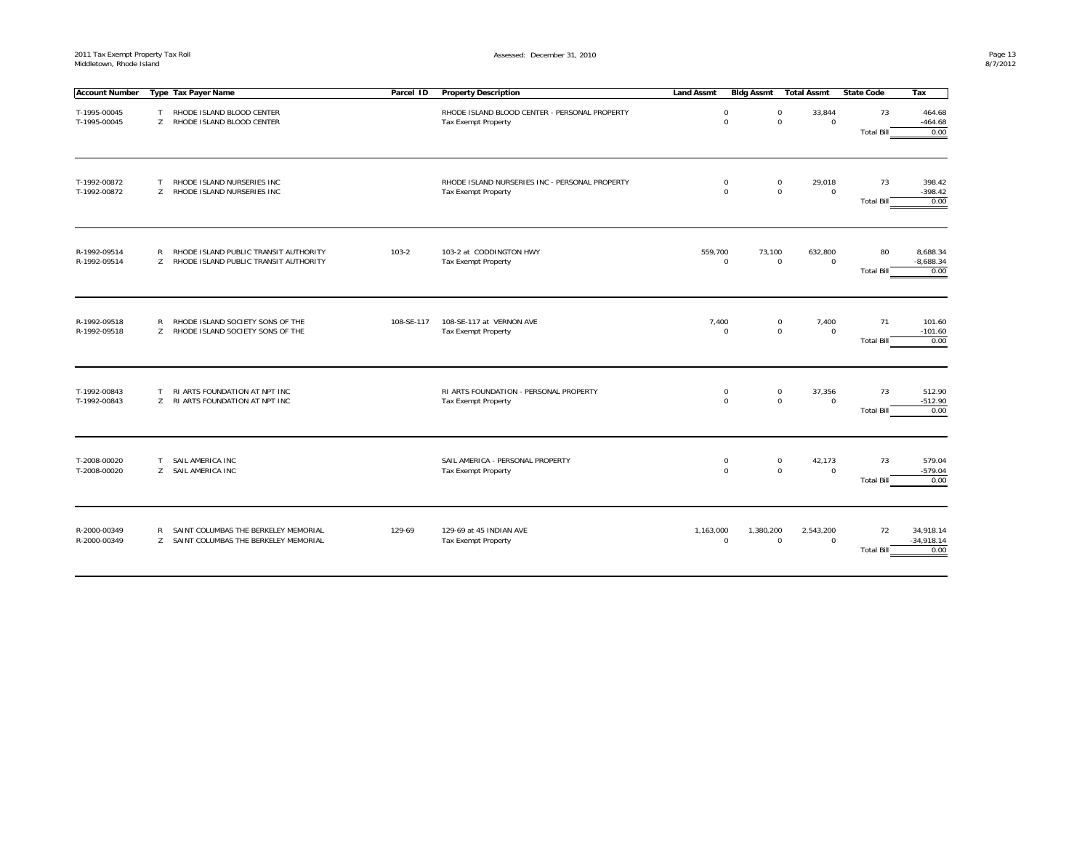| <b>Account Number</b>        |                     | Type Tax Payer Name                                                            | Parcel ID  | <b>Property Description</b>                                           | <b>Land Assmt</b> | Bidg Assmt                                           | Total Assmt             | State Code              | Tax                               |
|------------------------------|---------------------|--------------------------------------------------------------------------------|------------|-----------------------------------------------------------------------|-------------------|------------------------------------------------------|-------------------------|-------------------------|-----------------------------------|
| T-1995-00045<br>T-1995-00045 | T<br>$\overline{7}$ | RHODE ISLAND BLOOD CENTER<br>RHODE ISLAND BLOOD CENTER                         |            | RHODE ISLAND BLOOD CENTER - PERSONAL PROPERTY<br>Tax Exempt Property  |                   | 0<br>0<br>$\mathbf 0$<br>$\mathbf 0$                 | 33,844<br>$\mathbf 0$   | 73<br><b>Total Bill</b> | 464.68<br>$-464.68$<br>0.00       |
| T-1992-00872<br>T-1992-00872 | T.<br>Z             | RHODE ISLAND NURSERIES INC<br>RHODE ISLAND NURSERIES INC                       |            | RHODE ISLAND NURSERIES INC - PERSONAL PROPERTY<br>Tax Exempt Property |                   | 0<br>0<br>$\mathbf 0$<br>$\mathbf 0$                 | 29,018<br>$\mathsf 0$   | 73<br><b>Total Bill</b> | 398.42<br>$-398.42$<br>0.00       |
| R-1992-09514<br>R-1992-09514 | R<br>$\overline{7}$ | RHODE ISLAND PUBLIC TRANSIT AUTHORITY<br>RHODE ISLAND PUBLIC TRANSIT AUTHORITY | $103 - 2$  | 103-2 at CODDINGTON HWY<br><b>Tax Exempt Property</b>                 | 559,700           | 73,100<br>$\mathbf 0$<br>0                           | 632,800<br>$\mathbf 0$  | 80<br><b>Total Bill</b> | 8,688.34<br>$-8,688.34$<br>0.00   |
| R-1992-09518<br>R-1992-09518 | R<br>Z              | RHODE ISLAND SOCIETY SONS OF THE<br>RHODE ISLAND SOCIETY SONS OF THE           | 108-SE-117 | 108-SE-117 at VERNON AVE<br>Tax Exempt Property                       | 7,400             | 0<br>$\mathsf{O}\xspace$<br>$\mathbf 0$              | 7,400<br>$\mathsf 0$    | 71<br><b>Total Bill</b> | 101.60<br>$-101.60$<br>0.00       |
| T-1992-00843<br>T-1992-00843 | T<br>$7^{\circ}$    | RI ARTS FOUNDATION AT NPT INC<br>RI ARTS FOUNDATION AT NPT INC                 |            | RI ARTS FOUNDATION - PERSONAL PROPERTY<br><b>Tax Exempt Property</b>  |                   | 0<br>0<br>$\mathbf 0$<br>$\mathbf 0$                 | 37,356<br>$\mathbf 0$   | 73<br><b>Total Bill</b> | 512.90<br>$-512.90$<br>0.00       |
| T-2008-00020<br>T-2008-00020 | T.<br>Z             | SAIL AMERICA INC<br>SAIL AMERICA INC                                           |            | SAIL AMERICA - PERSONAL PROPERTY<br>Tax Exempt Property               |                   | 0<br>0<br>$\mathsf{O}\xspace$<br>$\mathsf{O}\xspace$ | 42,173<br>$\mathbf 0$   | 73<br><b>Total Bill</b> | 579.04<br>$-579.04$<br>0.00       |
| R-2000-00349<br>R-2000-00349 | R<br>$7^{\circ}$    | SAINT COLUMBAS THE BERKELEY MEMORIAL<br>SAINT COLUMBAS THE BERKELEY MEMORIAL   | 129-69     | 129-69 at 45 INDIAN AVE<br><b>Tax Exempt Property</b>                 | 1,163,000         | 1,380,200<br>$\mathbf 0$<br>$\mathbf 0$              | 2,543,200<br>$^{\circ}$ | 72<br><b>Total Bill</b> | 34,918.14<br>$-34,918.14$<br>0.00 |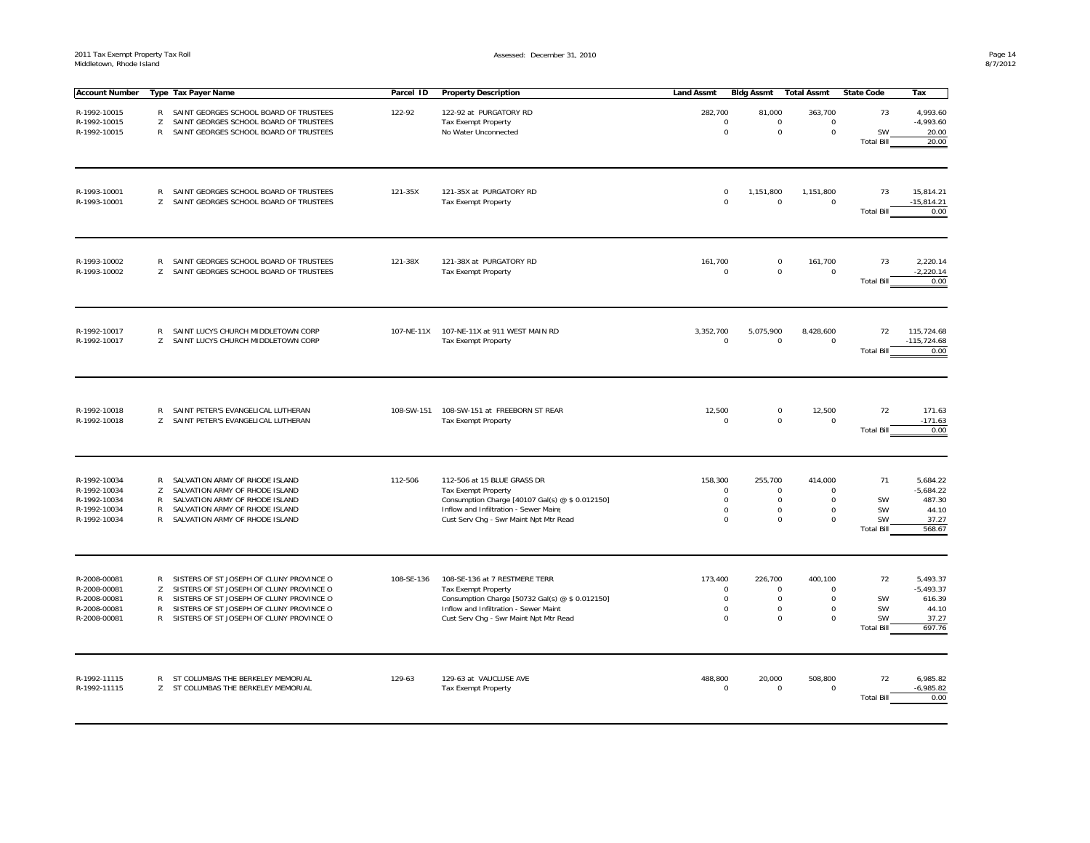Assessed: December 31, 2010

| <b>Account Number</b>                                                        |                                  | Type Tax Payer Name                                                                                                                                                                                                        | Parcel ID  | <b>Property Description</b>                                                                                                                                                                     | <b>Land Assmt</b> | <b>Bidg Assmt</b>                                                                                                               | <b>Total Assmt</b>                                            | <b>State Code</b>                                | Tax                                                           |
|------------------------------------------------------------------------------|----------------------------------|----------------------------------------------------------------------------------------------------------------------------------------------------------------------------------------------------------------------------|------------|-------------------------------------------------------------------------------------------------------------------------------------------------------------------------------------------------|-------------------|---------------------------------------------------------------------------------------------------------------------------------|---------------------------------------------------------------|--------------------------------------------------|---------------------------------------------------------------|
| R-1992-10015<br>R-1992-10015<br>R-1992-10015                                 | R<br>Z<br>$\mathsf{R}$           | SAINT GEORGES SCHOOL BOARD OF TRUSTEES<br>SAINT GEORGES SCHOOL BOARD OF TRUSTEES<br>SAINT GEORGES SCHOOL BOARD OF TRUSTEES                                                                                                 | 122-92     | 122-92 at PURGATORY RD<br><b>Tax Exempt Property</b><br>No Water Unconnected                                                                                                                    | 282,700           | 81,000<br>$\mathbf 0$<br>$\mathbf 0$<br>$\mathbf 0$<br>$\mathsf 0$                                                              | 363,700<br>0<br>0                                             | 73<br>SW<br><b>Total Bill</b>                    | 4,993.60<br>$-4,993.60$<br>20.00<br>20.00                     |
| R-1993-10001<br>R-1993-10001                                                 | R<br>Z                           | SAINT GEORGES SCHOOL BOARD OF TRUSTEES<br>SAINT GEORGES SCHOOL BOARD OF TRUSTEES                                                                                                                                           | 121-35X    | 121-35X at PURGATORY RD<br>Tax Exempt Property                                                                                                                                                  |                   | $\Omega$<br>1,151,800<br>$\Omega$<br>$\mathbf 0$                                                                                | 1,151,800<br>$\mathbf 0$                                      | 73<br><b>Total Bill</b>                          | 15,814.21<br>$-15,814.21$<br>0.00                             |
| R-1993-10002<br>R-1993-10002                                                 | R<br>Z                           | SAINT GEORGES SCHOOL BOARD OF TRUSTEES<br>SAINT GEORGES SCHOOL BOARD OF TRUSTEES                                                                                                                                           | 121-38X    | 121-38X at PURGATORY RD<br>Tax Exempt Property                                                                                                                                                  | 161,700           | $\mathbf 0$<br>$\mathbf 0$<br>$\mathbf 0$                                                                                       | 161,700<br>0                                                  | 73<br><b>Total Bill</b>                          | 2,220.14<br>$-2,220.14$<br>0.00                               |
| R-1992-10017<br>R-1992-10017                                                 | R<br>Z                           | SAINT LUCYS CHURCH MIDDLETOWN CORP<br>SAINT LUCYS CHURCH MIDDLETOWN CORP                                                                                                                                                   | 107-NE-11X | 107-NE-11X at 911 WEST MAIN RD<br>Tax Exempt Property                                                                                                                                           | 3,352,700         | 5,075,900<br>$\mathbf 0$<br>$\mathbf 0$                                                                                         | 8,428,600<br>$\mathsf{O}\xspace$                              | 72<br><b>Total Bill</b>                          | 115,724.68<br>$-115,724.68$<br>0.00                           |
| R-1992-10018<br>R-1992-10018                                                 | R<br>Z                           | SAINT PETER'S EVANGELICAL LUTHERAN<br>SAINT PETER'S EVANGELICAL LUTHERAN                                                                                                                                                   | 108-SW-151 | 108-SW-151 at FREEBORN ST REAR<br>Tax Exempt Property                                                                                                                                           | 12,500            | $\mathbf 0$<br>$\Omega$<br>$\mathsf 0$                                                                                          | 12,500<br>$\mathsf{O}\xspace$                                 | 72<br><b>Total Bill</b>                          | 171.63<br>$-171.63$<br>0.00                                   |
| R-1992-10034<br>R-1992-10034<br>R-1992-10034<br>R-1992-10034<br>R-1992-10034 | R<br>Z<br>R<br>$\mathsf{R}$<br>R | SALVATION ARMY OF RHODE ISLAND<br>SALVATION ARMY OF RHODE ISLAND<br>SALVATION ARMY OF RHODE ISLAND<br>SALVATION ARMY OF RHODE ISLAND<br>SALVATION ARMY OF RHODE ISLAND                                                     | 112-506    | 112-506 at 15 BLUE GRASS DR<br><b>Tax Exempt Property</b><br>Consumption Charge [40107 Gal(s) @ \$ 0.012150]<br>Inflow and Infiltration - Sewer Maint<br>Cust Serv Chg - Swr Maint Npt Mtr Read | 158,300           | 255,700<br>$\mathbf 0$<br>0<br>$\mathbf 0$<br>$\mathbf 0$<br>$\mathsf 0$<br>$\mathbf 0$<br>$\mathbf 0$<br>0                     | 414.000<br>$\Omega$<br>$\mathbf 0$<br>$\mathbf 0$<br>$\Omega$ | 71<br>SW<br>SW<br>SW<br><b>Total Bill</b>        | 5,684.22<br>$-5,684.22$<br>487.30<br>44.10<br>37.27<br>568.67 |
| R-2008-00081<br>R-2008-00081<br>R-2008-00081<br>R-2008-00081<br>R-2008-00081 | $\mathsf{R}$<br>Z<br>R<br>R      | SISTERS OF ST JOSEPH OF CLUNY PROVINCE O<br>SISTERS OF ST JOSEPH OF CLUNY PROVINCE O<br>SISTERS OF ST JOSEPH OF CLUNY PROVINCE O<br>SISTERS OF ST JOSEPH OF CLUNY PROVINCE O<br>R SISTERS OF ST JOSEPH OF CLUNY PROVINCE O | 108-SE-136 | 108-SE-136 at 7 RESTMERE TERR<br>Tax Exempt Property<br>Consumption Charge [50732 Gal(s) @ \$ 0.012150]<br>Inflow and Infiltration - Sewer Maint<br>Cust Serv Chg - Swr Maint Npt Mtr Read      | 173,400           | 226,700<br>$\mathbf 0$<br>$\mathbf 0$<br>$\mathbf 0$<br>$\mathbf 0$<br>$\mathbf 0$<br>$\mathbf 0$<br>$\mathbf 0$<br>$\mathbf 0$ | 400,100<br>$\Omega$<br>0<br>0<br>0                            | 72<br>SW<br>SW<br><b>SW</b><br><b>Total Bill</b> | 5,493.37<br>$-5,493.37$<br>616.39<br>44.10<br>37.27<br>697.76 |
| R-1992-11115<br>R-1992-11115                                                 | R                                | ST COLUMBAS THE BERKELEY MEMORIAL<br>Z ST COLUMBAS THE BERKELEY MEMORIAL                                                                                                                                                   | 129-63     | 129-63 at VAUCLUSE AVE<br>Tax Exempt Property                                                                                                                                                   | 488,800           | 20,000<br>$\mathbf 0$<br>$\mathbf 0$                                                                                            | 508,800<br>$\mathbf 0$                                        | 72<br><b>Total Bill</b>                          | 6,985.82<br>$-6,985.82$<br>0.00                               |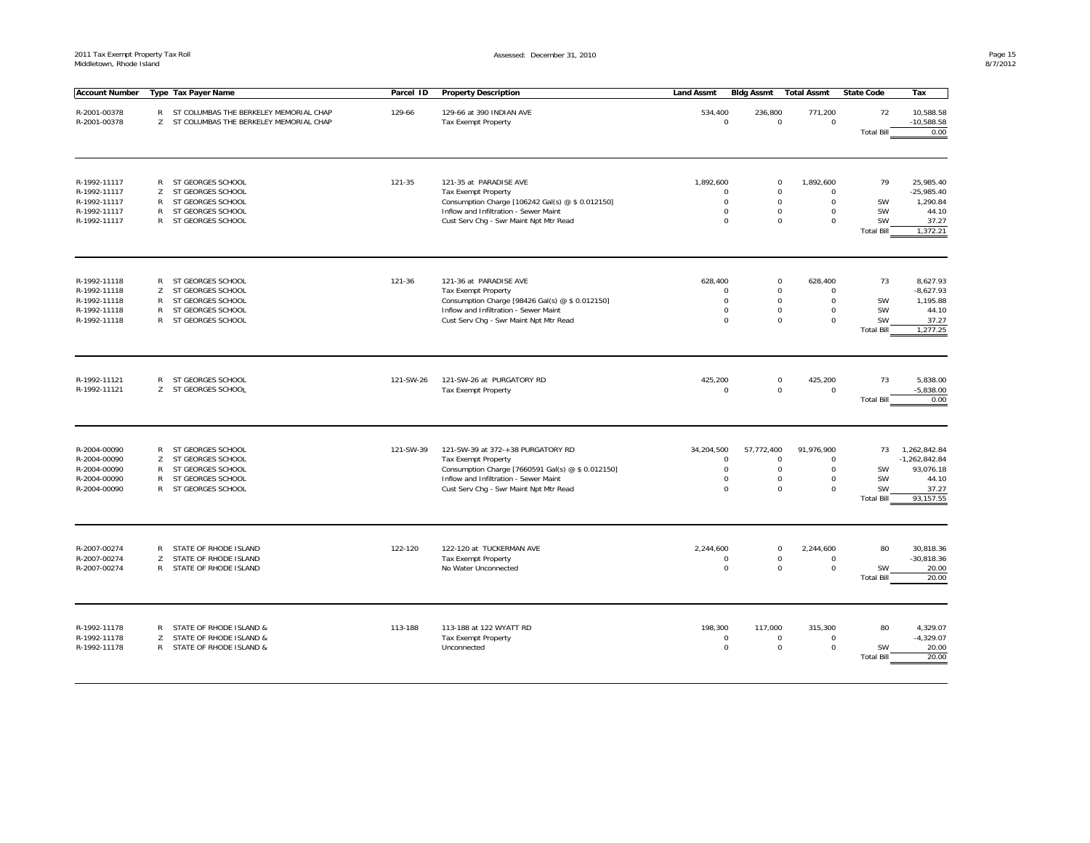| <b>Account Number</b>        |                   | Type Tax Payer Name                      | Parcel ID | <b>Property Description</b>                                     | <b>Land Assmt</b>         | <b>Bidg Assmt</b>          | <b>Total Assmt</b>     | <b>State Code</b>       | Tax                             |
|------------------------------|-------------------|------------------------------------------|-----------|-----------------------------------------------------------------|---------------------------|----------------------------|------------------------|-------------------------|---------------------------------|
|                              |                   |                                          |           |                                                                 |                           |                            |                        |                         |                                 |
| R-2001-00378                 |                   | R ST COLUMBAS THE BERKELEY MEMORIAL CHAP | 129-66    | 129-66 at 390 INDIAN AVE                                        | 534,400                   | 236,800                    | 771,200                | 72                      | 10,588.58                       |
| R-2001-00378                 |                   | Z ST COLUMBAS THE BERKELEY MEMORIAL CHAP |           | <b>Tax Exempt Property</b>                                      | $\Omega$                  | $\mathsf 0$                | 0                      |                         | $-10,588.58$                    |
|                              |                   |                                          |           |                                                                 |                           |                            |                        | <b>Total Bill</b>       | 0.00                            |
|                              |                   |                                          |           |                                                                 |                           |                            |                        |                         |                                 |
| R-1992-11117                 | R                 | ST GEORGES SCHOOL                        | 121-35    | 121-35 at PARADISE AVE                                          | 1,892,600                 | $\mathbf 0$                | 1,892,600              | 79                      | 25,985.40                       |
| R-1992-11117                 | Z                 | ST GEORGES SCHOOL                        |           | <b>Tax Exempt Property</b>                                      | $\Omega$                  | $\mathsf 0$                | $\Omega$               |                         | $-25,985.40$                    |
| R-1992-11117                 | $\mathsf{R}$      | ST GEORGES SCHOOL                        |           | Consumption Charge [106242 Gal(s) @ \$ 0.012150]                | $\Omega$                  | $\mathbf 0$                | $\Omega$               | SW                      | 1,290.84                        |
| R-1992-11117                 | $\mathsf{R}$      | ST GEORGES SCHOOL                        |           | Inflow and Infiltration - Sewer Maint                           | $\mathbf 0$               | $\mathbf 0$                | $\mathbf 0$            | SW                      | 44.10                           |
| R-1992-11117                 | $\mathsf{R}$      | ST GEORGES SCHOOL                        |           | Cust Serv Chq - Swr Maint Npt Mtr Read                          | $\Omega$                  | $\mathbf 0$                | $\Omega$               | SW<br><b>Total Bill</b> | 37.27<br>1,372.21               |
|                              |                   |                                          |           |                                                                 |                           |                            |                        |                         |                                 |
| R-1992-11118                 | R                 | ST GEORGES SCHOOL                        | 121-36    | 121-36 at PARADISE AVE                                          | 628,400                   | $\mathbf 0$                | 628,400                | 73                      | 8,627.93                        |
| R-1992-11118                 | Z                 | ST GEORGES SCHOOL                        |           | <b>Tax Exempt Property</b>                                      | $\Omega$                  | $\mathbf 0$                | $\Omega$               |                         | $-8,627.93$                     |
| R-1992-11118                 | R                 | ST GEORGES SCHOOL                        |           | Consumption Charge [98426 Gal(s) @ \$ 0.012150]                 | $\Omega$                  | $\mathbf 0$                | 0                      | SW                      | 1,195.88                        |
| R-1992-11118                 | R                 | ST GEORGES SCHOOL                        |           | Inflow and Infiltration - Sewer Maint                           | $\Omega$                  | $^{\circ}$                 | $\Omega$               | SW                      | 44.10                           |
| R-1992-11118                 | $\mathsf{R}$      | ST GEORGES SCHOOL                        |           | Cust Serv Chg - Swr Maint Npt Mtr Read                          | $\Omega$                  | $\mathbf 0$                | 0                      | SW                      | 37.27                           |
|                              |                   |                                          |           |                                                                 |                           |                            |                        | <b>Total Bill</b>       | 1,277.25                        |
| R-1992-11121<br>R-1992-11121 | R<br>Z            | ST GEORGES SCHOOL<br>ST GEORGES SCHOOL   | 121-SW-26 | 121-SW-26 at PURGATORY RD<br><b>Tax Exempt Property</b>         | 425,200<br>$\mathbf 0$    | $\mathbf 0$<br>$\mathsf 0$ | 425,200<br>0           | 73<br><b>Total Bill</b> | 5,838.00<br>$-5,838.00$<br>0.00 |
| R-2004-00090<br>R-2004-00090 | $\mathsf{R}$<br>Z | ST GEORGES SCHOOL<br>ST GEORGES SCHOOL   | 121-SW-39 | 121-SW-39 at 372-+38 PURGATORY RD<br><b>Tax Exempt Property</b> | 34,204,500<br>$\mathbf 0$ | 57,772,400<br>$\mathbf 0$  | 91,976,900<br>$\Omega$ | 73                      | 1,262,842.84<br>$-1,262,842.84$ |
| R-2004-00090                 | R                 | ST GEORGES SCHOOL                        |           | Consumption Charge [7660591 Gal(s) @ \$ 0.012150]               | $\mathbf 0$               | $\mathbf 0$                | $\mathbf 0$            | <b>SW</b>               | 93,076.18                       |
| R-2004-00090                 | R                 | ST GEORGES SCHOOL                        |           | Inflow and Infiltration - Sewer Maint                           | $\Omega$                  | $\mathbf 0$                | 0                      | SW                      | 44.10                           |
| R-2004-00090                 | $\mathsf{R}$      | ST GEORGES SCHOOL                        |           | Cust Serv Chg - Swr Maint Npt Mtr Read                          | $\mathbf 0$               | $\mathbf 0$                | 0                      | SW                      | 37.27                           |
|                              |                   |                                          |           |                                                                 |                           |                            |                        | <b>Total Bill</b>       | 93,157.55                       |
| R-2007-00274                 | $\mathsf{R}$      | STATE OF RHODE ISLAND                    | 122-120   | 122-120 at TUCKERMAN AVE                                        | 2,244,600                 | $\mathbf 0$                | 2,244,600              | 80                      | 30,818.36                       |
| R-2007-00274                 | Z                 | STATE OF RHODE ISLAND                    |           | <b>Tax Exempt Property</b>                                      | $\Omega$                  | $\mathsf{O}\xspace$        | $\mathbf 0$            |                         | $-30,818.36$                    |
| R-2007-00274                 | $\mathsf{R}$      | STATE OF RHODE ISLAND                    |           | No Water Unconnected                                            | $\Omega$                  | $\mathbf 0$                | $\Omega$               | <b>SW</b>               | 20.00                           |
|                              |                   |                                          |           |                                                                 |                           |                            |                        | <b>Total Bill</b>       | 20.00                           |
|                              |                   |                                          |           |                                                                 |                           |                            |                        |                         |                                 |
| R-1992-11178                 | R                 | STATE OF RHODE ISLAND &                  | 113-188   | 113-188 at 122 WYATT RD                                         | 198,300                   | 117,000                    | 315,300                | 80                      | 4,329.07                        |
| R-1992-11178                 | Z                 | STATE OF RHODE ISLAND &                  |           | <b>Tax Exempt Property</b>                                      | $\Omega$                  | $\mathbf 0$                | $\Omega$               |                         | $-4,329.07$                     |
| R-1992-11178                 | R                 | STATE OF RHODE ISLAND &                  |           | Unconnected                                                     | $\Omega$                  | $\mathbf 0$                | 0                      | SW                      | 20.00                           |
|                              |                   |                                          |           |                                                                 |                           |                            |                        | <b>Total Bill</b>       | 20.00                           |
|                              |                   |                                          |           |                                                                 |                           |                            |                        |                         |                                 |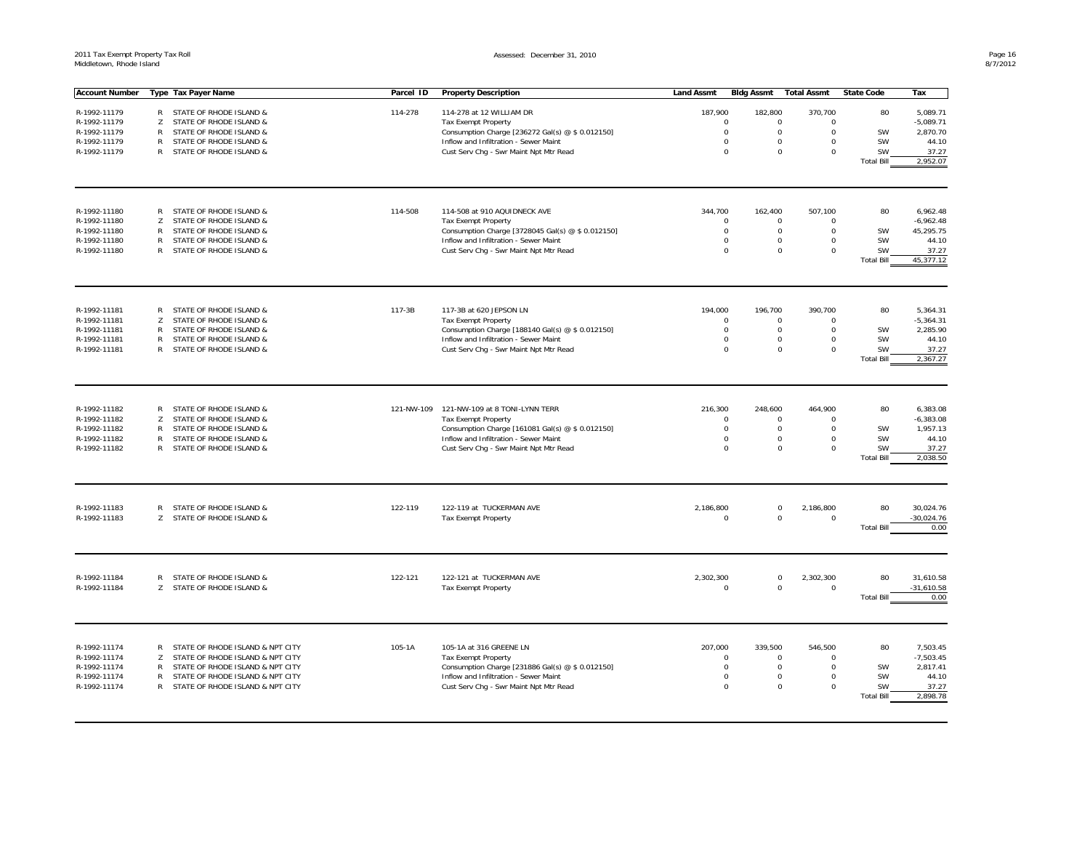| <b>Account Number</b>        |              | Type Tax Payer Name                                | Parcel ID  | <b>Property Description</b>                                                               | <b>Land Assmt</b> | <b>Bldg Assmt</b>                                        | <b>Total Assmt</b>                        | <b>State Code</b>              | Tax                |
|------------------------------|--------------|----------------------------------------------------|------------|-------------------------------------------------------------------------------------------|-------------------|----------------------------------------------------------|-------------------------------------------|--------------------------------|--------------------|
|                              |              |                                                    |            |                                                                                           |                   |                                                          |                                           |                                |                    |
| R-1992-11179                 | R            | STATE OF RHODE ISLAND &                            | 114-278    | 114-278 at 12 WILLIAM DR                                                                  | 187,900           | 182,800                                                  | 370,700                                   | 80                             | 5,089.71           |
| R-1992-11179                 | Z            | STATE OF RHODE ISLAND &                            |            | <b>Tax Exempt Property</b>                                                                |                   | $\mathbf 0$<br>$\mathbf 0$                               | 0                                         |                                | $-5,089.71$        |
| R-1992-11179<br>R-1992-11179 | R<br>R       | STATE OF RHODE ISLAND &                            |            | Consumption Charge [236272 Gal(s) @ \$ 0.012150]                                          |                   | $\mathbf 0$<br>$\mathbf 0$<br>$\mathbf 0$<br>$\mathbf 0$ | 0<br>0                                    | SW<br><b>SW</b>                | 2,870.70<br>44.10  |
|                              | $\mathsf{R}$ | STATE OF RHODE ISLAND &                            |            | Inflow and Infiltration - Sewer Maint<br>Cust Serv Chg - Swr Maint Npt Mtr Read           |                   | $\Omega$<br>$\mathsf 0$                                  | 0                                         | <b>SW</b>                      | 37.27              |
| R-1992-11179                 |              | STATE OF RHODE ISLAND &                            |            |                                                                                           |                   |                                                          |                                           | <b>Total Bill</b>              | 2,952.07           |
|                              |              |                                                    |            |                                                                                           |                   |                                                          |                                           |                                |                    |
|                              |              |                                                    |            |                                                                                           |                   |                                                          |                                           |                                |                    |
| R-1992-11180                 | $\mathsf{R}$ | STATE OF RHODE ISLAND &                            | 114-508    | 114-508 at 910 AQUIDNECK AVE                                                              | 344,700           | 162,400                                                  | 507,100                                   | 80                             | 6,962.48           |
| R-1992-11180                 | Z            | STATE OF RHODE ISLAND &                            |            | <b>Tax Exempt Property</b>                                                                |                   | $\mathbf 0$<br>$^{\circ}$                                | $\Omega$                                  |                                | $-6,962.48$        |
| R-1992-11180                 | R            | STATE OF RHODE ISLAND &                            |            | Consumption Charge [3728045 Gal(s) @ \$ 0.012150]                                         |                   | $\mathbf 0$<br>$\mathbf 0$                               | 0                                         | SW                             | 45,295.75          |
| R-1992-11180                 | R            | STATE OF RHODE ISLAND &                            |            | Inflow and Infiltration - Sewer Maint                                                     |                   | $\mathbf 0$<br>$\mathbf 0$                               | 0                                         | SW                             | 44.10              |
| R-1992-11180                 |              | R STATE OF RHODE ISLAND &                          |            | Cust Serv Chq - Swr Maint Npt Mtr Read                                                    |                   | $\Omega$<br>$\mathbf 0$                                  | $\Omega$                                  | <b>SW</b><br><b>Total Bill</b> | 37.27<br>45,377.12 |
|                              |              |                                                    |            |                                                                                           |                   |                                                          |                                           |                                |                    |
|                              |              |                                                    |            |                                                                                           |                   |                                                          |                                           |                                |                    |
| R-1992-11181                 | R            | STATE OF RHODE ISLAND &                            | 117-3B     | 117-3B at 620 JEPSON LN                                                                   | 194,000           | 196,700                                                  | 390,700                                   | 80                             | 5,364.31           |
| R-1992-11181                 | Z            | STATE OF RHODE ISLAND &                            |            | <b>Tax Exempt Property</b>                                                                |                   | $\mathbf 0$<br>$\mathbf 0$                               | $\Omega$                                  |                                | $-5,364.31$        |
| R-1992-11181                 | R            | STATE OF RHODE ISLAND &                            |            | Consumption Charge [188140 Gal(s) @ \$ 0.012150]                                          |                   | $\Omega$<br>$\mathbf 0$                                  | $\Omega$                                  | <b>SW</b>                      | 2,285.90           |
| R-1992-11181                 | R            | STATE OF RHODE ISLAND &                            |            | Inflow and Infiltration - Sewer Maint                                                     |                   | $\mathsf 0$<br>$\mathbf 0$                               | 0                                         | SW                             | 44.10              |
| R-1992-11181                 | $\mathsf{R}$ | STATE OF RHODE ISLAND &                            |            | Cust Serv Chg - Swr Maint Npt Mtr Read                                                    |                   | $\mathbf 0$<br>$\mathbf 0$                               | 0                                         | SW<br><b>Total Bill</b>        | 37.27<br>2,367.27  |
|                              |              |                                                    |            |                                                                                           |                   |                                                          |                                           |                                |                    |
|                              |              |                                                    |            |                                                                                           |                   |                                                          |                                           |                                |                    |
| R-1992-11182                 | $\mathsf{R}$ | STATE OF RHODE ISLAND &                            |            | 121-NW-109  121-NW-109 at 8 TONI-LYNN TERR                                                | 216,300           | 248,600                                                  | 464,900                                   | 80                             | 6,383.08           |
| R-1992-11182                 | Z            | STATE OF RHODE ISLAND &                            |            | Tax Exempt Property                                                                       |                   | $\mathbf 0$<br>$^{\circ}$                                | $\Omega$                                  |                                | $-6,383.08$        |
| R-1992-11182                 | R            | STATE OF RHODE ISLAND &<br>STATE OF RHODE ISLAND & |            | Consumption Charge [161081 Gal(s) @ \$ 0.012150]<br>Inflow and Infiltration - Sewer Maint |                   | $\mathbf 0$<br>$\mathbf 0$                               | $\mathbf 0$<br>$\mathbf 0$<br>$\mathbf 0$ | SW<br>SW                       | 1,957.13<br>44.10  |
| R-1992-11182<br>R-1992-11182 | R            | R STATE OF RHODE ISLAND &                          |            | Cust Serv Chg - Swr Maint Npt Mtr Read                                                    |                   | $\mathbf 0$<br>$\Omega$<br>$\mathbf 0$                   | $\Omega$                                  | <b>SW</b>                      | 37.27              |
|                              |              |                                                    |            |                                                                                           |                   |                                                          |                                           | <b>Total Bill</b>              | 2.038.50           |
|                              |              |                                                    |            |                                                                                           |                   |                                                          |                                           |                                |                    |
| R-1992-11183                 |              | R STATE OF RHODE ISLAND &                          | 122-119    | 122-119 at TUCKERMAN AVE                                                                  | 2.186.800         | $\Omega$                                                 | 2,186,800                                 | 80                             | 30,024.76          |
| R-1992-11183                 | Z            | STATE OF RHODE ISLAND &                            |            | Tax Exempt Property                                                                       |                   | $\Omega$<br>$\mathbf 0$                                  | $\mathbf 0$                               |                                | $-30,024.76$       |
|                              |              |                                                    |            |                                                                                           |                   |                                                          |                                           | <b>Total Bill</b>              | 0.00               |
|                              |              |                                                    |            |                                                                                           |                   |                                                          |                                           |                                |                    |
| R-1992-11184                 | R            | STATE OF RHODE ISLAND &                            | 122-121    | 122-121 at TUCKERMAN AVE                                                                  | 2,302,300         | $\mathsf 0$                                              | 2,302,300                                 | 80                             | 31,610.58          |
| R-1992-11184                 | Z            | STATE OF RHODE ISLAND &                            |            | Tax Exempt Property                                                                       |                   | $\mathbf 0$<br>$\mathsf 0$                               | 0                                         |                                | $-31,610.58$       |
|                              |              |                                                    |            |                                                                                           |                   |                                                          |                                           | <b>Total Bill</b>              | 0.00               |
|                              |              |                                                    |            |                                                                                           |                   |                                                          |                                           |                                |                    |
| R-1992-11174                 | R            | STATE OF RHODE ISLAND & NPT CITY                   | $105 - 1A$ | 105-1A at 316 GREENE LN                                                                   | 207,000           | 339,500                                                  | 546,500                                   | 80                             | 7,503.45           |
| R-1992-11174                 | Z            | STATE OF RHODE ISLAND & NPT CITY                   |            | Tax Exempt Property                                                                       |                   | $\mathbf 0$<br>0                                         | $\Omega$                                  |                                | $-7,503.45$        |
| R-1992-11174                 | $\mathsf{R}$ | STATE OF RHODE ISLAND & NPT CITY                   |            | Consumption Charge [231886 Gal(s) @ \$ 0.012150]                                          |                   | $\mathbf 0$<br>$\mathbf 0$                               | 0                                         | SW                             | 2,817.41           |
| R-1992-11174                 | R            | STATE OF RHODE ISLAND & NPT CITY                   |            | Inflow and Infiltration - Sewer Maint                                                     |                   | $\mathbf 0$<br>$\mathbf 0$                               | 0                                         | SW                             | 44.10              |
| R-1992-11174                 | R            | STATE OF RHODE ISLAND & NPT CITY                   |            | Cust Serv Chg - Swr Maint Npt Mtr Read                                                    |                   | $\Omega$<br>$\mathbf 0$                                  | 0                                         | SW                             | 37.27              |
|                              |              |                                                    |            |                                                                                           |                   |                                                          |                                           | <b>Total Bill</b>              | 2.898.78           |
|                              |              |                                                    |            |                                                                                           |                   |                                                          |                                           |                                |                    |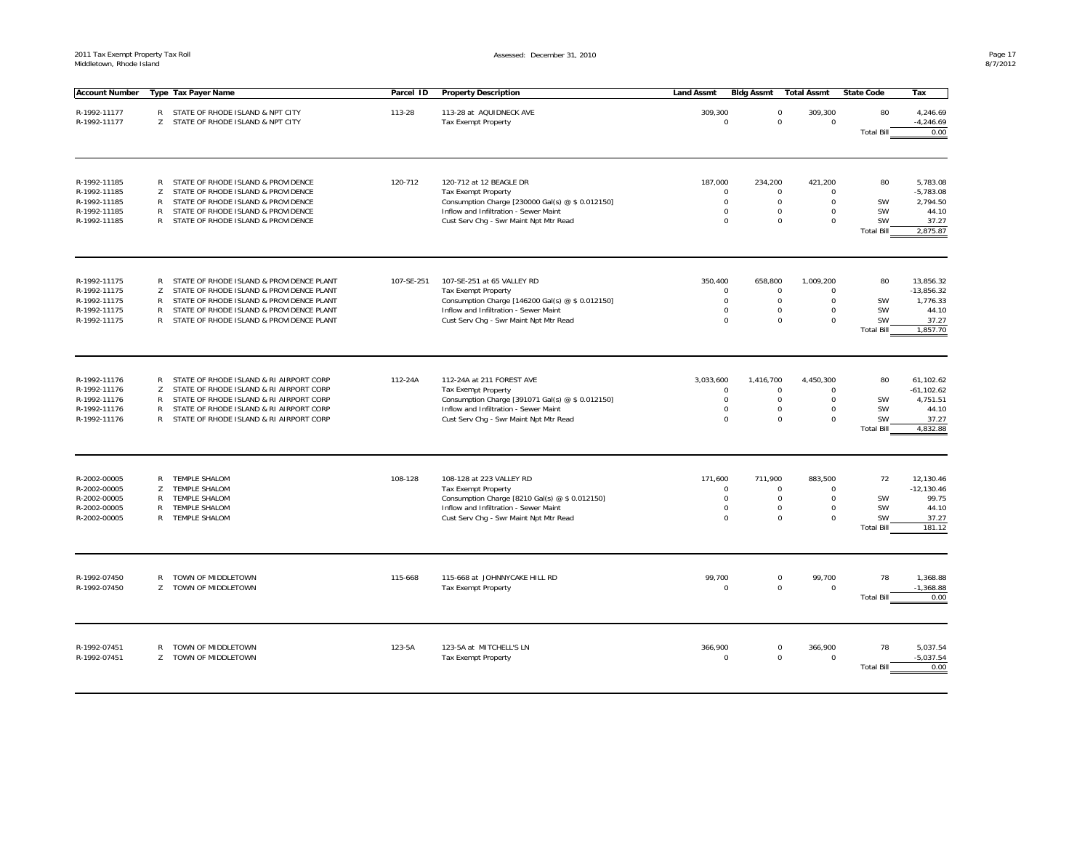| <b>Account Number</b>        |              | Type Tax Payer Name                       | Parcel ID  | <b>Property Description</b>                                 | <b>Land Assmt</b>  | <b>Bldg Assmt</b>    | <b>Total Assmt</b>    | <b>State Code</b>              | Tax                     |
|------------------------------|--------------|-------------------------------------------|------------|-------------------------------------------------------------|--------------------|----------------------|-----------------------|--------------------------------|-------------------------|
|                              |              |                                           |            |                                                             |                    |                      |                       |                                |                         |
| R-1992-11177                 |              | R STATE OF RHODE ISLAND & NPT CITY        | 113-28     | 113-28 at AQUIDNECK AVE                                     | 309,300            | $\mathbf 0$          | 309,300               | 80                             | 4,246.69                |
| R-1992-11177                 |              | Z STATE OF RHODE ISLAND & NPT CITY        |            | <b>Tax Exempt Property</b>                                  | $\Omega$           | $\mathbf 0$          | $\mathbf 0$           |                                | $-4,246.69$<br>0.00     |
|                              |              |                                           |            |                                                             |                    |                      |                       | <b>Total Bill</b>              |                         |
|                              |              |                                           |            |                                                             |                    |                      |                       |                                |                         |
| R-1992-11185                 | R            | STATE OF RHODE ISLAND & PROVIDENCE        | 120-712    | 120-712 at 12 BEAGLE DR                                     | 187.000            | 234.200              | 421.200               | 80                             | 5.783.08                |
| R-1992-11185                 | Z            | STATE OF RHODE ISLAND & PROVIDENCE        |            | <b>Tax Exempt Property</b>                                  | $\mathsf 0$        | 0                    | $\mathbf 0$           |                                | $-5,783.08$             |
| R-1992-11185                 | $\mathsf{R}$ | STATE OF RHODE ISLAND & PROVIDENCE        |            | Consumption Charge [230000 Gal(s) @ \$ 0.012150]            | $\mathbf 0$        | $\mathbf 0$          | $\mathbf 0$           | SW                             | 2,794.50                |
| R-1992-11185                 | $\mathsf{R}$ | STATE OF RHODE ISLAND & PROVIDENCE        |            | Inflow and Infiltration - Sewer Maint                       | $\mathbf 0$        | $\mathbf 0$          | $\mathbf 0$           | SW                             | 44.10                   |
| R-1992-11185                 | $\mathsf{R}$ | STATE OF RHODE ISLAND & PROVIDENCE        |            | Cust Serv Chg - Swr Maint Npt Mtr Read                      | $\Omega$           | $\Omega$             | $\mathbf 0$           | SW<br><b>Total Bill</b>        | 37.27<br>2,875.87       |
|                              |              |                                           |            |                                                             |                    |                      |                       |                                |                         |
| R-1992-11175                 | R            | STATE OF RHODE ISLAND & PROVIDENCE PLANT  | 107-SE-251 | 107-SE-251 at 65 VALLEY RD                                  | 350,400            | 658,800              | 1,009,200             | 80                             | 13,856.32               |
| R-1992-11175                 | Z            | STATE OF RHODE ISLAND & PROVIDENCE PLANT  |            | <b>Tax Exempt Property</b>                                  | $\mathbf 0$        | $\mathbf 0$          | $\mathbf 0$           |                                | $-13,856.32$            |
| R-1992-11175                 | $\mathsf{R}$ | STATE OF RHODE ISLAND & PROVIDENCE PLANT  |            | Consumption Charge [146200 Gal(s) @ \$ 0.012150]            | $\Omega$           | $\Omega$             | $\Omega$              | SW                             | 1,776.33                |
| R-1992-11175                 | R            | STATE OF RHODE ISLAND & PROVIDENCE PLANT  |            | Inflow and Infiltration - Sewer Maint                       | $\mathbf 0$        | $\Omega$             | $\mathbf 0$           | SW                             | 44.10                   |
| R-1992-11175                 | $\mathsf{R}$ | STATE OF RHODE ISLAND & PROVIDENCE PLANT  |            | Cust Serv Chq - Swr Maint Npt Mtr Read                      | $\mathbf 0$        | $\Omega$             | $\mathbf 0$           | <b>SW</b><br><b>Total Bill</b> | 37.27<br>1,857.70       |
|                              |              |                                           |            |                                                             |                    |                      |                       |                                |                         |
| R-1992-11176                 | R            | STATE OF RHODE ISLAND & RI AIRPORT CORP   | 112-24A    | 112-24A at 211 FOREST AVE                                   | 3.033.600          | 1,416,700            | 4,450,300             | 80                             | 61,102.62               |
| R-1992-11176                 | z            | STATE OF RHODE ISLAND & RI AIRPORT CORP   |            | <b>Tax Exempt Property</b>                                  | $\mathbf 0$        | 0                    | $\mathbf 0$           |                                | $-61, 102.62$           |
| R-1992-11176                 | R            | STATE OF RHODE ISLAND & RI AIRPORT CORP   |            | Consumption Charge [391071 Gal(s) @ \$ 0.012150]            | $\mathbf 0$        | $\mathbf 0$          | $\mathbf 0$           | SW                             | 4,751.51                |
| R-1992-11176                 | R            | STATE OF RHODE ISLAND & RI AIRPORT CORP   |            | Inflow and Infiltration - Sewer Maint                       | $\mathbf 0$        | $\Omega$             | $\mathbf 0$           | <b>SW</b>                      | 44.10                   |
| R-1992-11176                 |              | R STATE OF RHODE ISLAND & RI AIRPORT CORP |            | Cust Serv Chg - Swr Maint Npt Mtr Read                      | $\mathbf 0$        | $\Omega$             | $\mathbf 0$           | SW                             | 37.27                   |
|                              |              |                                           |            |                                                             |                    |                      |                       | <b>Total Bill</b>              | 4,832.88                |
| R-2002-00005                 | $\mathsf{R}$ | <b>TEMPLE SHALOM</b>                      | 108-128    | 108-128 at 223 VALLEY RD                                    | 171,600            | 711,900              | 883,500               | 72                             | 12,130.46               |
| R-2002-00005                 | Z            | <b>TEMPLE SHALOM</b>                      |            | <b>Tax Exempt Property</b>                                  | $\Omega$           | $\Omega$             | $\Omega$              |                                | $-12,130.46$            |
| R-2002-00005                 | $\mathsf{R}$ | <b>TEMPLE SHALOM</b>                      |            | Consumption Charge [8210 Gal(s) @ \$ 0.012150]              | $\mathsf 0$        | $\mathsf 0$          | $\mathbf 0$           | SW                             | 99.75                   |
| R-2002-00005                 | $\mathsf{R}$ | <b>TEMPLE SHALOM</b>                      |            | Inflow and Infiltration - Sewer Maint                       | $\Omega$           | $\mathbf 0$          | $\mathbf 0$           | SW                             | 44.10                   |
| R-2002-00005                 | R            | <b>TEMPLE SHALOM</b>                      |            | Cust Serv Chg - Swr Maint Npt Mtr Read                      | $\Omega$           | $\Omega$             | $\Omega$              | SW                             | 37.27                   |
|                              |              |                                           |            |                                                             |                    |                      |                       | <b>Total Bill</b>              | 181.12                  |
|                              |              |                                           |            |                                                             |                    |                      |                       |                                |                         |
| R-1992-07450<br>R-1992-07450 | R<br>Z       | TOWN OF MIDDLETOWN<br>TOWN OF MIDDLETOWN  | 115-668    | 115-668 at JOHNNYCAKE HILL RD<br><b>Tax Exempt Property</b> | 99,700<br>$\Omega$ | $\Omega$<br>$\Omega$ | 99,700<br>$\mathbf 0$ | 78                             | 1,368.88<br>$-1,368.88$ |
|                              |              |                                           |            |                                                             |                    |                      |                       | <b>Total Bill</b>              | 0.00                    |
| R-1992-07451                 | R            | TOWN OF MIDDLETOWN                        | 123-5A     | 123-5A at MITCHELL'S LN                                     | 366,900            | $\mathbf 0$          | 366,900               | 78                             | 5,037.54                |
| R-1992-07451                 | Z            | TOWN OF MIDDLETOWN                        |            | <b>Tax Exempt Property</b>                                  | $\Omega$           | $\mathbf 0$          | $\Omega$              |                                | $-5,037.54$             |
|                              |              |                                           |            |                                                             |                    |                      |                       | <b>Total Bill</b>              | 0.00                    |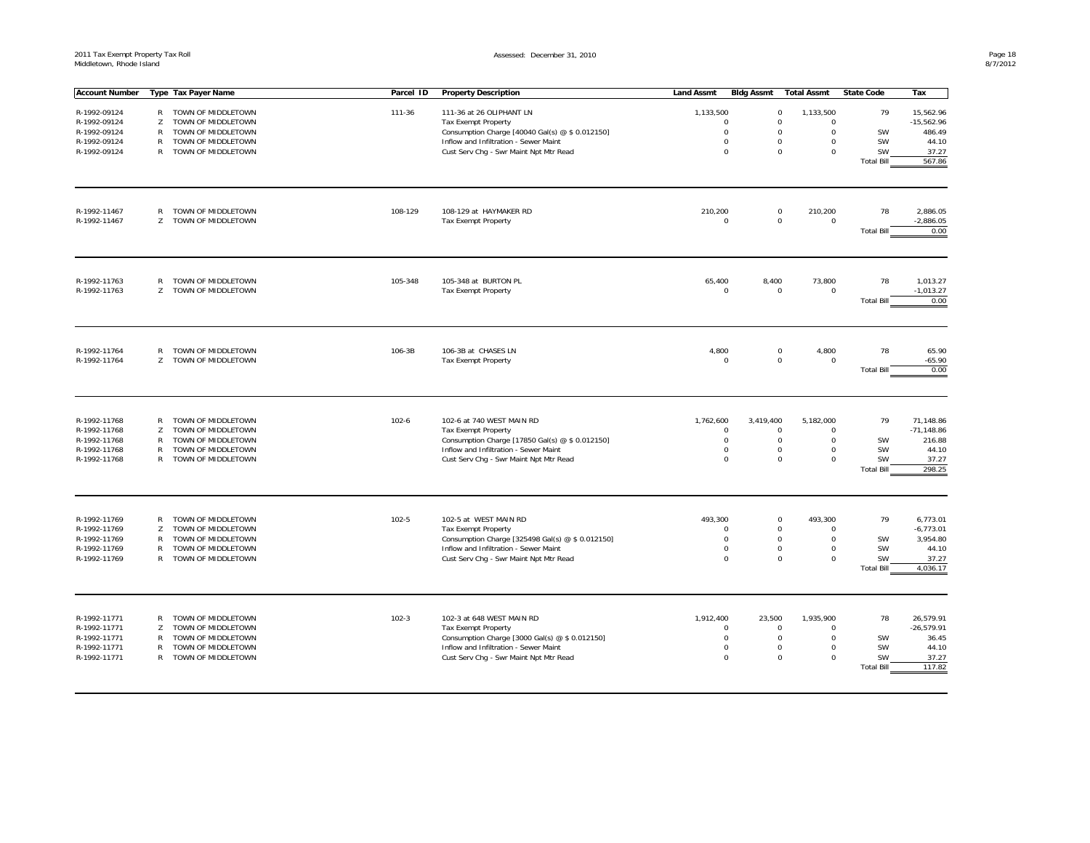| <b>Account Number</b>        |              | Type Tax Payer Name                      | Parcel ID | <b>Property Description</b>                          | <b>Land Assmt</b>          | <b>Bldg Assmt</b>    | <b>Total Assmt</b>                         | <b>State Code</b>       | Tax                     |
|------------------------------|--------------|------------------------------------------|-----------|------------------------------------------------------|----------------------------|----------------------|--------------------------------------------|-------------------------|-------------------------|
|                              |              |                                          |           |                                                      |                            |                      |                                            |                         |                         |
| R-1992-09124                 | R            | TOWN OF MIDDLETOWN                       | 111-36    | 111-36 at 26 OLIPHANT LN                             | 1,133,500                  | $\mathbf 0$          | 1,133,500                                  | 79                      | 15,562.96               |
| R-1992-09124                 | Z            | TOWN OF MIDDLETOWN                       |           | <b>Tax Exempt Property</b>                           | $\Omega$                   | $\mathbf 0$          | $\mathbf 0$                                |                         | $-15,562.96$            |
| R-1992-09124                 | $\mathsf{R}$ | TOWN OF MIDDLETOWN                       |           | Consumption Charge [40040 Gal(s) @ \$ 0.012150]      | $\mathbf 0$                | $\Omega$<br>$\Omega$ | $\mathbf 0$                                | SW<br>SW                | 486.49                  |
| R-1992-09124                 | $\mathsf{R}$ | TOWN OF MIDDLETOWN                       |           | Inflow and Infiltration - Sewer Maint                | $\mathbf 0$<br>$\mathbf 0$ | $\Omega$             | $\mathbf 0$<br>$\mathbf 0$                 | SW                      | 44.10<br>37.27          |
| R-1992-09124                 | R            | TOWN OF MIDDLETOWN                       |           | Cust Serv Chg - Swr Maint Npt Mtr Read               |                            |                      |                                            | <b>Total Bill</b>       | 567.86                  |
|                              |              |                                          |           |                                                      |                            |                      |                                            |                         |                         |
| R-1992-11467<br>R-1992-11467 | R<br>Z       | TOWN OF MIDDLETOWN<br>TOWN OF MIDDLETOWN | 108-129   | 108-129 at HAYMAKER RD<br><b>Tax Exempt Property</b> | 210,200<br>$\mathbf 0$     |                      | $\mathbf 0$<br>210,200<br>0<br>$\mathbf 0$ | 78                      | 2,886.05<br>$-2,886.05$ |
|                              |              |                                          |           |                                                      |                            |                      |                                            | <b>Total Bill</b>       | 0.00                    |
| R-1992-11763                 | $\mathsf{R}$ | TOWN OF MIDDLETOWN                       | 105-348   | 105-348 at BURTON PL                                 | 65,400                     | 8,400                | 73,800                                     | 78                      | 1,013.27                |
| R-1992-11763                 | Z            | TOWN OF MIDDLETOWN                       |           | <b>Tax Exempt Property</b>                           | $\mathbf 0$                |                      | $\mathbf 0$<br>$\mathbf 0$                 |                         | $-1,013.27$             |
|                              |              |                                          |           |                                                      |                            |                      |                                            | <b>Total Bill</b>       | 0.00                    |
|                              |              |                                          |           |                                                      |                            |                      |                                            |                         |                         |
| R-1992-11764                 | R            | TOWN OF MIDDLETOWN                       | 106-3B    | 106-3B at CHASES LN                                  | 4,800                      | $\mathsf 0$          | 4,800                                      | 78                      | 65.90                   |
| R-1992-11764                 | Z            | TOWN OF MIDDLETOWN                       |           | <b>Tax Exempt Property</b>                           | $\mathbf 0$                |                      | $\mathbf 0$<br>$\mathbf 0$                 |                         | $-65.90$                |
|                              |              |                                          |           |                                                      |                            |                      |                                            | <b>Total Bill</b>       | 0.00                    |
|                              |              |                                          |           |                                                      |                            |                      |                                            |                         |                         |
| R-1992-11768                 | R            | TOWN OF MIDDLETOWN                       | $102 - 6$ | 102-6 at 740 WEST MAIN RD                            | 1,762,600                  | 3,419,400            | 5,182,000                                  | 79                      | 71,148.86               |
| R-1992-11768                 | Z            | TOWN OF MIDDLETOWN                       |           | <b>Tax Exempt Property</b>                           | $\mathbf 0$                | $\mathsf 0$          | $\mathbf 0$                                |                         | $-71,148.86$            |
| R-1992-11768                 | $\mathsf{R}$ | TOWN OF MIDDLETOWN                       |           | Consumption Charge [17850 Gal(s) @ \$ 0.012150]      | $\mathsf 0$                |                      | $\mathsf{O}\xspace$<br>$\mathbf 0$         | SW                      | 216.88                  |
| R-1992-11768<br>R-1992-11768 | R<br>R       | TOWN OF MIDDLETOWN<br>TOWN OF MIDDLETOWN |           | Inflow and Infiltration - Sewer Maint                | $\mathbf 0$<br>$\Omega$    | $\Omega$<br>$\Omega$ | $\mathbf 0$<br>$\mathbf 0$                 | SW<br><b>SW</b>         | 44.10<br>37.27          |
|                              |              |                                          |           | Cust Serv Chg - Swr Maint Npt Mtr Read               |                            |                      |                                            | <b>Total Bill</b>       | 298.25                  |
|                              |              |                                          |           |                                                      |                            |                      |                                            |                         |                         |
| R-1992-11769                 | R            | TOWN OF MIDDLETOWN                       | $102 - 5$ | 102-5 at WEST MAIN RD                                | 493,300                    | $\mathbf 0$          | 493,300                                    | 79                      | 6,773.01                |
| R-1992-11769                 | Z            | TOWN OF MIDDLETOWN                       |           | <b>Tax Exempt Property</b>                           | $\mathbf 0$                |                      | $\mathbf 0$<br>$\mathbf 0$                 |                         | $-6,773.01$             |
| R-1992-11769                 | R            | TOWN OF MIDDLETOWN                       |           | Consumption Charge [325498 Gal(s) @ \$ 0.012150]     | $\mathbf 0$                |                      | $\mathbf 0$<br>$\mathbf 0$                 | SW                      | 3,954.80                |
| R-1992-11769                 | R            | TOWN OF MIDDLETOWN                       |           | Inflow and Infiltration - Sewer Maint                | $\mathbf 0$                | $\mathbf 0$          | $\mathbf 0$                                | SW                      | 44.10                   |
| R-1992-11769                 | $\mathsf{R}$ | TOWN OF MIDDLETOWN                       |           | Cust Serv Chg - Swr Maint Npt Mtr Read               | $\Omega$                   | $\Omega$             | $\Omega$                                   | SW                      | 37.27                   |
|                              |              |                                          |           |                                                      |                            |                      |                                            | <b>Total Bill</b>       | 4,036.17                |
|                              |              |                                          |           |                                                      |                            |                      |                                            |                         |                         |
| R-1992-11771                 | R            | TOWN OF MIDDLETOWN                       | $102 - 3$ | 102-3 at 648 WEST MAIN RD                            | 1,912,400                  | 23,500               | 1,935,900                                  | 78                      | 26,579.91               |
| R-1992-11771                 | Z            | TOWN OF MIDDLETOWN                       |           | <b>Tax Exempt Property</b>                           | $\mathbf 0$                | $\mathsf 0$          | $\mathbf 0$                                |                         | $-26,579.91$            |
| R-1992-11771                 | $\mathsf{R}$ | TOWN OF MIDDLETOWN                       |           | Consumption Charge [3000 Gal(s) @ \$ 0.012150]       | $\mathbf 0$                | $\mathsf 0$          | $\mathbf 0$                                | SW                      | 36.45                   |
| R-1992-11771                 | $\mathsf{R}$ | TOWN OF MIDDLETOWN                       |           | Inflow and Infiltration - Sewer Maint                | $\mathbf 0$                | $\mathbf 0$          | $\mathbf 0$                                | SW                      | 44.10                   |
| R-1992-11771                 | R            | TOWN OF MIDDLETOWN                       |           | Cust Serv Chg - Swr Maint Npt Mtr Read               | $\Omega$                   | $\Omega$             | $\mathbf 0$                                | SW<br><b>Total Bill</b> | 37.27<br>117.82         |
|                              |              |                                          |           |                                                      |                            |                      |                                            |                         |                         |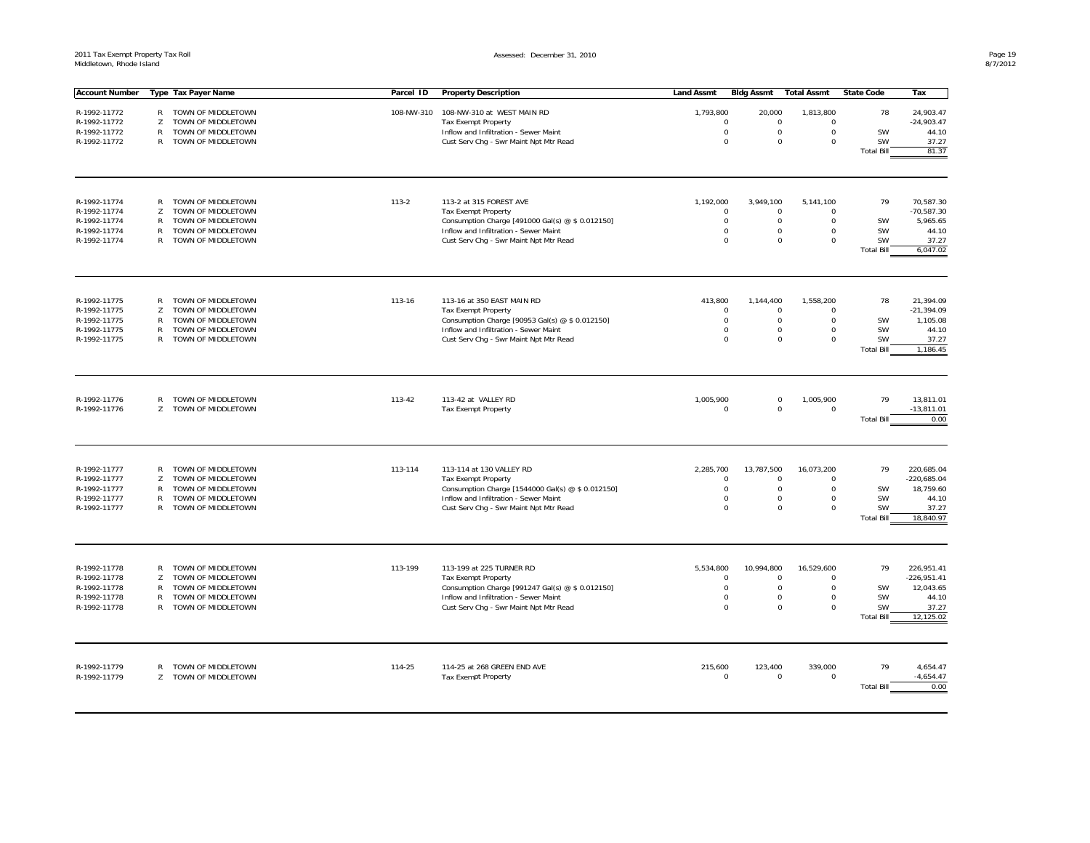| <b>Account Number</b> |                   | Type Tax Payer Name  | Parcel ID  | <b>Property Description</b>                       | <b>Land Assmt</b> | Bidg Assmt                 | <b>Total Assmt</b>                                       | <b>State Code</b> | Tax               |
|-----------------------|-------------------|----------------------|------------|---------------------------------------------------|-------------------|----------------------------|----------------------------------------------------------|-------------------|-------------------|
|                       |                   |                      |            |                                                   |                   |                            |                                                          | 78                |                   |
| R-1992-11772          |                   | R TOWN OF MIDDLETOWN | 108-NW-310 | 108-NW-310 at WEST MAIN RD                        | 1,793,800         | 20,000                     | 1,813,800                                                |                   | 24,903.47         |
| R-1992-11772          | Z                 | TOWN OF MIDDLETOWN   |            | <b>Tax Exempt Property</b>                        |                   | $\mathbf 0$                | $\mathbf 0$<br>$\mathbf 0$                               |                   | $-24,903.47$      |
| R-1992-11772          | $\mathsf{R}$      | TOWN OF MIDDLETOWN   |            | Inflow and Infiltration - Sewer Maint             |                   | $\mathbf 0$                | $\mathbf 0$<br>$\mathbf 0$                               | SW                | 44.10             |
| R-1992-11772          | $\mathsf{R}$      | TOWN OF MIDDLETOWN   |            | Cust Serv Chg - Swr Maint Npt Mtr Read            |                   | $\Omega$                   | $\Omega$<br>$\mathbf 0$                                  | SW                | 37.27             |
|                       |                   |                      |            |                                                   |                   |                            |                                                          | <b>Total Bill</b> | 81.37             |
|                       |                   |                      |            |                                                   |                   |                            |                                                          |                   |                   |
| R-1992-11774          |                   | R TOWN OF MIDDLETOWN | $113 - 2$  | 113-2 at 315 FOREST AVE                           | 1,192,000         | 3,949,100                  | 5,141,100                                                | 79                | 70,587.30         |
| R-1992-11774          | Z                 | TOWN OF MIDDLETOWN   |            | <b>Tax Exempt Property</b>                        |                   | $\mathbf 0$                | $\mathsf 0$<br>$\mathbf 0$                               |                   | $-70,587.30$      |
| R-1992-11774          | R                 | TOWN OF MIDDLETOWN   |            | Consumption Charge [491000 Gal(s) @ \$ 0.012150]  |                   | $\Omega$                   | $\Omega$<br>$\mathbf 0$                                  | SW                | 5,965.65          |
| R-1992-11774          | $\mathsf{R}$      | TOWN OF MIDDLETOWN   |            | Inflow and Infiltration - Sewer Maint             |                   | $\mathbf 0$                | $\mathbf 0$<br>$\mathbf 0$                               | SW                | 44.10             |
| R-1992-11774          | $\mathsf{R}$      | TOWN OF MIDDLETOWN   |            | Cust Serv Chg - Swr Maint Npt Mtr Read            |                   | $\Omega$                   | $\mathbf 0$<br>$\mathbf 0$                               | SW                | 37.27             |
|                       |                   |                      |            |                                                   |                   |                            |                                                          | <b>Total Bill</b> | 6,047.02          |
|                       |                   |                      |            |                                                   |                   |                            |                                                          |                   |                   |
| R-1992-11775          | R                 | TOWN OF MIDDLETOWN   | 113-16     | 113-16 at 350 EAST MAIN RD                        | 413,800           | 1,144,400                  | 1,558,200                                                | 78                | 21,394.09         |
| R-1992-11775          | Z                 | TOWN OF MIDDLETOWN   |            | <b>Tax Exempt Property</b>                        |                   | $^{\circ}$                 | $\mathbf 0$<br>$\mathbf 0$                               |                   | $-21,394.09$      |
| R-1992-11775          | $\mathsf{R}$      | TOWN OF MIDDLETOWN   |            | Consumption Charge [90953 Gal(s) @ \$ 0.012150]   |                   | $\mathbf 0$                | $\mathbf 0$<br>$\mathbf 0$                               | SW                | 1,105.08          |
| R-1992-11775          | $\mathsf{R}$<br>R | TOWN OF MIDDLETOWN   |            | Inflow and Infiltration - Sewer Maint             |                   | $\mathbf 0$<br>$\mathbf 0$ | $\mathbf 0$<br>$\mathbf 0$<br>$\mathbf 0$<br>$\mathbf 0$ | SW<br>SW          | 44.10             |
| R-1992-11775          |                   | TOWN OF MIDDLETOWN   |            | Cust Serv Chg - Swr Maint Npt Mtr Read            |                   |                            |                                                          | <b>Total Bill</b> | 37.27<br>1,186.45 |
|                       |                   |                      |            |                                                   |                   |                            |                                                          |                   |                   |
|                       |                   |                      |            |                                                   |                   |                            |                                                          |                   |                   |
| R-1992-11776          | R                 | TOWN OF MIDDLETOWN   | 113-42     | 113-42 at VALLEY RD                               | 1,005,900         |                            | 1,005,900<br>$\mathbf 0$                                 | 79                | 13.811.01         |
| R-1992-11776          | Z                 | TOWN OF MIDDLETOWN   |            | Tax Exempt Property                               |                   | $\Omega$                   | $\mathbf 0$<br>$\mathbf 0$                               |                   | $-13.811.01$      |
|                       |                   |                      |            |                                                   |                   |                            |                                                          | <b>Total Bill</b> | 0.00              |
|                       |                   |                      |            |                                                   |                   |                            |                                                          |                   |                   |
| R-1992-11777          | R                 | TOWN OF MIDDLETOWN   | 113-114    | 113-114 at 130 VALLEY RD                          | 2,285,700         | 13,787,500                 | 16,073,200                                               | 79                | 220,685.04        |
| R-1992-11777          | Z                 | TOWN OF MIDDLETOWN   |            | <b>Tax Exempt Property</b>                        |                   | $\mathbf 0$                | $\mathbf 0$<br>$\mathbf 0$                               |                   | $-220,685.04$     |
| R-1992-11777          | $\mathsf{R}$      | TOWN OF MIDDLETOWN   |            | Consumption Charge [1544000 Gal(s) @ \$ 0.012150] |                   | $\Omega$                   | $\mathbf 0$<br>$\mathbf 0$                               | SW                | 18,759.60         |
| R-1992-11777          | $\mathsf{R}$      | TOWN OF MIDDLETOWN   |            | Inflow and Infiltration - Sewer Maint             |                   | $\mathbf 0$                | $\mathbf 0$<br>$\mathbf 0$                               | SW                | 44.10             |
| R-1992-11777          | $\mathsf{R}$      | TOWN OF MIDDLETOWN   |            | Cust Serv Chg - Swr Maint Npt Mtr Read            |                   | $\mathbf 0$                | $\Omega$<br>$\mathbf 0$                                  | SW                | 37.27             |
|                       |                   |                      |            |                                                   |                   |                            |                                                          | <b>Total Bill</b> | 18,840.97         |
|                       |                   |                      |            |                                                   |                   |                            |                                                          |                   |                   |
| R-1992-11778          | R                 | TOWN OF MIDDLETOWN   | 113-199    | 113-199 at 225 TURNER RD                          | 5,534,800         | 10,994,800                 | 16,529,600                                               | 79                | 226.951.41        |
| R-1992-11778          | Z                 | TOWN OF MIDDLETOWN   |            | <b>Tax Exempt Property</b>                        |                   | $\mathbf 0$                | $\mathbf 0$<br>$\mathbf 0$                               |                   | $-226,951.41$     |
| R-1992-11778          | R                 | TOWN OF MIDDLETOWN   |            | Consumption Charge [991247 Gal(s) @ \$ 0.012150]  |                   | $\mathbf 0$                | $\mathbf 0$<br>$\mathbf 0$                               | SW                | 12,043.65         |
| R-1992-11778          | $\mathsf{R}$      | TOWN OF MIDDLETOWN   |            | Inflow and Infiltration - Sewer Maint             |                   | $\mathbf 0$                | $\mathbf 0$<br>$\mathbf 0$                               | SW                | 44.10             |
| R-1992-11778          | R                 | TOWN OF MIDDLETOWN   |            | Cust Serv Chg - Swr Maint Npt Mtr Read            |                   | $\Omega$                   | $\Omega$<br>$\Omega$                                     | SW                | 37.27             |
|                       |                   |                      |            |                                                   |                   |                            |                                                          | <b>Total Bill</b> | 12,125.02         |
|                       |                   |                      |            |                                                   |                   |                            |                                                          |                   |                   |
| R-1992-11779          | $\mathsf{R}$      | TOWN OF MIDDLETOWN   | 114-25     | 114-25 at 268 GREEN END AVE                       | 215,600           | 123,400                    | 339,000                                                  | 79                | 4,654.47          |
| R-1992-11779          | Z                 | TOWN OF MIDDLETOWN   |            | <b>Tax Exempt Property</b>                        |                   | $\mathbf 0$                | $\mathsf 0$<br>$\mathbf 0$                               |                   | $-4,654.47$       |
|                       |                   |                      |            |                                                   |                   |                            |                                                          | <b>Total Bill</b> | 0.00              |
|                       |                   |                      |            |                                                   |                   |                            |                                                          |                   |                   |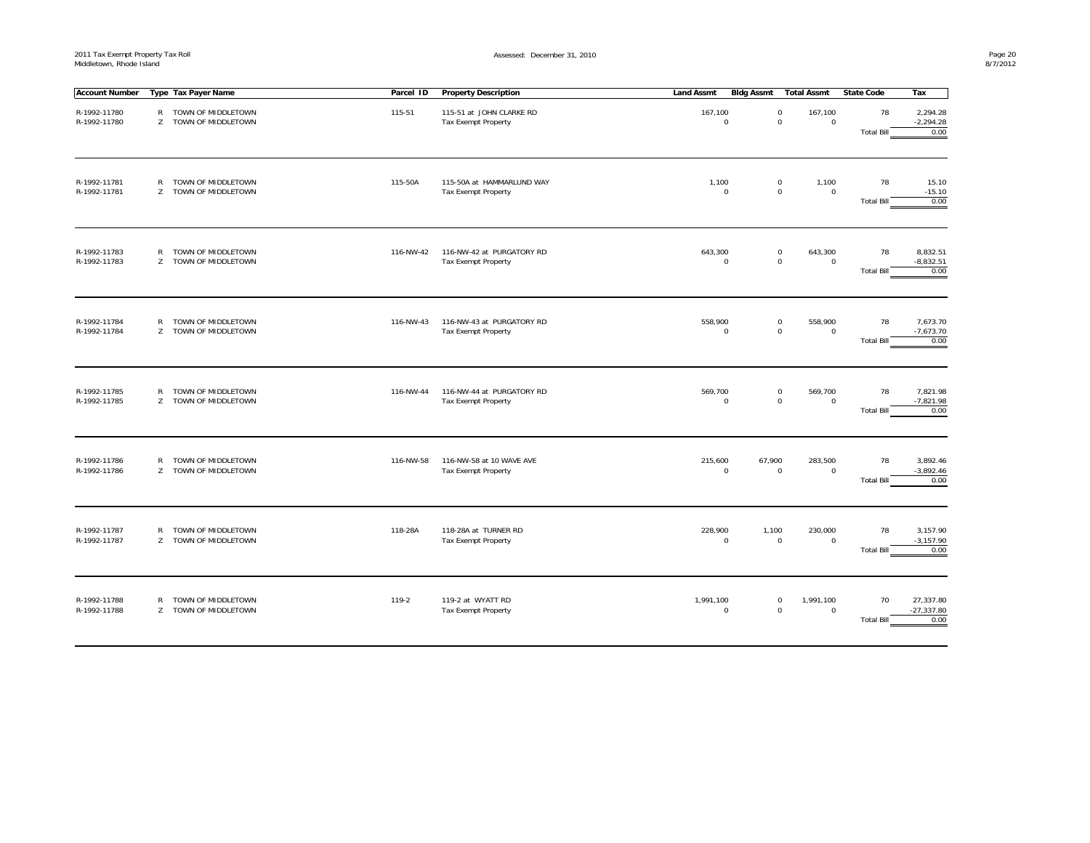| <b>Account Number</b>        |              | Type Tax Payer Name                          | Parcel ID | <b>Property Description</b>                             | <b>Land Assmt</b>        | Bidg Assmt                         | Total Assmt                    | <b>State Code</b>       | Тах                               |
|------------------------------|--------------|----------------------------------------------|-----------|---------------------------------------------------------|--------------------------|------------------------------------|--------------------------------|-------------------------|-----------------------------------|
| R-1992-11780<br>R-1992-11780 |              | R TOWN OF MIDDLETOWN<br>Z TOWN OF MIDDLETOWN | 115-51    | 115-51 at JOHN CLARKE RD<br><b>Tax Exempt Property</b>  | 167,100<br>$\mathsf 0$   | $\mathbf 0$<br>0                   | 167,100<br>$\mathbf 0$         | 78<br><b>Total Bill</b> | 2,294.28<br>$-2,294.28$<br>0.00   |
| R-1992-11781<br>R-1992-11781 | $\mathsf{R}$ | TOWN OF MIDDLETOWN<br>Z TOWN OF MIDDLETOWN   | 115-50A   | 115-50A at HAMMARLUND WAY<br><b>Tax Exempt Property</b> | 1,100<br>$\mathbf 0$     | 0<br>0                             | 1,100<br>$\mathbf 0$           | 78<br><b>Total Bill</b> | 15.10<br>$-15.10$<br>0.00         |
| R-1992-11783<br>R-1992-11783 |              | R TOWN OF MIDDLETOWN<br>Z TOWN OF MIDDLETOWN | 116-NW-42 | 116-NW-42 at PURGATORY RD<br><b>Tax Exempt Property</b> | 643,300<br>$\Omega$      | 0<br>$\mathbf 0$                   | 643,300<br>$\mathbf 0$         | 78<br><b>Total Bill</b> | 8,832.51<br>$-8,832.51$<br>0.00   |
| R-1992-11784<br>R-1992-11784 |              | R TOWN OF MIDDLETOWN<br>Z TOWN OF MIDDLETOWN | 116-NW-43 | 116-NW-43 at PURGATORY RD<br><b>Tax Exempt Property</b> | 558,900<br>$\mathbf 0$   | 0<br>0                             | 558,900<br>$\mathbf 0$         | 78<br><b>Total Bill</b> | 7,673.70<br>$-7,673.70$<br>0.00   |
| R-1992-11785<br>R-1992-11785 |              | R TOWN OF MIDDLETOWN<br>Z TOWN OF MIDDLETOWN | 116-NW-44 | 116-NW-44 at PURGATORY RD<br><b>Tax Exempt Property</b> | 569,700<br>$\mathsf 0$   | $\mathbf 0$<br>$\mathsf{O}\xspace$ | 569,700<br>$\mathsf{O}\xspace$ | 78<br><b>Total Bill</b> | 7,821.98<br>$-7,821.98$<br>0.00   |
| R-1992-11786<br>R-1992-11786 | R            | TOWN OF MIDDLETOWN<br>Z TOWN OF MIDDLETOWN   | 116-NW-58 | 116-NW-58 at 10 WAVE AVE<br>Tax Exempt Property         | 215,600<br>$\mathsf 0$   | 67,900<br>$\mathbf 0$              | 283,500<br>$\mathsf{O}\xspace$ | 78<br><b>Total Bill</b> | 3,892.46<br>$-3,892.46$<br>0.00   |
| R-1992-11787<br>R-1992-11787 |              | R TOWN OF MIDDLETOWN<br>Z TOWN OF MIDDLETOWN | 118-28A   | 118-28A at TURNER RD<br><b>Tax Exempt Property</b>      | 228,900<br>$\mathbf 0$   | 1,100<br>$\mathbf 0$               | 230,000<br>$\mathsf 0$         | 78<br><b>Total Bill</b> | 3,157.90<br>$-3,157.90$<br>0.00   |
| R-1992-11788<br>R-1992-11788 |              | R TOWN OF MIDDLETOWN<br>Z TOWN OF MIDDLETOWN | 119-2     | 119-2 at WYATT RD<br><b>Tax Exempt Property</b>         | 1,991,100<br>$\mathbf 0$ | 0<br>$\mathbf 0$                   | 1,991,100<br>$\mathbf 0$       | 70<br><b>Total Bill</b> | 27,337.80<br>$-27,337.80$<br>0.00 |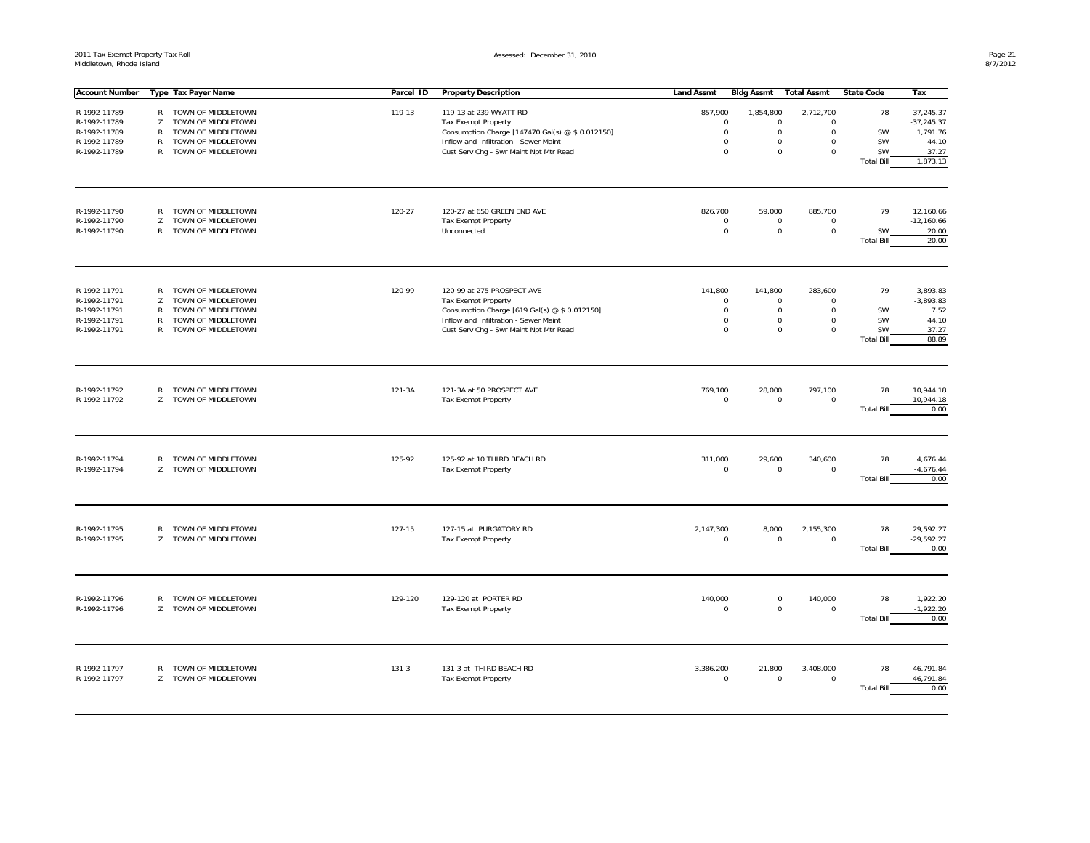| <b>Account Number</b>        |                    | Type Tax Payer Name                        | Parcel ID | <b>Property Description</b>                               | <b>Land Assmt</b>        | <b>Bldg Assmt</b>     | <b>Total Assmt</b>       | <b>State Code</b>       | Tax                               |
|------------------------------|--------------------|--------------------------------------------|-----------|-----------------------------------------------------------|--------------------------|-----------------------|--------------------------|-------------------------|-----------------------------------|
|                              |                    |                                            |           |                                                           |                          |                       |                          |                         |                                   |
| R-1992-11789                 | $\mathsf{R}$       | TOWN OF MIDDLETOWN                         | 119-13    | 119-13 at 239 WYATT RD                                    | 857,900                  | 1,854,800             | 2,712,700                | 78                      | 37,245.37                         |
| R-1992-11789                 | Z                  | TOWN OF MIDDLETOWN                         |           | <b>Tax Exempt Property</b>                                | $\mathbf 0$              | $\mathbf 0$           | $\Omega$                 |                         | $-37,245.37$                      |
| R-1992-11789                 | $\mathsf{R}$       | TOWN OF MIDDLETOWN                         |           | Consumption Charge [147470 Gal(s) @ \$ 0.012150]          | $\mathbf 0$              | $\mathsf{O}\xspace$   | $\mathbf 0$              | SW                      | 1,791.76                          |
| R-1992-11789                 | $\mathsf{R}$       | TOWN OF MIDDLETOWN                         |           | Inflow and Infiltration - Sewer Maint                     | $\Omega$                 | $\mathbf 0$           | $\mathbf 0$              | SW                      | 44.10                             |
| R-1992-11789                 | $\mathsf{R}$       | TOWN OF MIDDLETOWN                         |           | Cust Serv Chg - Swr Maint Npt Mtr Read                    | $\mathbf 0$              | $\mathbf 0$           | $\mathbf 0$              | SW                      | 37.27                             |
|                              |                    |                                            |           |                                                           |                          |                       |                          | <b>Total Bill</b>       | 1,873.13                          |
|                              |                    |                                            |           |                                                           |                          |                       |                          |                         |                                   |
| R-1992-11790                 | $\mathsf{R}$       | TOWN OF MIDDLETOWN                         | 120-27    | 120-27 at 650 GREEN END AVE                               | 826,700                  | 59,000                | 885,700                  | 79                      | 12,160.66                         |
| R-1992-11790                 | Z                  | TOWN OF MIDDLETOWN                         |           | <b>Tax Exempt Property</b>                                | $\mathbf 0$              | $\mathbf 0$           | $\Omega$                 |                         | $-12,160.66$                      |
| R-1992-11790                 | $\mathsf{R}$       | TOWN OF MIDDLETOWN                         |           | Unconnected                                               | $\mathbf 0$              | $\mathsf{O}\xspace$   | 0                        | SW                      | 20.00                             |
|                              |                    |                                            |           |                                                           |                          |                       |                          | <b>Total Bill</b>       | 20.00                             |
| R-1992-11791                 | R                  | TOWN OF MIDDLETOWN                         | 120-99    | 120-99 at 275 PROSPECT AVE                                | 141,800                  | 141,800               | 283,600                  | 79                      | 3,893.83                          |
| R-1992-11791                 | Z                  | TOWN OF MIDDLETOWN                         |           | <b>Tax Exempt Property</b>                                | $\mathsf 0$              | $\mathsf 0$           | $\mathbf 0$              |                         | $-3,893.83$                       |
| R-1992-11791                 | R                  | TOWN OF MIDDLETOWN                         |           | Consumption Charge [619 Gal(s) @ \$ 0.012150]             | $\mathbf 0$              | $\mathbf 0$           | 0                        | SW                      | 7.52                              |
| R-1992-11791                 | R                  | TOWN OF MIDDLETOWN                         |           | Inflow and Infiltration - Sewer Maint                     | $\mathsf 0$              | 0                     | 0                        | SW                      | 44.10                             |
| R-1992-11791                 | $\mathsf{R}$       | TOWN OF MIDDLETOWN                         |           | Cust Serv Chg - Swr Maint Npt Mtr Read                    | $\mathbf 0$              | $\mathbf 0$           | 0                        | SW                      | 37.27                             |
|                              |                    |                                            |           |                                                           |                          |                       |                          | <b>Total Bill</b>       | 88.89                             |
| R-1992-11792<br>R-1992-11792 | $\mathsf{R}$<br>Z  | TOWN OF MIDDLETOWN<br>TOWN OF MIDDLETOWN   | 121-3A    | 121-3A at 50 PROSPECT AVE<br><b>Tax Exempt Property</b>   | 769,100<br>$\mathbf 0$   | 28,000<br>$\mathsf 0$ | 797,100<br>0             | 78<br><b>Total Bill</b> | 10,944.18<br>$-10,944.18$<br>0.00 |
| R-1992-11794<br>R-1992-11794 | $\mathsf{R}$<br>Z. | TOWN OF MIDDLETOWN<br>TOWN OF MIDDLETOWN   | 125-92    | 125-92 at 10 THIRD BEACH RD<br><b>Tax Exempt Property</b> | 311,000<br>$\mathbf 0$   | 29,600<br>$\mathsf 0$ | 340,600<br>$\Omega$      | 78<br><b>Total Bill</b> | 4,676.44<br>$-4,676.44$<br>0.00   |
|                              |                    |                                            |           |                                                           |                          |                       |                          |                         |                                   |
| R-1992-11795<br>R-1992-11795 | Z                  | R TOWN OF MIDDLETOWN<br>TOWN OF MIDDLETOWN | 127-15    | 127-15 at PURGATORY RD<br><b>Tax Exempt Property</b>      | 2,147,300<br>$\mathbf 0$ | 8,000<br>$\mathsf 0$  | 2,155,300<br>$\mathbf 0$ | 78                      | 29,592.27<br>$-29,592.27$         |
|                              |                    |                                            |           |                                                           |                          |                       |                          | <b>Total Bill</b>       | 0.00                              |
|                              |                    |                                            |           |                                                           |                          |                       |                          |                         |                                   |
| R-1992-11796                 | R                  | TOWN OF MIDDLETOWN                         | 129-120   | 129-120 at PORTER RD                                      | 140,000                  | $\mathsf 0$           | 140,000                  | 78                      | 1,922.20                          |
| R-1992-11796                 | Z                  | TOWN OF MIDDLETOWN                         |           | <b>Tax Exempt Property</b>                                | $\mathbf 0$              | $\mathbf 0$           | $\mathbf 0$              |                         | $-1,922.20$                       |
|                              |                    |                                            |           |                                                           |                          |                       |                          | <b>Total Bill</b>       | 0.00                              |
|                              |                    |                                            |           |                                                           |                          |                       |                          |                         |                                   |
| R-1992-11797                 | R                  | TOWN OF MIDDLETOWN                         | $131 - 3$ | 131-3 at THIRD BEACH RD                                   | 3,386,200                | 21,800                | 3,408,000                | 78                      | 46,791.84                         |
| R-1992-11797                 | Z                  | TOWN OF MIDDLETOWN                         |           | <b>Tax Exempt Property</b>                                | $\mathbf 0$              | $\mathbf 0$           | 0                        |                         | $-46,791.84$                      |
|                              |                    |                                            |           |                                                           |                          |                       |                          | <b>Total Bill</b>       | 0.00                              |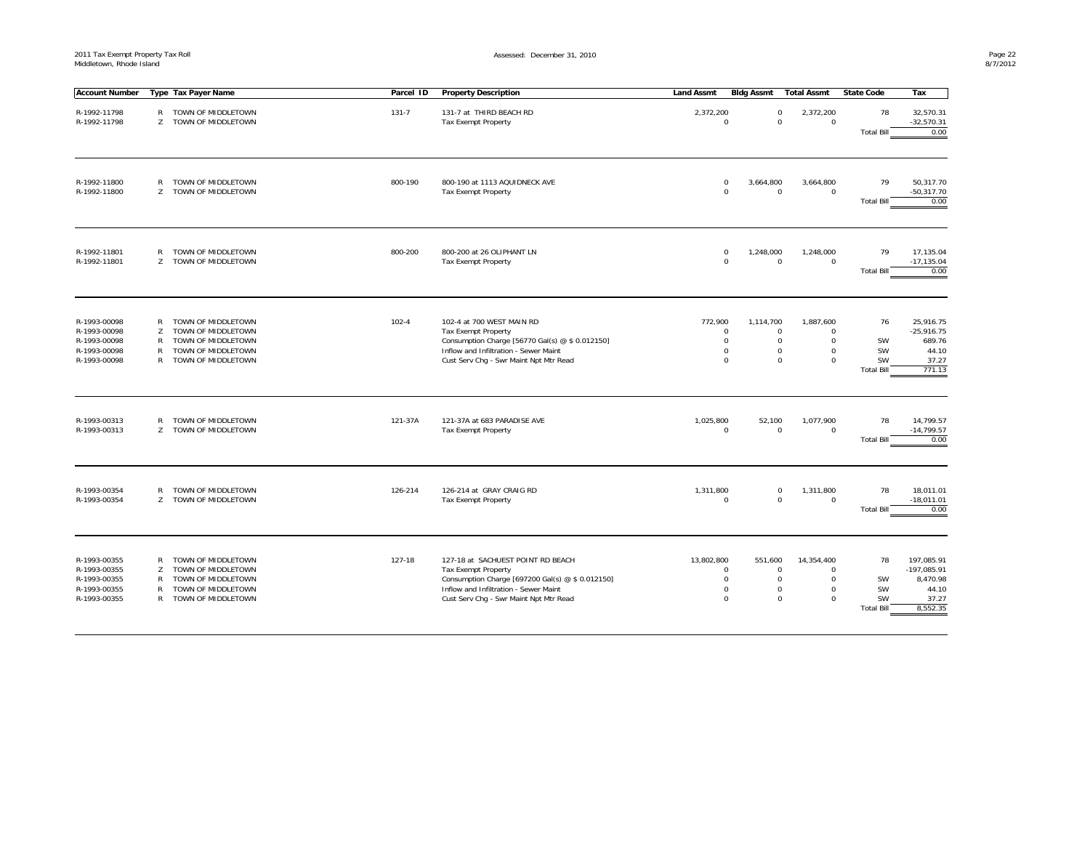| <b>Account Number</b>                                                        |                       | Type Tax Payer Name                                                                                        | Parcel ID | <b>Property Description</b>                                                                                                                                                                            | <b>Land Assmt</b> | <b>Bldg Assmt</b>                         | <b>Total Assmt</b>                                                                                                                   | <b>State Code</b>                                | Tax                                                                   |
|------------------------------------------------------------------------------|-----------------------|------------------------------------------------------------------------------------------------------------|-----------|--------------------------------------------------------------------------------------------------------------------------------------------------------------------------------------------------------|-------------------|-------------------------------------------|--------------------------------------------------------------------------------------------------------------------------------------|--------------------------------------------------|-----------------------------------------------------------------------|
| R-1992-11798<br>R-1992-11798                                                 | R<br>Z                | TOWN OF MIDDLETOWN<br>TOWN OF MIDDLETOWN                                                                   | $131 - 7$ | 131-7 at THIRD BEACH RD<br><b>Tax Exempt Property</b>                                                                                                                                                  | 2,372,200         | $\Omega$                                  | $\mathbf 0$<br>2,372,200<br>$\mathbf 0$<br>$\mathbf 0$                                                                               | 78<br><b>Total Bill</b>                          | 32,570.31<br>$-32,570.31$<br>0.00                                     |
| R-1992-11800<br>R-1992-11800                                                 | R<br>Z                | TOWN OF MIDDLETOWN<br>TOWN OF MIDDLETOWN                                                                   | 800-190   | 800-190 at 1113 AQUIDNECK AVE<br><b>Tax Exempt Property</b>                                                                                                                                            |                   | $\mathbf 0$<br>3,664,800<br>$\mathbf{0}$  | 3,664,800<br>$\mathbf 0$<br>$\mathbf 0$                                                                                              | 79<br><b>Total Bill</b>                          | 50,317.70<br>$-50,317.70$<br>0.00                                     |
| R-1992-11801<br>R-1992-11801                                                 | R<br>Z                | TOWN OF MIDDLETOWN<br>TOWN OF MIDDLETOWN                                                                   | 800-200   | 800-200 at 26 OLIPHANT LN<br><b>Tax Exempt Property</b>                                                                                                                                                |                   | 1,248,000<br>0<br>$\mathbf 0$             | 1,248,000<br>$\mathbf 0$<br>$\mathbf 0$                                                                                              | 79<br><b>Total Bill</b>                          | 17,135.04<br>$-17, 135.04$<br>0.00                                    |
| R-1993-00098<br>R-1993-00098<br>R-1993-00098<br>R-1993-00098<br>R-1993-00098 | R<br>Z<br>R<br>R<br>R | TOWN OF MIDDLETOWN<br>TOWN OF MIDDLETOWN<br>TOWN OF MIDDLETOWN<br>TOWN OF MIDDLETOWN<br>TOWN OF MIDDLETOWN | $102 - 4$ | 102-4 at 700 WEST MAIN RD<br>Tax Exempt Property<br>Consumption Charge [56770 Gal(s) @ \$ 0.012150]<br>Inflow and Infiltration - Sewer Maint<br>Cust Serv Chq - Swr Maint Npt Mtr Read                 | 772,900           | 1,114,700<br>0<br>0<br>0<br>0             | 1,887,600<br>0<br>$\Omega$<br>$\mathsf{O}\xspace$<br>$\mathbf 0$<br>0<br>0<br>$\mathbf 0$<br>$\mathbf 0$                             | 76<br>SW<br>SW<br><b>SW</b><br><b>Total Bill</b> | 25,916.75<br>$-25,916.75$<br>689.76<br>44.10<br>37.27<br>771.13       |
| R-1993-00313<br>R-1993-00313                                                 | R<br>Z                | TOWN OF MIDDLETOWN<br>TOWN OF MIDDLETOWN                                                                   | 121-37A   | 121-37A at 683 PARADISE AVE<br>Tax Exempt Property                                                                                                                                                     | 1,025,800         | 52,100<br>$\mathbf 0$                     | 1,077,900<br>$\mathsf{O}\xspace$<br>$\mathbf 0$                                                                                      | 78<br><b>Total Bill</b>                          | 14,799.57<br>$-14,799.57$<br>0.00                                     |
| R-1993-00354<br>R-1993-00354                                                 | R<br>Z                | TOWN OF MIDDLETOWN<br>TOWN OF MIDDLETOWN                                                                   | 126-214   | 126-214 at GRAY CRAIG RD<br>Tax Exempt Property                                                                                                                                                        | 1,311,800         | $\mathbf 0$                               | 1,311,800<br>$\mathsf 0$<br>$\mathbf 0$<br>$\mathbf 0$                                                                               | 78<br><b>Total Bill</b>                          | 18,011.01<br>$-18,011.01$<br>0.00                                     |
| R-1993-00355<br>R-1993-00355<br>R-1993-00355<br>R-1993-00355<br>R-1993-00355 | R<br>Z<br>R<br>R<br>R | TOWN OF MIDDLETOWN<br>TOWN OF MIDDLETOWN<br>TOWN OF MIDDLETOWN<br>TOWN OF MIDDLETOWN<br>TOWN OF MIDDLETOWN | 127-18    | 127-18 at SACHUEST POINT RD BEACH<br><b>Tax Exempt Property</b><br>Consumption Charge [697200 Gal(s) @ \$ 0.012150]<br>Inflow and Infiltration - Sewer Maint<br>Cust Serv Chg - Swr Maint Npt Mtr Read | 13,802,800        | 551,600<br>$\Omega$<br>$\Omega$<br>0<br>0 | 14,354,400<br>$\mathbf 0$<br>$\Omega$<br>$\mathbf 0$<br>$\Omega$<br>$\mathsf{O}\xspace$<br>$\mathbf 0$<br>$\mathbf 0$<br>$\mathbf 0$ | 78<br>SW<br>SW<br>SW<br><b>Total Bill</b>        | 197,085.91<br>$-197,085.91$<br>8,470.98<br>44.10<br>37.27<br>8,552.35 |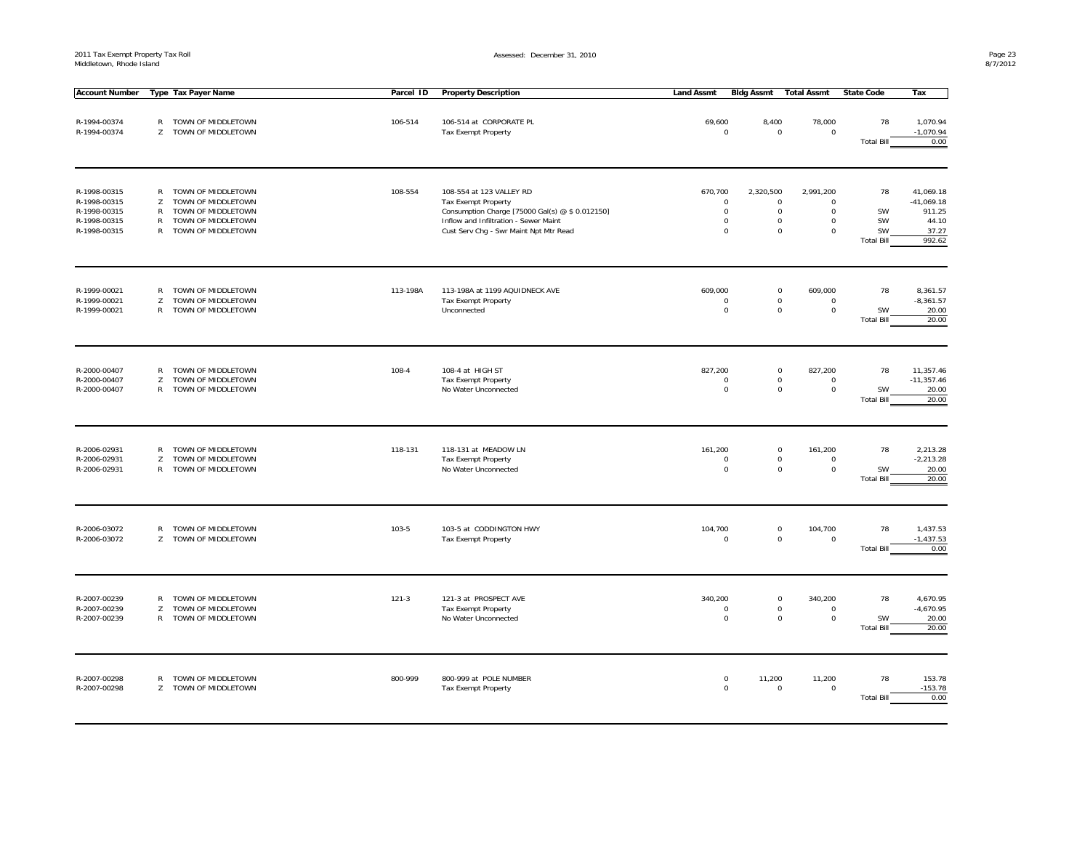2011 Tax Exempt Property Tax Roll Middletown, Rhode Island

Assessed: December 31, 2010

| <b>Account Number</b>                                                        |                                                        | Type Tax Payer Name                                                                                        | Parcel ID | <b>Property Description</b>                                                                                                                                                                  | <b>Land Assmt</b>                                                | <b>Bldg Assmt</b>                                                     | <b>Total Assmt</b>                            | <b>State Code</b>                         | Tax                                                             |
|------------------------------------------------------------------------------|--------------------------------------------------------|------------------------------------------------------------------------------------------------------------|-----------|----------------------------------------------------------------------------------------------------------------------------------------------------------------------------------------------|------------------------------------------------------------------|-----------------------------------------------------------------------|-----------------------------------------------|-------------------------------------------|-----------------------------------------------------------------|
| R-1994-00374<br>R-1994-00374                                                 | R<br>Z                                                 | TOWN OF MIDDLETOWN<br>TOWN OF MIDDLETOWN                                                                   | 106-514   | 106-514 at CORPORATE PL<br><b>Tax Exempt Property</b>                                                                                                                                        | 69,600<br>$\Omega$                                               | 8,400<br>$\mathbf 0$                                                  | 78,000<br>$\mathbf 0$                         | 78<br><b>Total Bill</b>                   | 1,070.94<br>$-1,070.94$<br>0.00                                 |
| R-1998-00315<br>R-1998-00315<br>R-1998-00315<br>R-1998-00315<br>R-1998-00315 | $\mathsf{R}$<br>z<br>$\mathsf{R}$<br>R<br>$\mathsf{R}$ | TOWN OF MIDDLETOWN<br>TOWN OF MIDDLETOWN<br>TOWN OF MIDDLETOWN<br>TOWN OF MIDDLETOWN<br>TOWN OF MIDDLETOWN | 108-554   | 108-554 at 123 VALLEY RD<br><b>Tax Exempt Property</b><br>Consumption Charge [75000 Gal(s) @ \$ 0.012150]<br>Inflow and Infiltration - Sewer Maint<br>Cust Serv Chg - Swr Maint Npt Mtr Read | 670,700<br>$\mathbf 0$<br>$\mathbf 0$<br>$\mathsf 0$<br>$\Omega$ | 2,320,500<br>$\mathsf 0$<br>$\mathbf 0$<br>$\mathsf 0$<br>$\mathsf 0$ | 2,991,200<br>$\Omega$<br>0<br>0<br>$\Omega$   | 78<br>SW<br>SW<br>SW<br><b>Total Bill</b> | 41,069.18<br>$-41,069.18$<br>911.25<br>44.10<br>37.27<br>992.62 |
| R-1999-00021<br>R-1999-00021<br>R-1999-00021                                 | R<br>Z<br>R                                            | TOWN OF MIDDLETOWN<br>TOWN OF MIDDLETOWN<br>TOWN OF MIDDLETOWN                                             | 113-198A  | 113-198A at 1199 AQUIDNECK AVE<br><b>Tax Exempt Property</b><br>Unconnected                                                                                                                  | 609,000<br>$\mathbf 0$<br>$\mathbf 0$                            | $\mathbf 0$<br>$\mathbf 0$<br>$\mathbf 0$                             | 609,000<br>$\mathbf 0$<br>$\mathbf 0$         | 78<br>SW<br><b>Total Bill</b>             | 8,361.57<br>$-8,361.57$<br>20.00<br>20.00                       |
| R-2000-00407<br>R-2000-00407<br>R-2000-00407                                 | $\mathsf{R}$<br>Z<br>$\mathsf{R}$                      | TOWN OF MIDDLETOWN<br>TOWN OF MIDDLETOWN<br>TOWN OF MIDDLETOWN                                             | 108-4     | 108-4 at HIGH ST<br><b>Tax Exempt Property</b><br>No Water Unconnected                                                                                                                       | 827,200<br>$\mathbf 0$<br>$\mathbf 0$                            | $\mathbf 0$<br>$\mathsf{O}\xspace$<br>$\mathbf 0$                     | 827,200<br>$\mathsf{O}\xspace$<br>$\mathbf 0$ | 78<br><b>SW</b><br><b>Total Bill</b>      | 11,357.46<br>$-11,357.46$<br>20.00<br>20.00                     |
| R-2006-02931<br>R-2006-02931<br>R-2006-02931                                 | $\mathsf{R}$<br>Z<br>R                                 | TOWN OF MIDDLETOWN<br>TOWN OF MIDDLETOWN<br>TOWN OF MIDDLETOWN                                             | 118-131   | 118-131 at MEADOW LN<br>Tax Exempt Property<br>No Water Unconnected                                                                                                                          | 161,200<br>$\Omega$<br>$\mathbf 0$                               | $\mathsf 0$<br>$\mathbf 0$<br>$\mathbf 0$                             | 161,200<br>$\mathbf 0$<br>$\mathbf 0$         | 78<br>SW<br><b>Total Bill</b>             | 2,213.28<br>$-2,213.28$<br>20.00<br>20.00                       |
| R-2006-03072<br>R-2006-03072                                                 | $\mathsf{R}$<br>Z                                      | TOWN OF MIDDLETOWN<br>TOWN OF MIDDLETOWN                                                                   | $103 - 5$ | 103-5 at CODDINGTON HWY<br>Tax Exempt Property                                                                                                                                               | 104,700<br>$\mathbf 0$                                           | $\mathsf{O}\xspace$<br>$\mathbf 0$                                    | 104,700<br>$\mathbf{0}$                       | 78<br><b>Total Bill</b>                   | 1,437.53<br>$-1,437.53$<br>0.00                                 |
| R-2007-00239<br>R-2007-00239<br>R-2007-00239                                 | R<br>Z<br>$\mathsf{R}$                                 | TOWN OF MIDDLETOWN<br>TOWN OF MIDDLETOWN<br>TOWN OF MIDDLETOWN                                             | $121 - 3$ | 121-3 at PROSPECT AVE<br><b>Tax Exempt Property</b><br>No Water Unconnected                                                                                                                  | 340,200<br>$\mathbf 0$<br>$\mathbf 0$                            | $\mathsf 0$<br>$\mathbf 0$<br>$\mathbf 0$                             | 340,200<br>$\mathbf 0$<br>0                   | 78<br>SW<br><b>Total Bill</b>             | 4,670.95<br>$-4,670.95$<br>20.00<br>20.00                       |
| R-2007-00298<br>R-2007-00298                                                 | $\mathsf{R}$<br>Z                                      | TOWN OF MIDDLETOWN<br>TOWN OF MIDDLETOWN                                                                   | 800-999   | 800-999 at POLE NUMBER<br>Tax Exempt Property                                                                                                                                                | $\mathbf 0$<br>$\mathbf 0$                                       | 11,200<br>$\mathsf 0$                                                 | 11,200<br>$\mathbf 0$                         | 78<br><b>Total Bill</b>                   | 153.78<br>$-153.78$<br>0.00                                     |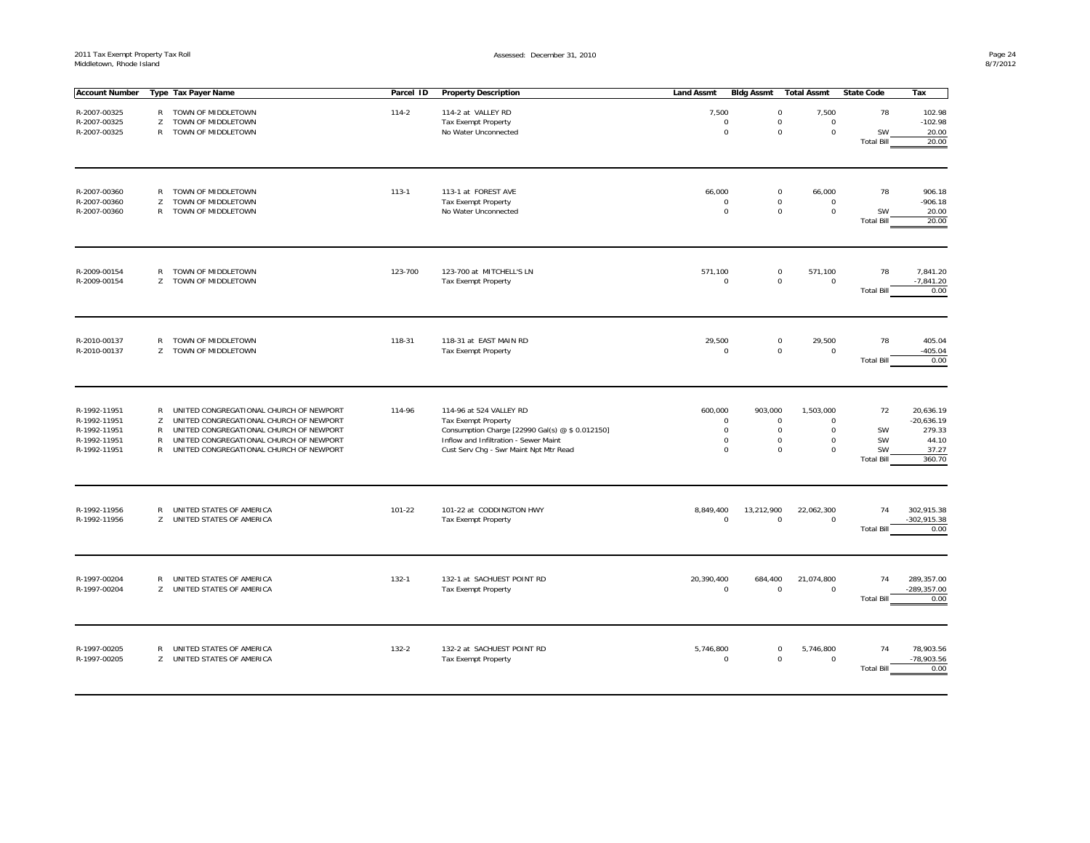| <b>Account Number</b>                                                        |                                                        | Type Tax Payer Name                                                                                                                                                                                                 | Parcel ID | <b>Property Description</b>                                                                                                                                                                 | <b>Land Assmt</b>                                                   | <b>Bldg Assmt</b>                                                 | <b>Total Assmt</b>                                                            | <b>State Code</b>                         | Tax                                                             |
|------------------------------------------------------------------------------|--------------------------------------------------------|---------------------------------------------------------------------------------------------------------------------------------------------------------------------------------------------------------------------|-----------|---------------------------------------------------------------------------------------------------------------------------------------------------------------------------------------------|---------------------------------------------------------------------|-------------------------------------------------------------------|-------------------------------------------------------------------------------|-------------------------------------------|-----------------------------------------------------------------|
| R-2007-00325<br>R-2007-00325<br>R-2007-00325                                 | R<br>Z<br>R                                            | TOWN OF MIDDLETOWN<br>TOWN OF MIDDLETOWN<br>TOWN OF MIDDLETOWN                                                                                                                                                      | $114 - 2$ | 114-2 at VALLEY RD<br><b>Tax Exempt Property</b><br>No Water Unconnected                                                                                                                    | 7,500<br>$\mathsf 0$<br>$\mathsf{O}\xspace$                         | $\mathsf{O}\xspace$<br>$\mathsf{O}\xspace$<br>$\mathsf{O}\xspace$ | 7,500<br>$\mathsf{O}\xspace$<br>$\mathsf{O}\xspace$                           | 78<br>SW<br><b>Total Bill</b>             | 102.98<br>$-102.98$<br>20.00<br>20.00                           |
| R-2007-00360<br>R-2007-00360<br>R-2007-00360                                 | $\mathsf{R}$<br>Z<br>R                                 | TOWN OF MIDDLETOWN<br>TOWN OF MIDDLETOWN<br>TOWN OF MIDDLETOWN                                                                                                                                                      | $113 - 1$ | 113-1 at FOREST AVE<br><b>Tax Exempt Property</b><br>No Water Unconnected                                                                                                                   | 66,000<br>$\Omega$<br>$\mathsf{O}\xspace$                           | 0<br>$\mathbf 0$<br>$\mathsf{O}\xspace$                           | 66,000<br>$\mathbf 0$<br>$\mathsf{O}\xspace$                                  | 78<br>SW<br><b>Total Bill</b>             | 906.18<br>$-906.18$<br>20.00<br>20.00                           |
| R-2009-00154<br>R-2009-00154                                                 | R<br>Z                                                 | TOWN OF MIDDLETOWN<br>TOWN OF MIDDLETOWN                                                                                                                                                                            | 123-700   | 123-700 at MITCHELL'S LN<br>Tax Exempt Property                                                                                                                                             | 571,100<br>$\mathbf 0$                                              | 0<br>$\mathsf{O}\xspace$                                          | 571,100<br>$\mathsf{O}\xspace$                                                | 78<br><b>Total Bill</b>                   | 7,841.20<br>$-7,841.20$<br>0.00                                 |
| R-2010-00137<br>R-2010-00137                                                 | R<br>Z                                                 | TOWN OF MIDDLETOWN<br>TOWN OF MIDDLETOWN                                                                                                                                                                            | 118-31    | 118-31 at EAST MAIN RD<br>Tax Exempt Property                                                                                                                                               | 29,500<br>$\mathsf 0$                                               | 0<br>$\mathsf{O}\xspace$                                          | 29,500<br>$\mathbf 0$                                                         | 78<br><b>Total Bill</b>                   | 405.04<br>$-405.04$<br>0.00                                     |
| R-1992-11951<br>R-1992-11951<br>R-1992-11951<br>R-1992-11951<br>R-1992-11951 | $\mathsf{R}$<br>Z<br>$\mathsf{R}$<br>$\mathsf{R}$<br>R | UNITED CONGREGATIONAL CHURCH OF NEWPORT<br>UNITED CONGREGATIONAL CHURCH OF NEWPORT<br>UNITED CONGREGATIONAL CHURCH OF NEWPORT<br>UNITED CONGREGATIONAL CHURCH OF NEWPORT<br>UNITED CONGREGATIONAL CHURCH OF NEWPORT | 114-96    | 114-96 at 524 VALLEY RD<br><b>Tax Exempt Property</b><br>Consumption Charge [22990 Gal(s) @ \$ 0.012150]<br>Inflow and Infiltration - Sewer Maint<br>Cust Serv Chg - Swr Maint Npt Mtr Read | 600,000<br>$\mathsf 0$<br>$\mathsf 0$<br>$\mathbf 0$<br>$\mathbf 0$ | 903,000<br>0<br>$\mathsf{O}\xspace$<br>0<br>$\mathbf 0$           | 1,503,000<br>$\mathbf 0$<br>$\mathsf{O}\xspace$<br>$\mathbf 0$<br>$\mathbf 0$ | 72<br>SW<br>SW<br>SW<br><b>Total Bill</b> | 20,636.19<br>$-20,636.19$<br>279.33<br>44.10<br>37.27<br>360.70 |
| R-1992-11956<br>R-1992-11956                                                 | R                                                      | UNITED STATES OF AMERICA<br>Z UNITED STATES OF AMERICA                                                                                                                                                              | 101-22    | 101-22 at CODDINGTON HWY<br>Tax Exempt Property                                                                                                                                             | 8,849,400<br>$\mathsf 0$                                            | 13,212,900<br>$\mathsf{O}\xspace$                                 | 22,062,300<br>$\mathbf 0$                                                     | 74<br><b>Total Bill</b>                   | 302,915.38<br>$-302,915.38$<br>0.00                             |
| R-1997-00204<br>R-1997-00204                                                 | $\mathsf{R}$<br>Z.                                     | UNITED STATES OF AMERICA<br>UNITED STATES OF AMERICA                                                                                                                                                                | $132 - 1$ | 132-1 at SACHUEST POINT RD<br>Tax Exempt Property                                                                                                                                           | 20,390,400<br>$\mathbf 0$                                           | 684,400<br>0                                                      | 21,074,800<br>$\mathbf 0$                                                     | 74<br><b>Total Bill</b>                   | 289.357.00<br>$-289,357.00$<br>0.00                             |
| R-1997-00205<br>R-1997-00205                                                 | R                                                      | UNITED STATES OF AMERICA<br>Z UNITED STATES OF AMERICA                                                                                                                                                              | $132 - 2$ | 132-2 at SACHUEST POINT RD<br>Tax Exempt Property                                                                                                                                           | 5,746,800<br>$\mathbf 0$                                            | 0<br>$\mathbf 0$                                                  | 5,746,800<br>$\mathbf 0$                                                      | 74<br><b>Total Bill</b>                   | 78,903.56<br>$-78,903.56$<br>0.00                               |